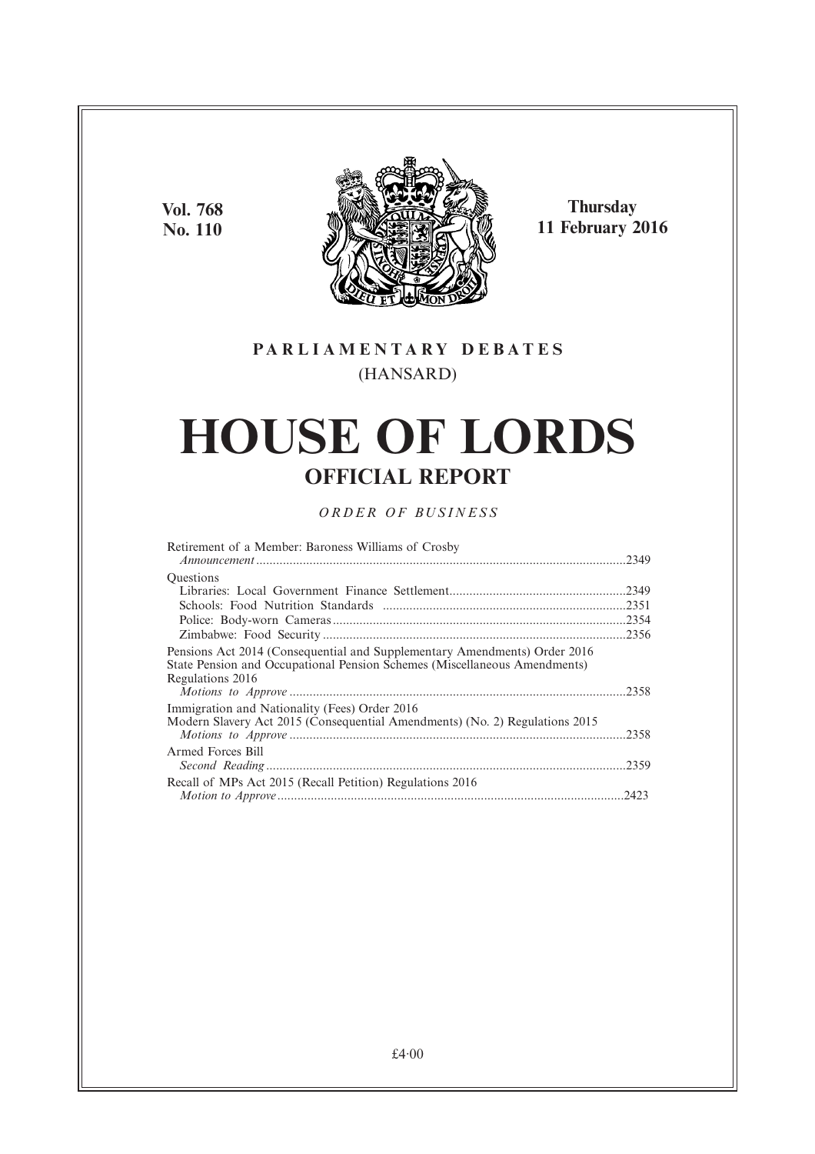**Vol. 768 No. 110**



**Thursday 11 February 2016**

## **PARL IAMENTARY DEBATES** (HANSARD)

# **HOUSE OF LORDS OFFICIAL REPORT**

## *ORDER OF BUSINESS*

| Retirement of a Member: Baroness Williams of Crosby                                                                                                                        |  |
|----------------------------------------------------------------------------------------------------------------------------------------------------------------------------|--|
| <b>Ouestions</b>                                                                                                                                                           |  |
|                                                                                                                                                                            |  |
|                                                                                                                                                                            |  |
|                                                                                                                                                                            |  |
|                                                                                                                                                                            |  |
| Pensions Act 2014 (Consequential and Supplementary Amendments) Order 2016<br>State Pension and Occupational Pension Schemes (Miscellaneous Amendments)<br>Regulations 2016 |  |
|                                                                                                                                                                            |  |
| Immigration and Nationality (Fees) Order 2016                                                                                                                              |  |
| Modern Slavery Act 2015 (Consequential Amendments) (No. 2) Regulations 2015                                                                                                |  |
| Armed Forces Bill                                                                                                                                                          |  |
| Recall of MPs Act 2015 (Recall Petition) Regulations 2016                                                                                                                  |  |
|                                                                                                                                                                            |  |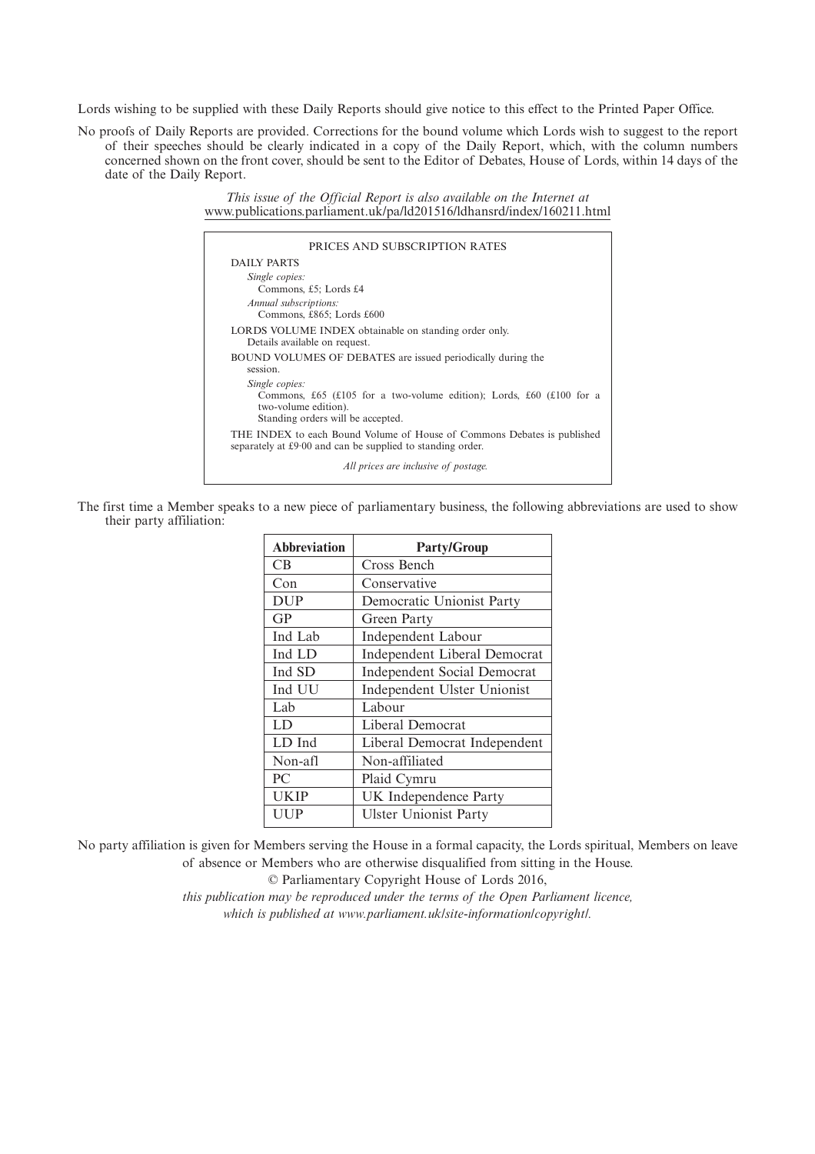Lords wishing to be supplied with these Daily Reports should give notice to this effect to the Printed Paper Office.

No proofs of Daily Reports are provided. Corrections for the bound volume which Lords wish to suggest to the report of their speeches should be clearly indicated in a copy of the Daily Report, which, with the column numbers concerned shown on the front cover, should be sent to the Editor of Debates, House of Lords, within 14 days of the date of the Daily Report.

> *This issue of the Official Report is also available on the Internet at* www.publications.parliament.uk/pa/ld201516/ldhansrd/index/160211.html

| PRICES AND SUBSCRIPTION RATES                                                                                                                       |
|-----------------------------------------------------------------------------------------------------------------------------------------------------|
| DAILY PARTS                                                                                                                                         |
| Single copies:<br>Commons, £5; Lords £4<br>Annual subscriptions:<br>Commons, £865; Lords £600                                                       |
| LORDS VOLUME INDEX obtainable on standing order only.<br>Details available on request.                                                              |
| <b>BOUND VOLUMES OF DEBATES</b> are issued periodically during the<br>session.                                                                      |
| Single copies:<br>Commons, £65 (£105 for a two-volume edition); Lords, £60 (£100 for a<br>two-volume edition).<br>Standing orders will be accepted. |
| THE INDEX to each Bound Volume of House of Commons Debates is published<br>separately at £9.00 and can be supplied to standing order.               |
| All prices are inclusive of postage.                                                                                                                |

The first time a Member speaks to a new piece of parliamentary business, the following abbreviations are used to show their party affiliation:

| <b>Abbreviation</b> | <b>Party/Group</b>                  |
|---------------------|-------------------------------------|
| CB                  | Cross Bench                         |
| Con                 | Conservative                        |
| <b>DUP</b>          | Democratic Unionist Party           |
| <b>GP</b>           | Green Party                         |
| Ind Lab             | <b>Independent Labour</b>           |
| Ind LD              | <b>Independent Liberal Democrat</b> |
| Ind SD              | <b>Independent Social Democrat</b>  |
| Ind UU              | Independent Ulster Unionist         |
| Lab                 | Labour                              |
| LD                  | Liberal Democrat                    |
| LD Ind              | Liberal Democrat Independent        |
| Non-afl             | Non-affiliated                      |
| PC                  | Plaid Cymru                         |
| UKIP                | UK Independence Party               |
| UUP                 | <b>Ulster Unionist Party</b>        |

No party affiliation is given for Members serving the House in a formal capacity, the Lords spiritual, Members on leave of absence or Members who are otherwise disqualified from sitting in the House.

© Parliamentary Copyright House of Lords 2016,

*this publication may be reproduced under the terms of the Open Parliament licence, which is published at www.parliament.uk/site-information/copyright/.*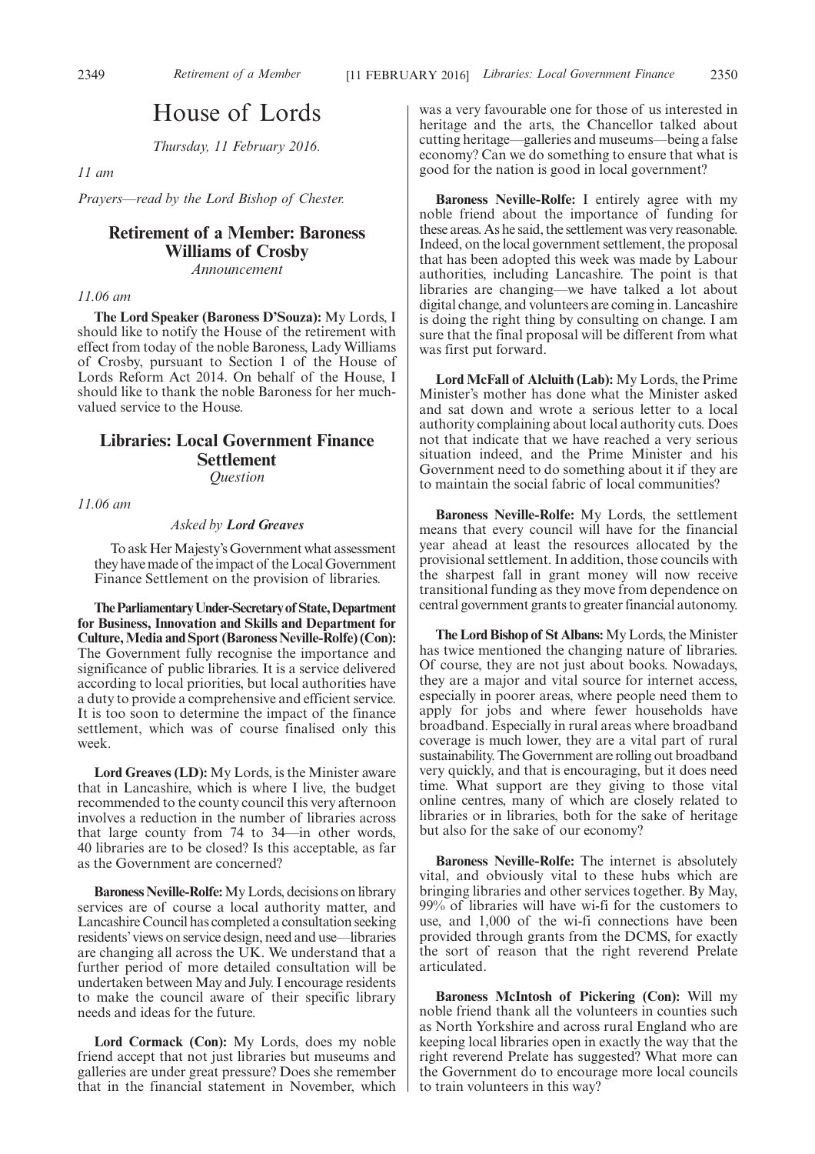## House of Lords

*Thursday, 11 February 2016.*

*11 am*

*Prayers—read by the Lord Bishop of Chester.*

## **Retirement of a Member: Baroness Williams of Crosby**

*Announcement*

#### *11.06 am*

**The Lord Speaker (Baroness D'Souza):** My Lords, I should like to notify the House of the retirement with effect from today of the noble Baroness, Lady Williams of Crosby, pursuant to Section 1 of the House of Lords Reform Act 2014. On behalf of the House, I should like to thank the noble Baroness for her muchvalued service to the House.

## **Libraries: Local Government Finance Settlement** *Question*

*11.06 am*

#### *Asked by Lord Greaves*

To ask Her Majesty's Government what assessment they have made of the impact of the Local Government Finance Settlement on the provision of libraries.

**TheParliamentaryUnder-Secretaryof State,Department for Business, Innovation and Skills and Department for Culture,Media and Sport (Baroness Neville-Rolfe) (Con):** The Government fully recognise the importance and significance of public libraries. It is a service delivered according to local priorities, but local authorities have a duty to provide a comprehensive and efficient service. It is too soon to determine the impact of the finance settlement, which was of course finalised only this week.

**Lord Greaves (LD):** My Lords, is the Minister aware that in Lancashire, which is where I live, the budget recommended to the county council this very afternoon involves a reduction in the number of libraries across that large county from 74 to 34—in other words, 40 libraries are to be closed? Is this acceptable, as far as the Government are concerned?

**Baroness Neville-Rolfe:**My Lords, decisions on library services are of course a local authority matter, and Lancashire Council has completed a consultation seeking residents' views on service design, need and use—libraries are changing all across the  $\overrightarrow{UK}$ . We understand that a further period of more detailed consultation will be undertaken between May and July. I encourage residents to make the council aware of their specific library needs and ideas for the future.

**Lord Cormack (Con):** My Lords, does my noble friend accept that not just libraries but museums and galleries are under great pressure? Does she remember that in the financial statement in November, which was a very favourable one for those of us interested in heritage and the arts, the Chancellor talked about cutting heritage—galleries and museums—being a false economy? Can we do something to ensure that what is good for the nation is good in local government?

**Baroness Neville-Rolfe:** I entirely agree with my noble friend about the importance of funding for these areas. As he said, the settlement was very reasonable. Indeed, on the local government settlement, the proposal that has been adopted this week was made by Labour authorities, including Lancashire. The point is that libraries are changing—we have talked a lot about digital change, and volunteers are coming in. Lancashire is doing the right thing by consulting on change. I am sure that the final proposal will be different from what was first put forward.

**Lord McFall of Alcluith (Lab):** My Lords, the Prime Minister's mother has done what the Minister asked and sat down and wrote a serious letter to a local authority complaining about local authority cuts. Does not that indicate that we have reached a very serious situation indeed, and the Prime Minister and his Government need to do something about it if they are to maintain the social fabric of local communities?

**Baroness Neville-Rolfe:** My Lords, the settlement means that every council will have for the financial year ahead at least the resources allocated by the provisional settlement. In addition, those councils with the sharpest fall in grant money will now receive transitional funding as they move from dependence on central government grants to greater financial autonomy.

The Lord Bishop of St Albans: My Lords, the Minister has twice mentioned the changing nature of libraries. Of course, they are not just about books. Nowadays, they are a major and vital source for internet access, especially in poorer areas, where people need them to apply for jobs and where fewer households have broadband. Especially in rural areas where broadband coverage is much lower, they are a vital part of rural sustainability. The Government are rolling out broadband very quickly, and that is encouraging, but it does need time. What support are they giving to those vital online centres, many of which are closely related to libraries or in libraries, both for the sake of heritage but also for the sake of our economy?

**Baroness Neville-Rolfe:** The internet is absolutely vital, and obviously vital to these hubs which are bringing libraries and other services together. By May, 99% of libraries will have wi-fi for the customers to use, and 1,000 of the wi-fi connections have been provided through grants from the DCMS, for exactly the sort of reason that the right reverend Prelate articulated.

**Baroness McIntosh of Pickering (Con):** Will my noble friend thank all the volunteers in counties such as North Yorkshire and across rural England who are keeping local libraries open in exactly the way that the right reverend Prelate has suggested? What more can the Government do to encourage more local councils to train volunteers in this way?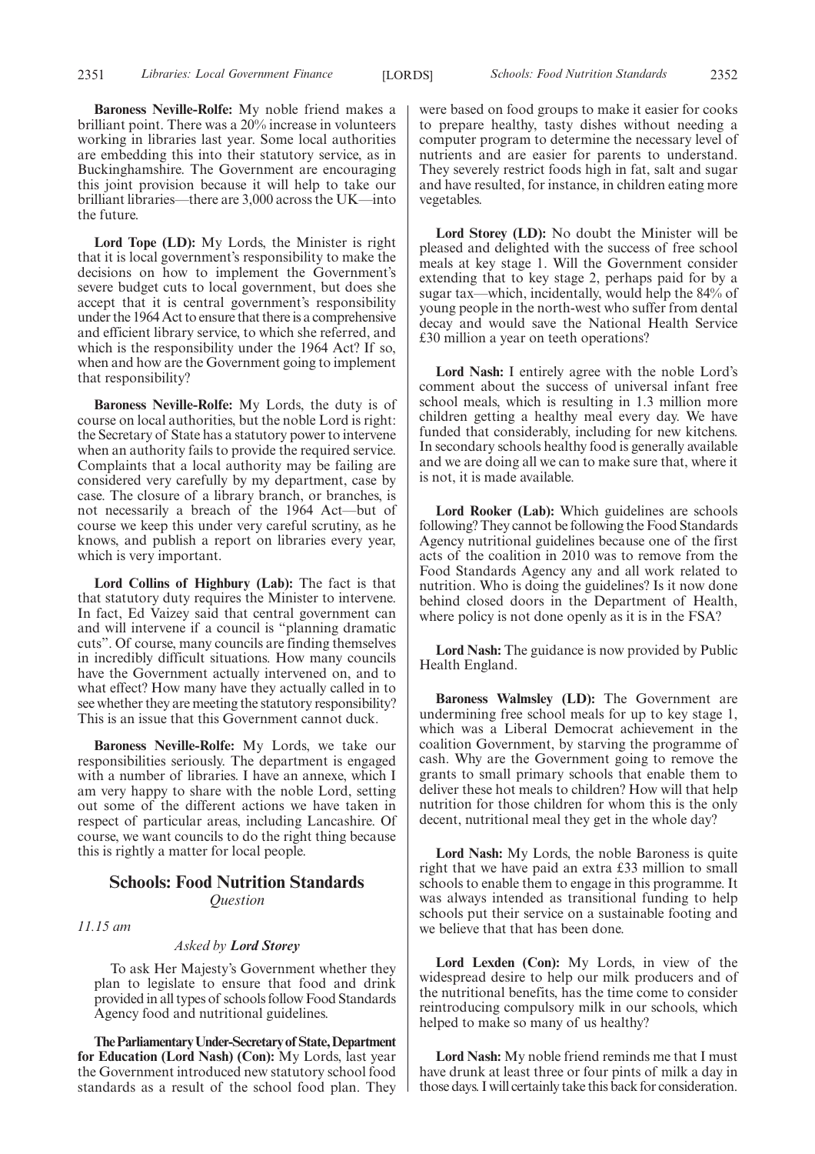**Baroness Neville-Rolfe:** My noble friend makes a brilliant point. There was a 20% increase in volunteers working in libraries last year. Some local authorities are embedding this into their statutory service, as in Buckinghamshire. The Government are encouraging this joint provision because it will help to take our brilliant libraries—there are 3,000 across the UK—into the future.

Lord Tope (LD): My Lords, the Minister is right that it is local government's responsibility to make the decisions on how to implement the Government's severe budget cuts to local government, but does she accept that it is central government's responsibility under the 1964 Act to ensure that there is a comprehensive and efficient library service, to which she referred, and which is the responsibility under the 1964 Act? If so, when and how are the Government going to implement that responsibility?

**Baroness Neville-Rolfe:** My Lords, the duty is of course on local authorities, but the noble Lord is right: the Secretary of State has a statutory power to intervene when an authority fails to provide the required service. Complaints that a local authority may be failing are considered very carefully by my department, case by case. The closure of a library branch, or branches, is not necessarily a breach of the 1964 Act—but of course we keep this under very careful scrutiny, as he knows, and publish a report on libraries every year, which is very important.

**Lord Collins of Highbury (Lab):** The fact is that that statutory duty requires the Minister to intervene. In fact, Ed Vaizey said that central government can and will intervene if a council is "planning dramatic cuts". Of course, many councils are finding themselves in incredibly difficult situations. How many councils have the Government actually intervened on, and to what effect? How many have they actually called in to see whether they are meeting the statutory responsibility? This is an issue that this Government cannot duck.

**Baroness Neville-Rolfe:** My Lords, we take our responsibilities seriously. The department is engaged with a number of libraries. I have an annexe, which I am very happy to share with the noble Lord, setting out some of the different actions we have taken in respect of particular areas, including Lancashire. Of course, we want councils to do the right thing because this is rightly a matter for local people.

#### **Schools: Food Nutrition Standards** *Question*

*11.15 am*

#### *Asked by Lord Storey*

To ask Her Majesty's Government whether they plan to legislate to ensure that food and drink provided in all types of schools follow Food Standards Agency food and nutritional guidelines.

**TheParliamentaryUnder-Secretaryof State,Department for Education (Lord Nash) (Con):** My Lords, last year the Government introduced new statutory school food standards as a result of the school food plan. They were based on food groups to make it easier for cooks to prepare healthy, tasty dishes without needing a computer program to determine the necessary level of nutrients and are easier for parents to understand. They severely restrict foods high in fat, salt and sugar and have resulted, for instance, in children eating more vegetables.

**Lord Storey (LD):** No doubt the Minister will be pleased and delighted with the success of free school meals at key stage 1. Will the Government consider extending that to key stage 2, perhaps paid for by a sugar tax—which, incidentally, would help the 84% of young people in the north-west who suffer from dental decay and would save the National Health Service £30 million a year on teeth operations?

**Lord Nash:** I entirely agree with the noble Lord's comment about the success of universal infant free school meals, which is resulting in 1.3 million more children getting a healthy meal every day. We have funded that considerably, including for new kitchens. In secondary schools healthy food is generally available and we are doing all we can to make sure that, where it is not, it is made available.

**Lord Rooker (Lab):** Which guidelines are schools following? They cannot be following the Food Standards Agency nutritional guidelines because one of the first acts of the coalition in 2010 was to remove from the Food Standards Agency any and all work related to nutrition. Who is doing the guidelines? Is it now done behind closed doors in the Department of Health, where policy is not done openly as it is in the FSA?

**Lord Nash:** The guidance is now provided by Public Health England.

**Baroness Walmsley (LD):** The Government are undermining free school meals for up to key stage 1, which was a Liberal Democrat achievement in the coalition Government, by starving the programme of cash. Why are the Government going to remove the grants to small primary schools that enable them to deliver these hot meals to children? How will that help nutrition for those children for whom this is the only decent, nutritional meal they get in the whole day?

**Lord Nash:** My Lords, the noble Baroness is quite right that we have paid an extra £33 million to small schools to enable them to engage in this programme. It was always intended as transitional funding to help schools put their service on a sustainable footing and we believe that that has been done.

**Lord Lexden (Con):** My Lords, in view of the widespread desire to help our milk producers and of the nutritional benefits, has the time come to consider reintroducing compulsory milk in our schools, which helped to make so many of us healthy?

**Lord Nash:** My noble friend reminds me that I must have drunk at least three or four pints of milk a day in those days. I will certainly take this back for consideration.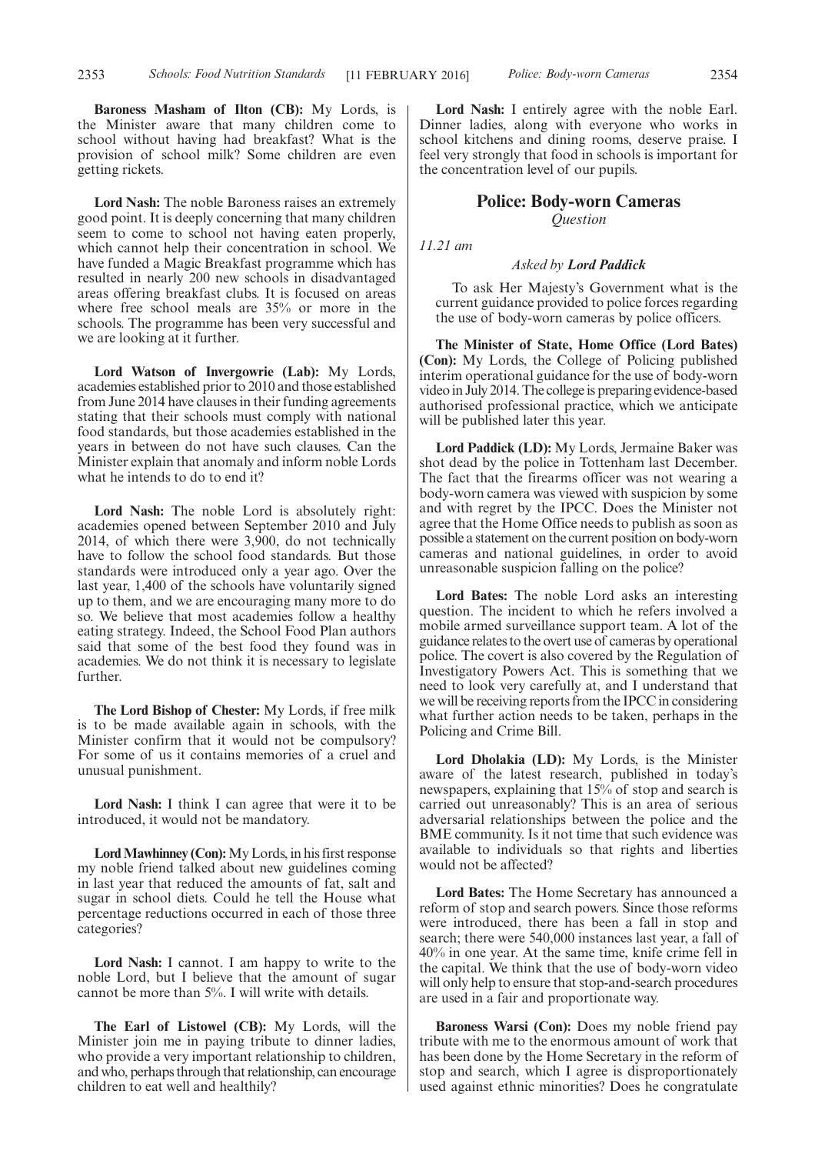**Baroness Masham of Ilton (CB):** My Lords, is the Minister aware that many children come to school without having had breakfast? What is the provision of school milk? Some children are even getting rickets.

**Lord Nash:** The noble Baroness raises an extremely good point. It is deeply concerning that many children seem to come to school not having eaten properly, which cannot help their concentration in school. We have funded a Magic Breakfast programme which has resulted in nearly 200 new schools in disadvantaged areas offering breakfast clubs. It is focused on areas where free school meals are 35% or more in the schools. The programme has been very successful and we are looking at it further.

**Lord Watson of Invergowrie (Lab):** My Lords, academies established prior to 2010 and those established from June 2014 have clauses in their funding agreements stating that their schools must comply with national food standards, but those academies established in the years in between do not have such clauses. Can the Minister explain that anomaly and inform noble Lords what he intends to do to end it?

**Lord Nash:** The noble Lord is absolutely right: academies opened between September 2010 and July 2014, of which there were 3,900, do not technically have to follow the school food standards. But those standards were introduced only a year ago. Over the last year, 1,400 of the schools have voluntarily signed up to them, and we are encouraging many more to do so. We believe that most academies follow a healthy eating strategy. Indeed, the School Food Plan authors said that some of the best food they found was in academies. We do not think it is necessary to legislate further.

**The Lord Bishop of Chester:** My Lords, if free milk is to be made available again in schools, with the Minister confirm that it would not be compulsory? For some of us it contains memories of a cruel and unusual punishment.

**Lord Nash:** I think I can agree that were it to be introduced, it would not be mandatory.

Lord Mawhinney (Con): My Lords, in his first response my noble friend talked about new guidelines coming in last year that reduced the amounts of fat, salt and sugar in school diets. Could he tell the House what percentage reductions occurred in each of those three categories?

**Lord Nash:** I cannot. I am happy to write to the noble Lord, but I believe that the amount of sugar cannot be more than 5%. I will write with details.

**The Earl of Listowel (CB):** My Lords, will the Minister join me in paying tribute to dinner ladies, who provide a very important relationship to children, and who, perhaps through that relationship, can encourage children to eat well and healthily?

**Lord Nash:** I entirely agree with the noble Earl. Dinner ladies, along with everyone who works in school kitchens and dining rooms, deserve praise. I feel very strongly that food in schools is important for the concentration level of our pupils.

### **Police: Body-worn Cameras** *Question*

*11.21 am*

#### *Asked by Lord Paddick*

To ask Her Majesty's Government what is the current guidance provided to police forces regarding the use of body-worn cameras by police officers.

**The Minister of State, Home Office (Lord Bates) (Con):** My Lords, the College of Policing published interim operational guidance for the use of body-worn video in July 2014. The college is preparing evidence-based authorised professional practice, which we anticipate will be published later this year.

**Lord Paddick (LD):** My Lords, Jermaine Baker was shot dead by the police in Tottenham last December. The fact that the firearms officer was not wearing a body-worn camera was viewed with suspicion by some and with regret by the IPCC. Does the Minister not agree that the Home Office needs to publish as soon as possible a statement on the current position on body-worn cameras and national guidelines, in order to avoid unreasonable suspicion falling on the police?

**Lord Bates:** The noble Lord asks an interesting question. The incident to which he refers involved a mobile armed surveillance support team. A lot of the guidance relates to the overt use of cameras by operational police. The covert is also covered by the Regulation of Investigatory Powers Act. This is something that we need to look very carefully at, and I understand that we will be receiving reports from the IPCC in considering what further action needs to be taken, perhaps in the Policing and Crime Bill.

**Lord Dholakia (LD):** My Lords, is the Minister aware of the latest research, published in today's newspapers, explaining that 15% of stop and search is carried out unreasonably? This is an area of serious adversarial relationships between the police and the BME community. Is it not time that such evidence was available to individuals so that rights and liberties would not be affected?

**Lord Bates:** The Home Secretary has announced a reform of stop and search powers. Since those reforms were introduced, there has been a fall in stop and search; there were 540,000 instances last year, a fall of 40% in one year. At the same time, knife crime fell in the capital. We think that the use of body-worn video will only help to ensure that stop-and-search procedures are used in a fair and proportionate way.

**Baroness Warsi (Con):** Does my noble friend pay tribute with me to the enormous amount of work that has been done by the Home Secretary in the reform of stop and search, which I agree is disproportionately used against ethnic minorities? Does he congratulate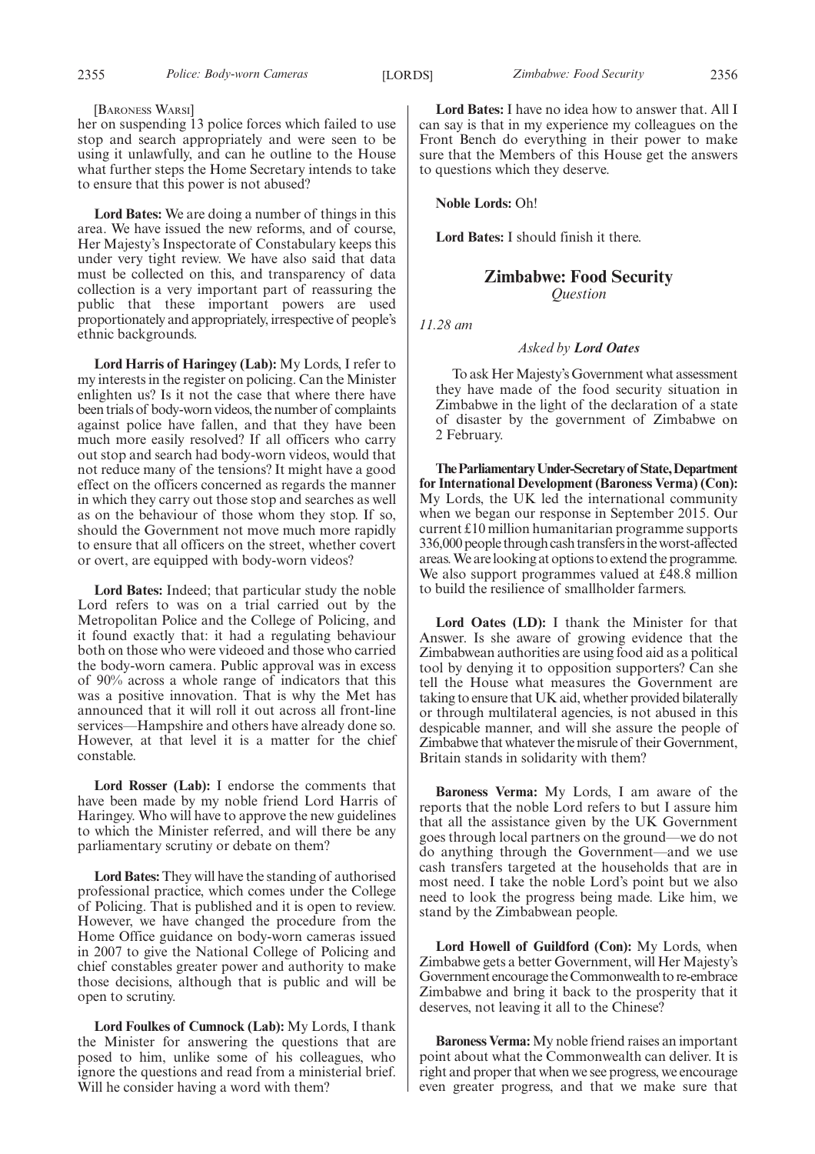#### 2355 *Police: Body-worn Cameras Zimbabwe: Food Security* [LORDS] 2356

#### [BARONESS WARSI]

her on suspending 13 police forces which failed to use stop and search appropriately and were seen to be using it unlawfully, and can he outline to the House what further steps the Home Secretary intends to take to ensure that this power is not abused?

**Lord Bates:** We are doing a number of things in this area. We have issued the new reforms, and of course, Her Majesty's Inspectorate of Constabulary keeps this under very tight review. We have also said that data must be collected on this, and transparency of data collection is a very important part of reassuring the public that these important powers are used proportionately and appropriately, irrespective of people's ethnic backgrounds.

**Lord Harris of Haringey (Lab):** My Lords, I refer to my interests in the register on policing. Can the Minister enlighten us? Is it not the case that where there have been trials of body-worn videos, the number of complaints against police have fallen, and that they have been much more easily resolved? If all officers who carry out stop and search had body-worn videos, would that not reduce many of the tensions? It might have a good effect on the officers concerned as regards the manner in which they carry out those stop and searches as well as on the behaviour of those whom they stop. If so, should the Government not move much more rapidly to ensure that all officers on the street, whether covert or overt, are equipped with body-worn videos?

**Lord Bates:** Indeed; that particular study the noble Lord refers to was on a trial carried out by the Metropolitan Police and the College of Policing, and it found exactly that: it had a regulating behaviour both on those who were videoed and those who carried the body-worn camera. Public approval was in excess of 90% across a whole range of indicators that this was a positive innovation. That is why the Met has announced that it will roll it out across all front-line services—Hampshire and others have already done so. However, at that level it is a matter for the chief constable.

**Lord Rosser (Lab):** I endorse the comments that have been made by my noble friend Lord Harris of Haringey. Who will have to approve the new guidelines to which the Minister referred, and will there be any parliamentary scrutiny or debate on them?

**Lord Bates:** They will have the standing of authorised professional practice, which comes under the College of Policing. That is published and it is open to review. However, we have changed the procedure from the Home Office guidance on body-worn cameras issued in 2007 to give the National College of Policing and chief constables greater power and authority to make those decisions, although that is public and will be open to scrutiny.

**Lord Foulkes of Cumnock (Lab):** My Lords, I thank the Minister for answering the questions that are posed to him, unlike some of his colleagues, who ignore the questions and read from a ministerial brief. Will he consider having a word with them?

**Lord Bates:** I have no idea how to answer that. All I can say is that in my experience my colleagues on the Front Bench do everything in their power to make sure that the Members of this House get the answers to questions which they deserve.

**Noble Lords:** Oh!

**Lord Bates:** I should finish it there.

## **Zimbabwe: Food Security** *Question*

*11.28 am*

#### *Asked by Lord Oates*

To ask Her Majesty's Government what assessment they have made of the food security situation in Zimbabwe in the light of the declaration of a state of disaster by the government of Zimbabwe on 2 February.

**TheParliamentaryUnder-Secretaryof State,Department for International Development (Baroness Verma) (Con):** My Lords, the UK led the international community when we began our response in September 2015. Our current £10 million humanitarian programme supports 336,000 people through cash transfersin the worst-affected areas.We arelooking at options to extend the programme. We also support programmes valued at £48.8 million to build the resilience of smallholder farmers.

**Lord Oates (LD):** I thank the Minister for that Answer. Is she aware of growing evidence that the Zimbabwean authorities are using food aid as a political tool by denying it to opposition supporters? Can she tell the House what measures the Government are taking to ensure that UK aid, whether provided bilaterally or through multilateral agencies, is not abused in this despicable manner, and will she assure the people of Zimbabwe that whatever the misrule of their Government, Britain stands in solidarity with them?

**Baroness Verma:** My Lords, I am aware of the reports that the noble Lord refers to but I assure him that all the assistance given by the UK Government goes through local partners on the ground—we do not do anything through the Government—and we use cash transfers targeted at the households that are in most need. I take the noble Lord's point but we also need to look the progress being made. Like him, we stand by the Zimbabwean people.

**Lord Howell of Guildford (Con):** My Lords, when Zimbabwe gets a better Government, will Her Majesty's Government encourage the Commonwealth to re-embrace Zimbabwe and bring it back to the prosperity that it deserves, not leaving it all to the Chinese?

**Baroness Verma:** My noble friend raises an important point about what the Commonwealth can deliver. It is right and proper that when we see progress, we encourage even greater progress, and that we make sure that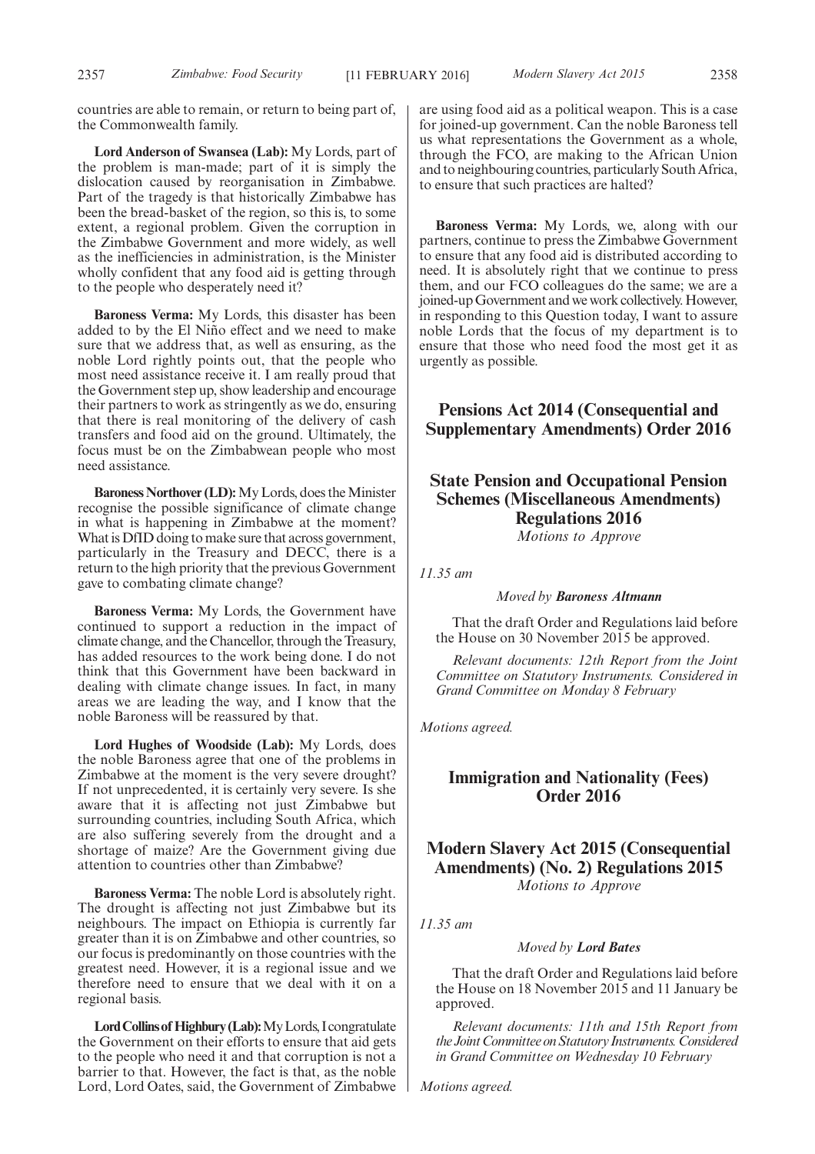countries are able to remain, or return to being part of, the Commonwealth family.

**Lord Anderson of Swansea (Lab):** My Lords, part of the problem is man-made; part of it is simply the dislocation caused by reorganisation in Zimbabwe. Part of the tragedy is that historically Zimbabwe has been the bread-basket of the region, so this is, to some extent, a regional problem. Given the corruption in the Zimbabwe Government and more widely, as well as the inefficiencies in administration, is the Minister wholly confident that any food aid is getting through to the people who desperately need it?

**Baroness Verma:** My Lords, this disaster has been added to by the El Niño effect and we need to make sure that we address that, as well as ensuring, as the noble Lord rightly points out, that the people who most need assistance receive it. I am really proud that the Government step up, show leadership and encourage their partners to work as stringently as we do, ensuring that there is real monitoring of the delivery of cash transfers and food aid on the ground. Ultimately, the focus must be on the Zimbabwean people who most need assistance.

**Baroness Northover (LD):** My Lords, does the Minister recognise the possible significance of climate change in what is happening in Zimbabwe at the moment? What is DfID doing to make sure that across government, particularly in the Treasury and DECC, there is a return to the high priority that the previous Government gave to combating climate change?

**Baroness Verma:** My Lords, the Government have continued to support a reduction in the impact of climate change, and the Chancellor, through the Treasury, has added resources to the work being done. I do not think that this Government have been backward in dealing with climate change issues. In fact, in many areas we are leading the way, and I know that the noble Baroness will be reassured by that.

**Lord Hughes of Woodside (Lab):** My Lords, does the noble Baroness agree that one of the problems in Zimbabwe at the moment is the very severe drought? If not unprecedented, it is certainly very severe. Is she aware that it is affecting not just Zimbabwe but surrounding countries, including South Africa, which are also suffering severely from the drought and a shortage of maize? Are the Government giving due attention to countries other than Zimbabwe?

**Baroness Verma:** The noble Lord is absolutely right. The drought is affecting not just Zimbabwe but its neighbours. The impact on Ethiopia is currently far greater than it is on Zimbabwe and other countries, so our focus is predominantly on those countries with the greatest need. However, it is a regional issue and we therefore need to ensure that we deal with it on a regional basis.

Lord Collins of Highbury (Lab): My Lords, I congratulate the Government on their efforts to ensure that aid gets to the people who need it and that corruption is not a barrier to that. However, the fact is that, as the noble Lord, Lord Oates, said, the Government of Zimbabwe are using food aid as a political weapon. This is a case for joined-up government. Can the noble Baroness tell us what representations the Government as a whole, through the FCO, are making to the African Union and to neighbouring countries, particularly South Africa, to ensure that such practices are halted?

**Baroness Verma:** My Lords, we, along with our partners, continue to press the Zimbabwe Government to ensure that any food aid is distributed according to need. It is absolutely right that we continue to press them, and our FCO colleagues do the same; we are a joined-up Government and we work collectively. However, in responding to this Question today, I want to assure noble Lords that the focus of my department is to ensure that those who need food the most get it as urgently as possible.

## **Pensions Act 2014 (Consequential and Supplementary Amendments) Order 2016**

## **State Pension and Occupational Pension Schemes (Miscellaneous Amendments) Regulations 2016** *Motions to Approve*

*11.35 am*

#### *Moved by Baroness Altmann*

That the draft Order and Regulations laid before the House on 30 November 2015 be approved.

*Relevant documents: 12th Report from the Joint Committee on Statutory Instruments. Considered in Grand Committee on Monday 8 February*

*Motions agreed.*

## **Immigration and Nationality (Fees) Order 2016**

**Modern Slavery Act 2015 (Consequential Amendments) (No. 2) Regulations 2015** *Motions to Approve*

*11.35 am*

#### *Moved by Lord Bates*

That the draft Order and Regulations laid before the House on 18 November 2015 and 11 January be approved.

*Relevant documents: 11th and 15th Report from the JointCommittee onStatutory Instruments.Considered in Grand Committee on Wednesday 10 February*

*Motions agreed.*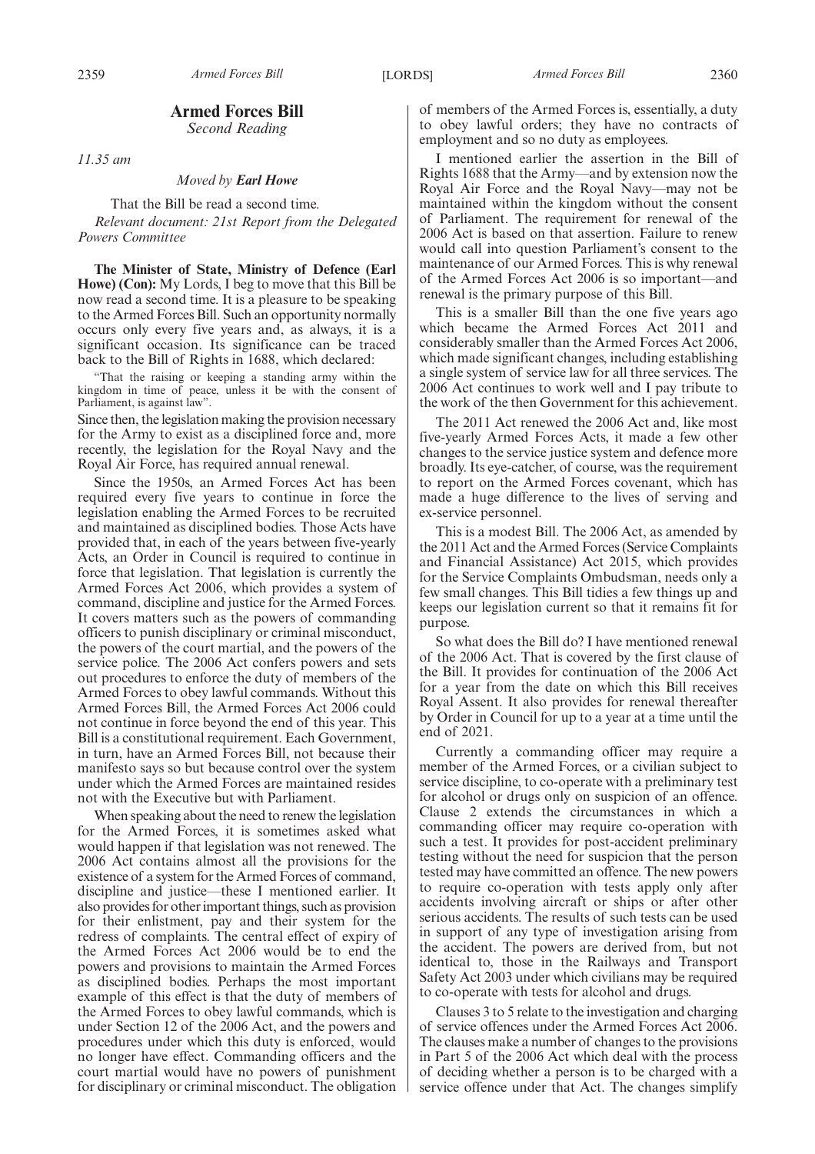## **Armed Forces Bill**

*Second Reading*

*11.35 am*

*Moved by Earl Howe*

That the Bill be read a second time. *Relevant document: 21st Report from the Delegated Powers Committee*

**The Minister of State, Ministry of Defence (Earl Howe) (Con):** My Lords, I beg to move that this Bill be now read a second time. It is a pleasure to be speaking to the Armed Forces Bill. Such an opportunity normally occurs only every five years and, as always, it is a significant occasion. Its significance can be traced back to the Bill of Rights in 1688, which declared:

That the raising or keeping a standing army within the kingdom in time of peace, unless it be with the consent of Parliament, is against law".

Since then, the legislation making the provision necessary for the Army to exist as a disciplined force and, more recently, the legislation for the Royal Navy and the Royal Air Force, has required annual renewal.

Since the 1950s, an Armed Forces Act has been required every five years to continue in force the legislation enabling the Armed Forces to be recruited and maintained as disciplined bodies. Those Acts have provided that, in each of the years between five-yearly Acts, an Order in Council is required to continue in force that legislation. That legislation is currently the Armed Forces Act 2006, which provides a system of command, discipline and justice for the Armed Forces. It covers matters such as the powers of commanding officers to punish disciplinary or criminal misconduct, the powers of the court martial, and the powers of the service police. The 2006 Act confers powers and sets out procedures to enforce the duty of members of the Armed Forces to obey lawful commands. Without this Armed Forces Bill, the Armed Forces Act 2006 could not continue in force beyond the end of this year. This Bill is a constitutional requirement. Each Government, in turn, have an Armed Forces Bill, not because their manifesto says so but because control over the system under which the Armed Forces are maintained resides not with the Executive but with Parliament.

When speaking about the need to renew the legislation for the Armed Forces, it is sometimes asked what would happen if that legislation was not renewed. The 2006 Act contains almost all the provisions for the existence of a system for the Armed Forces of command, discipline and justice—these I mentioned earlier. It also provides for other important things, such as provision for their enlistment, pay and their system for the redress of complaints. The central effect of expiry of the Armed Forces Act 2006 would be to end the powers and provisions to maintain the Armed Forces as disciplined bodies. Perhaps the most important example of this effect is that the duty of members of the Armed Forces to obey lawful commands, which is under Section 12 of the 2006 Act, and the powers and procedures under which this duty is enforced, would no longer have effect. Commanding officers and the court martial would have no powers of punishment for disciplinary or criminal misconduct. The obligation of members of the Armed Forces is, essentially, a duty to obey lawful orders; they have no contracts of employment and so no duty as employees.

I mentioned earlier the assertion in the Bill of Rights 1688 that the Army—and by extension now the Royal Air Force and the Royal Navy—may not be maintained within the kingdom without the consent of Parliament. The requirement for renewal of the 2006 Act is based on that assertion. Failure to renew would call into question Parliament's consent to the maintenance of our Armed Forces. This is why renewal of the Armed Forces Act 2006 is so important—and renewal is the primary purpose of this Bill.

This is a smaller Bill than the one five years ago which became the Armed Forces Act 2011 and considerably smaller than the Armed Forces Act 2006, which made significant changes, including establishing a single system of service law for all three services. The 2006 Act continues to work well and I pay tribute to the work of the then Government for this achievement.

The 2011 Act renewed the 2006 Act and, like most five-yearly Armed Forces Acts, it made a few other changes to the service justice system and defence more broadly. Its eye-catcher, of course, was the requirement to report on the Armed Forces covenant, which has made a huge difference to the lives of serving and ex-service personnel.

This is a modest Bill. The 2006 Act, as amended by the 2011 Act and the Armed Forces (Service Complaints and Financial Assistance) Act 2015, which provides for the Service Complaints Ombudsman, needs only a few small changes. This Bill tidies a few things up and keeps our legislation current so that it remains fit for purpose.

So what does the Bill do? I have mentioned renewal of the 2006 Act. That is covered by the first clause of the Bill. It provides for continuation of the 2006 Act for a year from the date on which this Bill receives Royal Assent. It also provides for renewal thereafter by Order in Council for up to a year at a time until the end of 2021.

Currently a commanding officer may require a member of the Armed Forces, or a civilian subject to service discipline, to co-operate with a preliminary test for alcohol or drugs only on suspicion of an offence. Clause 2 extends the circumstances in which a commanding officer may require co-operation with such a test. It provides for post-accident preliminary testing without the need for suspicion that the person tested may have committed an offence. The new powers to require co-operation with tests apply only after accidents involving aircraft or ships or after other serious accidents. The results of such tests can be used in support of any type of investigation arising from the accident. The powers are derived from, but not identical to, those in the Railways and Transport Safety Act 2003 under which civilians may be required to co-operate with tests for alcohol and drugs.

Clauses 3 to 5 relate to the investigation and charging of service offences under the Armed Forces Act 2006. The clauses make a number of changes to the provisions in Part 5 of the 2006 Act which deal with the process of deciding whether a person is to be charged with a service offence under that Act. The changes simplify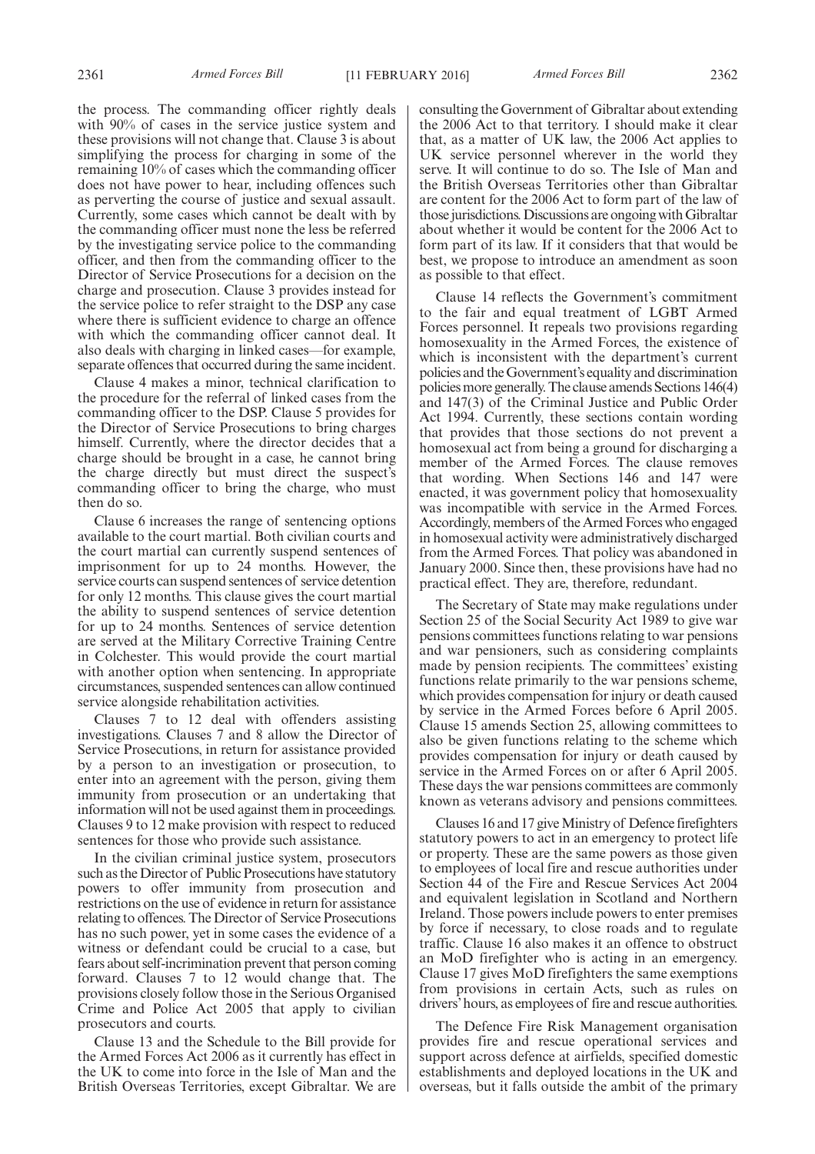the process. The commanding officer rightly deals with 90% of cases in the service justice system and these provisions will not change that. Clause 3 is about simplifying the process for charging in some of the remaining 10% of cases which the commanding officer does not have power to hear, including offences such as perverting the course of justice and sexual assault. Currently, some cases which cannot be dealt with by the commanding officer must none the less be referred by the investigating service police to the commanding officer, and then from the commanding officer to the Director of Service Prosecutions for a decision on the charge and prosecution. Clause 3 provides instead for the service police to refer straight to the DSP any case where there is sufficient evidence to charge an offence with which the commanding officer cannot deal. It also deals with charging in linked cases—for example, separate offences that occurred during the same incident.

Clause 4 makes a minor, technical clarification to the procedure for the referral of linked cases from the commanding officer to the DSP. Clause 5 provides for the Director of Service Prosecutions to bring charges himself. Currently, where the director decides that a charge should be brought in a case, he cannot bring the charge directly but must direct the suspect's commanding officer to bring the charge, who must then do so.

Clause 6 increases the range of sentencing options available to the court martial. Both civilian courts and the court martial can currently suspend sentences of imprisonment for up to 24 months. However, the service courts can suspend sentences of service detention for only 12 months. This clause gives the court martial the ability to suspend sentences of service detention for up to 24 months. Sentences of service detention are served at the Military Corrective Training Centre in Colchester. This would provide the court martial with another option when sentencing. In appropriate circumstances, suspended sentences can allow continued service alongside rehabilitation activities.

Clauses 7 to 12 deal with offenders assisting investigations. Clauses 7 and 8 allow the Director of Service Prosecutions, in return for assistance provided by a person to an investigation or prosecution, to enter into an agreement with the person, giving them immunity from prosecution or an undertaking that information will not be used against them in proceedings. Clauses 9 to 12 make provision with respect to reduced sentences for those who provide such assistance.

In the civilian criminal justice system, prosecutors such as the Director of Public Prosecutions have statutory powers to offer immunity from prosecution and restrictions on the use of evidence in return for assistance relating to offences. The Director of Service Prosecutions has no such power, yet in some cases the evidence of a witness or defendant could be crucial to a case, but fears about self-incrimination prevent that person coming forward. Clauses 7 to 12 would change that. The provisions closely follow those in the Serious Organised Crime and Police Act 2005 that apply to civilian prosecutors and courts.

Clause 13 and the Schedule to the Bill provide for the Armed Forces Act 2006 as it currently has effect in the UK to come into force in the Isle of Man and the British Overseas Territories, except Gibraltar. We are consulting the Government of Gibraltar about extending the 2006 Act to that territory. I should make it clear that, as a matter of UK law, the 2006 Act applies to UK service personnel wherever in the world they serve. It will continue to do so. The Isle of Man and the British Overseas Territories other than Gibraltar are content for the 2006 Act to form part of the law of those jurisdictions.Discussions are ongoing withGibraltar about whether it would be content for the 2006 Act to form part of its law. If it considers that that would be best, we propose to introduce an amendment as soon as possible to that effect.

Clause 14 reflects the Government's commitment to the fair and equal treatment of LGBT Armed Forces personnel. It repeals two provisions regarding homosexuality in the Armed Forces, the existence of which is inconsistent with the department's current policies and the Government's equality and discrimination policies more generally. The clause amends Sections 146(4) and 147(3) of the Criminal Justice and Public Order Act 1994. Currently, these sections contain wording that provides that those sections do not prevent a homosexual act from being a ground for discharging a member of the Armed Forces. The clause removes that wording. When Sections 146 and 147 were enacted, it was government policy that homosexuality was incompatible with service in the Armed Forces. Accordingly, members of the Armed Forces who engaged in homosexual activity were administratively discharged from the Armed Forces. That policy was abandoned in January 2000. Since then, these provisions have had no practical effect. They are, therefore, redundant.

The Secretary of State may make regulations under Section 25 of the Social Security Act 1989 to give war pensions committees functions relating to war pensions and war pensioners, such as considering complaints made by pension recipients. The committees' existing functions relate primarily to the war pensions scheme, which provides compensation for injury or death caused by service in the Armed Forces before 6 April 2005. Clause 15 amends Section 25, allowing committees to also be given functions relating to the scheme which provides compensation for injury or death caused by service in the Armed Forces on or after 6 April 2005. These days the war pensions committees are commonly known as veterans advisory and pensions committees.

Clauses 16 and 17 give Ministry of Defence firefighters statutory powers to act in an emergency to protect life or property. These are the same powers as those given to employees of local fire and rescue authorities under Section 44 of the Fire and Rescue Services Act 2004 and equivalent legislation in Scotland and Northern Ireland. Those powers include powers to enter premises by force if necessary, to close roads and to regulate traffic. Clause 16 also makes it an offence to obstruct an MoD firefighter who is acting in an emergency. Clause 17 gives MoD firefighters the same exemptions from provisions in certain Acts, such as rules on drivers' hours, as employees of fire and rescue authorities.

The Defence Fire Risk Management organisation provides fire and rescue operational services and support across defence at airfields, specified domestic establishments and deployed locations in the UK and overseas, but it falls outside the ambit of the primary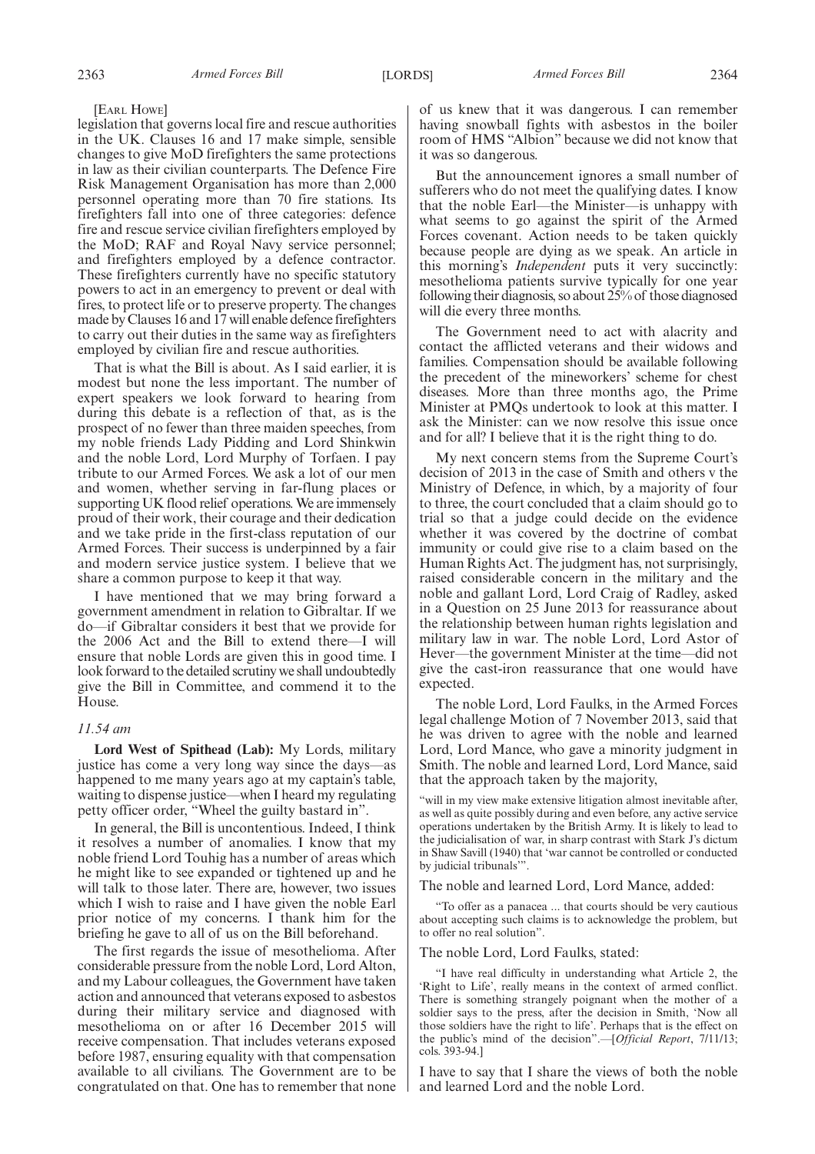#### [EARL HOWE]

legislation that governs local fire and rescue authorities in the UK. Clauses 16 and 17 make simple, sensible changes to give MoD firefighters the same protections in law as their civilian counterparts. The Defence Fire Risk Management Organisation has more than 2,000 personnel operating more than 70 fire stations. Its firefighters fall into one of three categories: defence fire and rescue service civilian firefighters employed by the MoD; RAF and Royal Navy service personnel; and firefighters employed by a defence contractor. These firefighters currently have no specific statutory powers to act in an emergency to prevent or deal with fires, to protect life or to preserve property. The changes made by Clauses 16 and 17 will enable defence firefighters to carry out their duties in the same way as firefighters employed by civilian fire and rescue authorities.

That is what the Bill is about. As I said earlier, it is modest but none the less important. The number of expert speakers we look forward to hearing from during this debate is a reflection of that, as is the prospect of no fewer than three maiden speeches, from my noble friends Lady Pidding and Lord Shinkwin and the noble Lord, Lord Murphy of Torfaen. I pay tribute to our Armed Forces. We ask a lot of our men and women, whether serving in far-flung places or supporting UK flood relief operations. We are immensely proud of their work, their courage and their dedication and we take pride in the first-class reputation of our Armed Forces. Their success is underpinned by a fair and modern service justice system. I believe that we share a common purpose to keep it that way.

I have mentioned that we may bring forward a government amendment in relation to Gibraltar. If we do—if Gibraltar considers it best that we provide for the 2006 Act and the Bill to extend there—I will ensure that noble Lords are given this in good time. I look forward to the detailed scrutiny we shall undoubtedly give the Bill in Committee, and commend it to the House.

#### *11.54 am*

**Lord West of Spithead (Lab):** My Lords, military justice has come a very long way since the days—as happened to me many years ago at my captain's table, waiting to dispense justice—when I heard my regulating petty officer order, "Wheel the guilty bastard in".

In general, the Bill is uncontentious. Indeed, I think it resolves a number of anomalies. I know that my noble friend Lord Touhig has a number of areas which he might like to see expanded or tightened up and he will talk to those later. There are, however, two issues which I wish to raise and I have given the noble Earl prior notice of my concerns. I thank him for the briefing he gave to all of us on the Bill beforehand.

The first regards the issue of mesothelioma. After considerable pressure from the noble Lord, Lord Alton, and my Labour colleagues, the Government have taken action and announced that veterans exposed to asbestos during their military service and diagnosed with mesothelioma on or after 16 December 2015 will receive compensation. That includes veterans exposed before 1987, ensuring equality with that compensation available to all civilians. The Government are to be congratulated on that. One has to remember that none

of us knew that it was dangerous. I can remember having snowball fights with asbestos in the boiler room of HMS "Albion" because we did not know that it was so dangerous.

But the announcement ignores a small number of sufferers who do not meet the qualifying dates. I know that the noble Earl—the Minister—is unhappy with what seems to go against the spirit of the Armed Forces covenant. Action needs to be taken quickly because people are dying as we speak. An article in this morning's *Independent* puts it very succinctly: mesothelioma patients survive typically for one year following their diagnosis, so about 25% of those diagnosed will die every three months.

The Government need to act with alacrity and contact the afflicted veterans and their widows and families. Compensation should be available following the precedent of the mineworkers' scheme for chest diseases. More than three months ago, the Prime Minister at PMQs undertook to look at this matter. I ask the Minister: can we now resolve this issue once and for all? I believe that it is the right thing to do.

My next concern stems from the Supreme Court's decision of 2013 in the case of Smith and others v the Ministry of Defence, in which, by a majority of four to three, the court concluded that a claim should go to trial so that a judge could decide on the evidence whether it was covered by the doctrine of combat immunity or could give rise to a claim based on the Human Rights Act. The judgment has, not surprisingly, raised considerable concern in the military and the noble and gallant Lord, Lord Craig of Radley, asked in a Question on 25 June 2013 for reassurance about the relationship between human rights legislation and military law in war. The noble Lord, Lord Astor of Hever—the government Minister at the time—did not give the cast-iron reassurance that one would have expected.

The noble Lord, Lord Faulks, in the Armed Forces legal challenge Motion of 7 November 2013, said that he was driven to agree with the noble and learned Lord, Lord Mance, who gave a minority judgment in Smith. The noble and learned Lord, Lord Mance, said that the approach taken by the majority,

"will in my view make extensive litigation almost inevitable after, as well as quite possibly during and even before, any active service operations undertaken by the British Army. It is likely to lead to the judicialisation of war, in sharp contrast with Stark J's dictum in Shaw Savill (1940) that 'war cannot be controlled or conducted by judicial tribunals'".

The noble and learned Lord, Lord Mance, added:

"To offer as a panacea ... that courts should be very cautious about accepting such claims is to acknowledge the problem, but to offer no real solution".

The noble Lord, Lord Faulks, stated:

"I have real difficulty in understanding what Article 2, the 'Right to Life', really means in the context of armed conflict. There is something strangely poignant when the mother of a soldier says to the press, after the decision in Smith, 'Now all those soldiers have the right to life'. Perhaps that is the effect on the public's mind of the decision".—[*Official Report*, 7/11/13; cols. 393-94.]

I have to say that I share the views of both the noble and learned Lord and the noble Lord.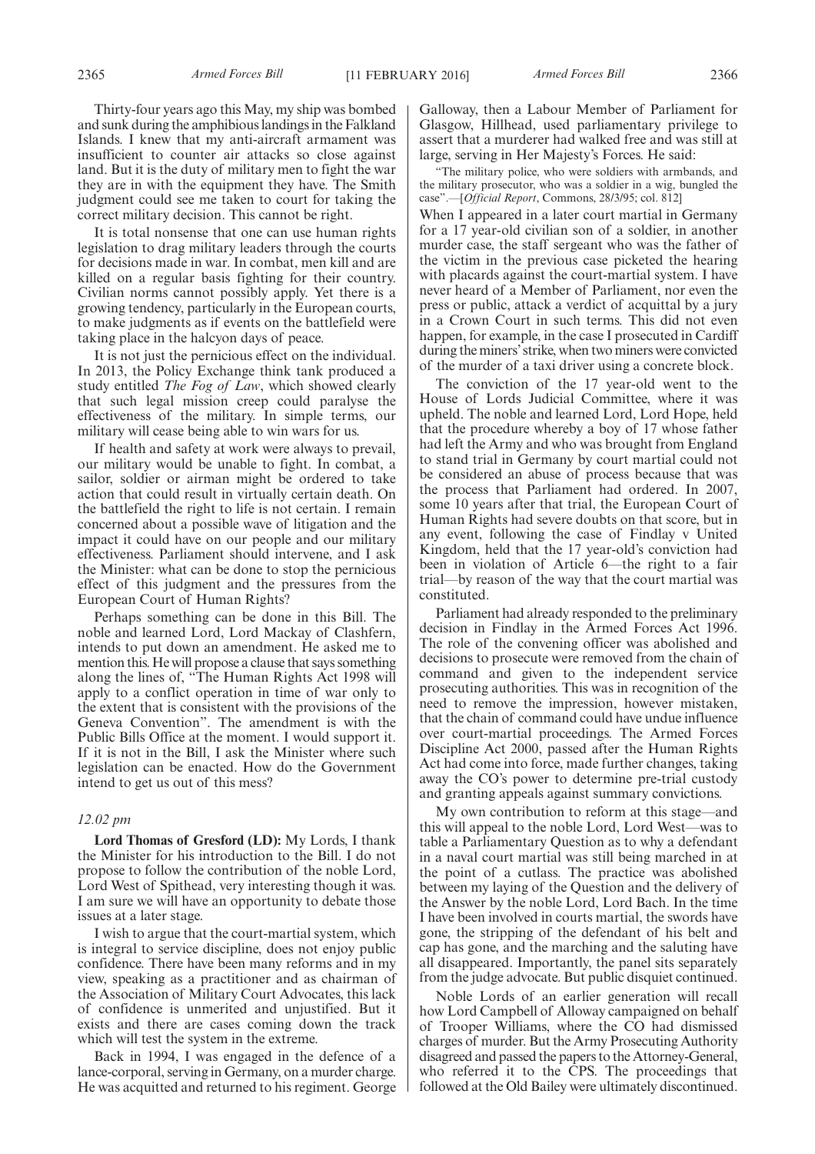Thirty-four years ago this May, my ship was bombed and sunk during the amphibious landings in the Falkland Islands. I knew that my anti-aircraft armament was insufficient to counter air attacks so close against land. But it is the duty of military men to fight the war they are in with the equipment they have. The Smith judgment could see me taken to court for taking the correct military decision. This cannot be right.

It is total nonsense that one can use human rights legislation to drag military leaders through the courts for decisions made in war. In combat, men kill and are killed on a regular basis fighting for their country. Civilian norms cannot possibly apply. Yet there is a growing tendency, particularly in the European courts, to make judgments as if events on the battlefield were taking place in the halcyon days of peace.

It is not just the pernicious effect on the individual. In 2013, the Policy Exchange think tank produced a study entitled *The Fog of Law*, which showed clearly that such legal mission creep could paralyse the effectiveness of the military. In simple terms, our military will cease being able to win wars for us.

If health and safety at work were always to prevail, our military would be unable to fight. In combat, a sailor, soldier or airman might be ordered to take action that could result in virtually certain death. On the battlefield the right to life is not certain. I remain concerned about a possible wave of litigation and the impact it could have on our people and our military effectiveness. Parliament should intervene, and I ask the Minister: what can be done to stop the pernicious effect of this judgment and the pressures from the European Court of Human Rights?

Perhaps something can be done in this Bill. The noble and learned Lord, Lord Mackay of Clashfern, intends to put down an amendment. He asked me to mention this. He will propose a clause that says something along the lines of, "The Human Rights Act 1998 will apply to a conflict operation in time of war only to the extent that is consistent with the provisions of the Geneva Convention". The amendment is with the Public Bills Office at the moment. I would support it. If it is not in the Bill, I ask the Minister where such legislation can be enacted. How do the Government intend to get us out of this mess?

#### *12.02 pm*

**Lord Thomas of Gresford (LD):** My Lords, I thank the Minister for his introduction to the Bill. I do not propose to follow the contribution of the noble Lord, Lord West of Spithead, very interesting though it was. I am sure we will have an opportunity to debate those issues at a later stage.

I wish to argue that the court-martial system, which is integral to service discipline, does not enjoy public confidence. There have been many reforms and in my view, speaking as a practitioner and as chairman of the Association of Military Court Advocates, this lack of confidence is unmerited and unjustified. But it exists and there are cases coming down the track which will test the system in the extreme.

Back in 1994, I was engaged in the defence of a lance-corporal, serving in Germany, on a murder charge. He was acquitted and returned to his regiment. George Galloway, then a Labour Member of Parliament for Glasgow, Hillhead, used parliamentary privilege to assert that a murderer had walked free and was still at large, serving in Her Majesty's Forces. He said:

"The military police, who were soldiers with armbands, and the military prosecutor, who was a soldier in a wig, bungled the case".—[*Official Report*, Commons, 28/3/95; col. 812]

When I appeared in a later court martial in Germany for a 17 year-old civilian son of a soldier, in another murder case, the staff sergeant who was the father of the victim in the previous case picketed the hearing with placards against the court-martial system. I have never heard of a Member of Parliament, nor even the press or public, attack a verdict of acquittal by a jury in a Crown Court in such terms. This did not even happen, for example, in the case I prosecuted in Cardiff during the miners' strike, when two miners were convicted of the murder of a taxi driver using a concrete block.

The conviction of the 17 year-old went to the House of Lords Judicial Committee, where it was upheld. The noble and learned Lord, Lord Hope, held that the procedure whereby a boy of 17 whose father had left the Army and who was brought from England to stand trial in Germany by court martial could not be considered an abuse of process because that was the process that Parliament had ordered. In 2007, some 10 years after that trial, the European Court of Human Rights had severe doubts on that score, but in any event, following the case of Findlay v United Kingdom, held that the 17 year-old's conviction had been in violation of Article 6—the right to a fair trial—by reason of the way that the court martial was constituted.

Parliament had already responded to the preliminary decision in Findlay in the Armed Forces Act 1996. The role of the convening officer was abolished and decisions to prosecute were removed from the chain of command and given to the independent service prosecuting authorities. This was in recognition of the need to remove the impression, however mistaken, that the chain of command could have undue influence over court-martial proceedings. The Armed Forces Discipline Act 2000, passed after the Human Rights Act had come into force, made further changes, taking away the CO's power to determine pre-trial custody and granting appeals against summary convictions.

My own contribution to reform at this stage—and this will appeal to the noble Lord, Lord West—was to table a Parliamentary Question as to why a defendant in a naval court martial was still being marched in at the point of a cutlass. The practice was abolished between my laying of the Question and the delivery of the Answer by the noble Lord, Lord Bach. In the time I have been involved in courts martial, the swords have gone, the stripping of the defendant of his belt and cap has gone, and the marching and the saluting have all disappeared. Importantly, the panel sits separately from the judge advocate. But public disquiet continued.

Noble Lords of an earlier generation will recall how Lord Campbell of Alloway campaigned on behalf of Trooper Williams, where the CO had dismissed charges of murder. But the Army Prosecuting Authority disagreed and passed the papers to the Attorney-General, who referred it to the CPS. The proceedings that followed at the Old Bailey were ultimately discontinued.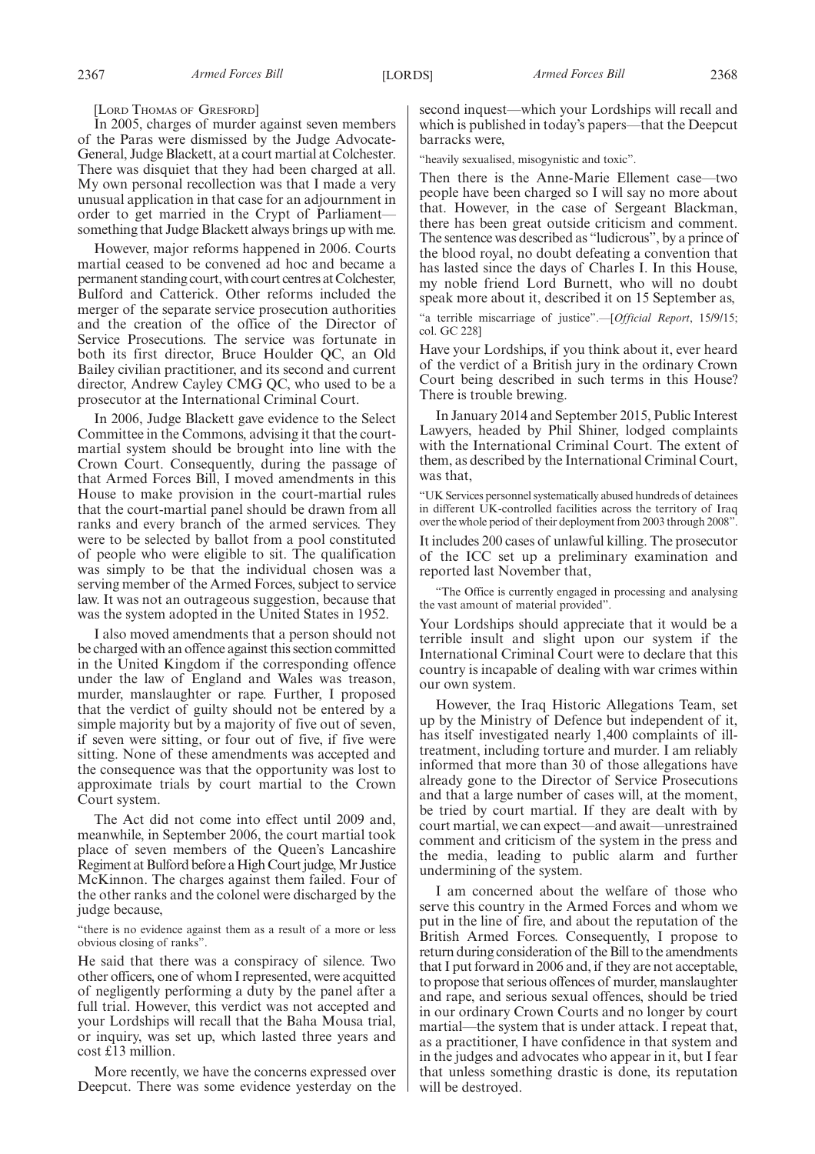[LORD THOMAS OF GRESFORD]

In 2005, charges of murder against seven members of the Paras were dismissed by the Judge Advocate-General, Judge Blackett, at a court martial at Colchester. There was disquiet that they had been charged at all. My own personal recollection was that I made a very unusual application in that case for an adjournment in order to get married in the Crypt of Parliament something that Judge Blackett always brings up with me.

However, major reforms happened in 2006. Courts martial ceased to be convened ad hoc and became a permanent standing court, with court centres at Colchester, Bulford and Catterick. Other reforms included the merger of the separate service prosecution authorities and the creation of the office of the Director of Service Prosecutions. The service was fortunate in both its first director, Bruce Houlder QC, an Old Bailey civilian practitioner, and its second and current director, Andrew Cayley CMG QC, who used to be a prosecutor at the International Criminal Court.

In 2006, Judge Blackett gave evidence to the Select Committee in the Commons, advising it that the courtmartial system should be brought into line with the Crown Court. Consequently, during the passage of that Armed Forces Bill, I moved amendments in this House to make provision in the court-martial rules that the court-martial panel should be drawn from all ranks and every branch of the armed services. They were to be selected by ballot from a pool constituted of people who were eligible to sit. The qualification was simply to be that the individual chosen was a serving member of the Armed Forces, subject to service law. It was not an outrageous suggestion, because that was the system adopted in the United States in 1952.

I also moved amendments that a person should not be charged with an offence against this section committed in the United Kingdom if the corresponding offence under the law of England and Wales was treason, murder, manslaughter or rape. Further, I proposed that the verdict of guilty should not be entered by a simple majority but by a majority of five out of seven, if seven were sitting, or four out of five, if five were sitting. None of these amendments was accepted and the consequence was that the opportunity was lost to approximate trials by court martial to the Crown Court system.

The Act did not come into effect until 2009 and, meanwhile, in September 2006, the court martial took place of seven members of the Queen's Lancashire Regiment at Bulford before a High Court judge, Mr Justice McKinnon. The charges against them failed. Four of the other ranks and the colonel were discharged by the judge because,

"there is no evidence against them as a result of a more or less obvious closing of ranks".

He said that there was a conspiracy of silence. Two other officers, one of whom I represented, were acquitted of negligently performing a duty by the panel after a full trial. However, this verdict was not accepted and your Lordships will recall that the Baha Mousa trial, or inquiry, was set up, which lasted three years and cost £13 million.

More recently, we have the concerns expressed over Deepcut. There was some evidence yesterday on the second inquest—which your Lordships will recall and which is published in today's papers—that the Deepcut barracks were,

"heavily sexualised, misogynistic and toxic".

Then there is the Anne-Marie Ellement case—two people have been charged so I will say no more about that. However, in the case of Sergeant Blackman, there has been great outside criticism and comment. The sentence was described as "ludicrous", by a prince of the blood royal, no doubt defeating a convention that has lasted since the days of Charles I. In this House, my noble friend Lord Burnett, who will no doubt speak more about it, described it on 15 September as,

"a terrible miscarriage of justice".—[*Official Report*, 15/9/15; col. GC 228]

Have your Lordships, if you think about it, ever heard of the verdict of a British jury in the ordinary Crown Court being described in such terms in this House? There is trouble brewing.

In January 2014 and September 2015, Public Interest Lawyers, headed by Phil Shiner, lodged complaints with the International Criminal Court. The extent of them, as described by the International Criminal Court, was that,

"UK Services personnel systematically abused hundreds of detainees in different UK-controlled facilities across the territory of Iraq over the whole period of their deployment from 2003 through 2008".

It includes 200 cases of unlawful killing. The prosecutor of the ICC set up a preliminary examination and reported last November that,

"The Office is currently engaged in processing and analysing the vast amount of material provided".

Your Lordships should appreciate that it would be a terrible insult and slight upon our system if the International Criminal Court were to declare that this country is incapable of dealing with war crimes within our own system.

However, the Iraq Historic Allegations Team, set up by the Ministry of Defence but independent of it, has itself investigated nearly 1,400 complaints of illtreatment, including torture and murder. I am reliably informed that more than 30 of those allegations have already gone to the Director of Service Prosecutions and that a large number of cases will, at the moment, be tried by court martial. If they are dealt with by court martial, we can expect—and await—unrestrained comment and criticism of the system in the press and the media, leading to public alarm and further undermining of the system.

I am concerned about the welfare of those who serve this country in the Armed Forces and whom we put in the line of fire, and about the reputation of the British Armed Forces. Consequently, I propose to return during consideration of the Bill to the amendments that I put forward in 2006 and, if they are not acceptable, to propose that serious offences of murder, manslaughter and rape, and serious sexual offences, should be tried in our ordinary Crown Courts and no longer by court martial—the system that is under attack. I repeat that, as a practitioner, I have confidence in that system and in the judges and advocates who appear in it, but I fear that unless something drastic is done, its reputation will be destroyed.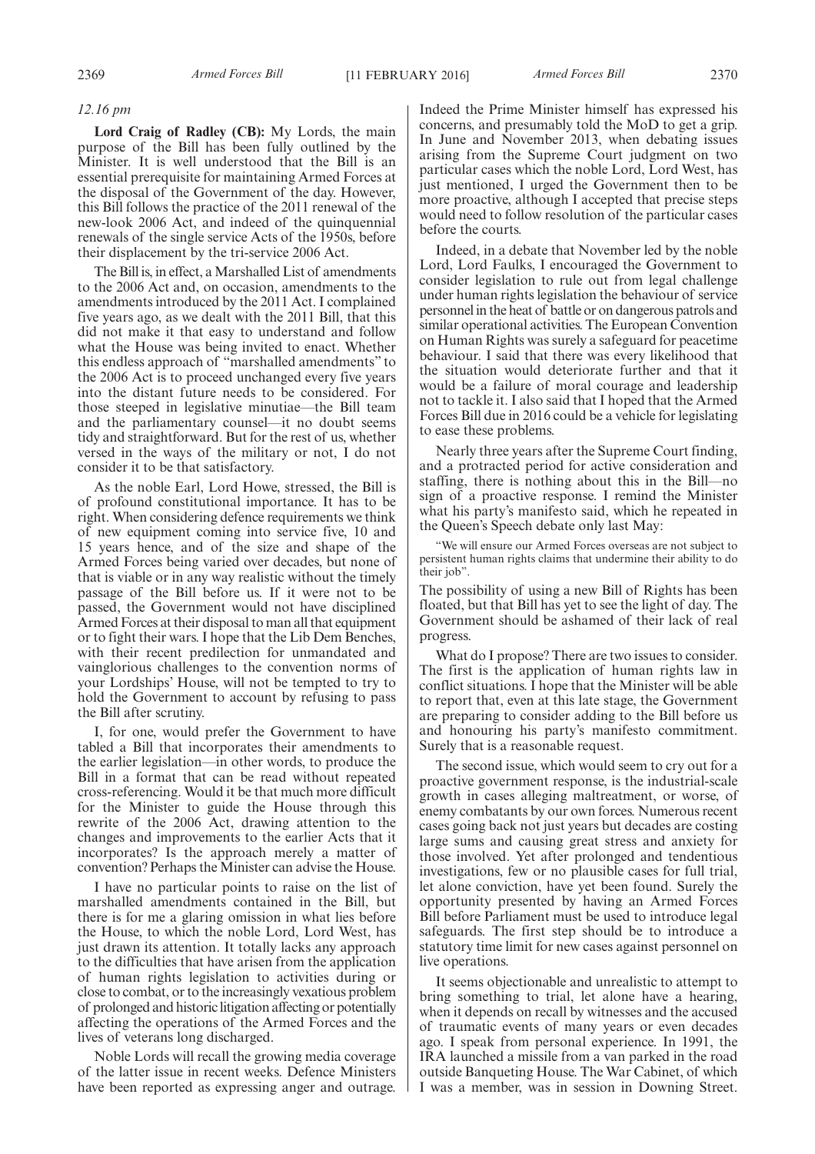#### *12.16 pm*

**Lord Craig of Radley (CB):** My Lords, the main purpose of the Bill has been fully outlined by the Minister. It is well understood that the Bill is an essential prerequisite for maintaining Armed Forces at the disposal of the Government of the day. However, this Bill follows the practice of the 2011 renewal of the new-look 2006 Act, and indeed of the quinquennial renewals of the single service Acts of the 1950s, before their displacement by the tri-service 2006 Act.

The Bill is, in effect, a Marshalled List of amendments to the 2006 Act and, on occasion, amendments to the amendments introduced by the 2011 Act. I complained five years ago, as we dealt with the 2011 Bill, that this did not make it that easy to understand and follow what the House was being invited to enact. Whether this endless approach of "marshalled amendments" to the 2006 Act is to proceed unchanged every five years into the distant future needs to be considered. For those steeped in legislative minutiae—the Bill team and the parliamentary counsel—it no doubt seems tidy and straightforward. But for the rest of us, whether versed in the ways of the military or not, I do not consider it to be that satisfactory.

As the noble Earl, Lord Howe, stressed, the Bill is of profound constitutional importance. It has to be right. When considering defence requirements we think of new equipment coming into service five, 10 and 15 years hence, and of the size and shape of the Armed Forces being varied over decades, but none of that is viable or in any way realistic without the timely passage of the Bill before us. If it were not to be passed, the Government would not have disciplined Armed Forces at their disposal to man all that equipment or to fight their wars. I hope that the Lib Dem Benches, with their recent predilection for unmandated and vainglorious challenges to the convention norms of your Lordships' House, will not be tempted to try to hold the Government to account by refusing to pass the Bill after scrutiny.

I, for one, would prefer the Government to have tabled a Bill that incorporates their amendments to the earlier legislation—in other words, to produce the Bill in a format that can be read without repeated cross-referencing. Would it be that much more difficult for the Minister to guide the House through this rewrite of the 2006 Act, drawing attention to the changes and improvements to the earlier Acts that it incorporates? Is the approach merely a matter of convention? Perhaps the Minister can advise the House.

I have no particular points to raise on the list of marshalled amendments contained in the Bill, but there is for me a glaring omission in what lies before the House, to which the noble Lord, Lord West, has just drawn its attention. It totally lacks any approach to the difficulties that have arisen from the application of human rights legislation to activities during or close to combat, or to the increasingly vexatious problem of prolonged and historic litigation affecting or potentially affecting the operations of the Armed Forces and the lives of veterans long discharged.

Noble Lords will recall the growing media coverage of the latter issue in recent weeks. Defence Ministers have been reported as expressing anger and outrage. Indeed the Prime Minister himself has expressed his concerns, and presumably told the MoD to get a grip. In June and November 2013, when debating issues arising from the Supreme Court judgment on two particular cases which the noble Lord, Lord West, has just mentioned, I urged the Government then to be more proactive, although I accepted that precise steps would need to follow resolution of the particular cases before the courts.

Indeed, in a debate that November led by the noble Lord, Lord Faulks, I encouraged the Government to consider legislation to rule out from legal challenge under human rights legislation the behaviour of service personnel in the heat of battle or on dangerous patrols and similar operational activities. The European Convention on Human Rights was surely a safeguard for peacetime behaviour. I said that there was every likelihood that the situation would deteriorate further and that it would be a failure of moral courage and leadership not to tackle it. I also said that I hoped that the Armed Forces Bill due in 2016 could be a vehicle for legislating to ease these problems.

Nearly three years after the Supreme Court finding, and a protracted period for active consideration and staffing, there is nothing about this in the Bill—no sign of a proactive response. I remind the Minister what his party's manifesto said, which he repeated in the Queen's Speech debate only last May:

"We will ensure our Armed Forces overseas are not subject to persistent human rights claims that undermine their ability to do their job".

The possibility of using a new Bill of Rights has been floated, but that Bill has yet to see the light of day. The Government should be ashamed of their lack of real progress.

What do I propose? There are two issues to consider. The first is the application of human rights law in conflict situations. I hope that the Minister will be able to report that, even at this late stage, the Government are preparing to consider adding to the Bill before us and honouring his party's manifesto commitment. Surely that is a reasonable request.

The second issue, which would seem to cry out for a proactive government response, is the industrial-scale growth in cases alleging maltreatment, or worse, of enemy combatants by our own forces. Numerous recent cases going back not just years but decades are costing large sums and causing great stress and anxiety for those involved. Yet after prolonged and tendentious investigations, few or no plausible cases for full trial, let alone conviction, have yet been found. Surely the opportunity presented by having an Armed Forces Bill before Parliament must be used to introduce legal safeguards. The first step should be to introduce a statutory time limit for new cases against personnel on live operations.

It seems objectionable and unrealistic to attempt to bring something to trial, let alone have a hearing, when it depends on recall by witnesses and the accused of traumatic events of many years or even decades ago. I speak from personal experience. In 1991, the IRA launched a missile from a van parked in the road outside Banqueting House. The War Cabinet, of which I was a member, was in session in Downing Street.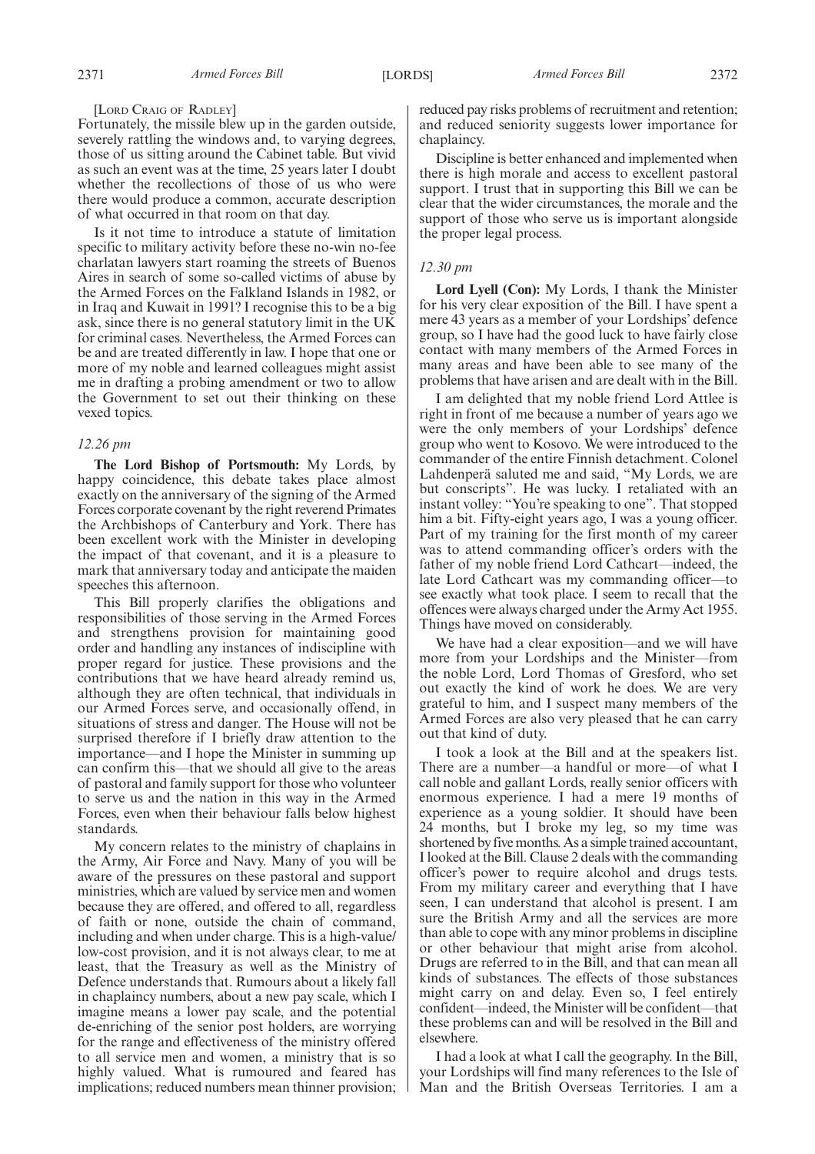#### [LORD CRAIG OF RADLEY]

Fortunately, the missile blew up in the garden outside, severely rattling the windows and, to varying degrees, those of us sitting around the Cabinet table. But vivid as such an event was at the time, 25 years later I doubt whether the recollections of those of us who were there would produce a common, accurate description of what occurred in that room on that day.

Is it not time to introduce a statute of limitation specific to military activity before these no-win no-fee charlatan lawyers start roaming the streets of Buenos Aires in search of some so-called victims of abuse by the Armed Forces on the Falkland Islands in 1982, or in Iraq and Kuwait in 1991? I recognise this to be a big ask, since there is no general statutory limit in the UK for criminal cases. Nevertheless, the Armed Forces can be and are treated differently in law. I hope that one or more of my noble and learned colleagues might assist me in drafting a probing amendment or two to allow the Government to set out their thinking on these vexed topics.

#### *12.26 pm*

**The Lord Bishop of Portsmouth:** My Lords, by happy coincidence, this debate takes place almost exactly on the anniversary of the signing of the Armed Forces corporate covenant by the right reverend Primates the Archbishops of Canterbury and York. There has been excellent work with the Minister in developing the impact of that covenant, and it is a pleasure to mark that anniversary today and anticipate the maiden speeches this afternoon.

This Bill properly clarifies the obligations and responsibilities of those serving in the Armed Forces and strengthens provision for maintaining good order and handling any instances of indiscipline with proper regard for justice. These provisions and the contributions that we have heard already remind us, although they are often technical, that individuals in our Armed Forces serve, and occasionally offend, in situations of stress and danger. The House will not be surprised therefore if I briefly draw attention to the importance—and I hope the Minister in summing up can confirm this—that we should all give to the areas of pastoral and family support for those who volunteer to serve us and the nation in this way in the Armed Forces, even when their behaviour falls below highest standards.

My concern relates to the ministry of chaplains in the Army, Air Force and Navy. Many of you will be aware of the pressures on these pastoral and support ministries, which are valued by service men and women because they are offered, and offered to all, regardless of faith or none, outside the chain of command, including and when under charge. This is a high-value/ low-cost provision, and it is not always clear, to me at least, that the Treasury as well as the Ministry of Defence understands that. Rumours about a likely fall in chaplaincy numbers, about a new pay scale, which I imagine means a lower pay scale, and the potential de-enriching of the senior post holders, are worrying for the range and effectiveness of the ministry offered to all service men and women, a ministry that is so highly valued. What is rumoured and feared has implications; reduced numbers mean thinner provision; reduced pay risks problems of recruitment and retention; and reduced seniority suggests lower importance for chaplaincy.

Discipline is better enhanced and implemented when there is high morale and access to excellent pastoral support. I trust that in supporting this Bill we can be clear that the wider circumstances, the morale and the support of those who serve us is important alongside the proper legal process.

#### *12.30 pm*

**Lord Lyell (Con):** My Lords, I thank the Minister for his very clear exposition of the Bill. I have spent a mere 43 years as a member of your Lordships' defence group, so I have had the good luck to have fairly close contact with many members of the Armed Forces in many areas and have been able to see many of the problems that have arisen and are dealt with in the Bill.

I am delighted that my noble friend Lord Attlee is right in front of me because a number of years ago we were the only members of your Lordships' defence group who went to Kosovo. We were introduced to the commander of the entire Finnish detachment. Colonel Lahdenperä saluted me and said, "My Lords, we are but conscripts". He was lucky. I retaliated with an instant volley: "You're speaking to one". That stopped him a bit. Fifty-eight years ago, I was a young officer. Part of my training for the first month of my career was to attend commanding officer's orders with the father of my noble friend Lord Cathcart—indeed, the late Lord Cathcart was my commanding officer—to see exactly what took place. I seem to recall that the offences were always charged under the Army Act 1955. Things have moved on considerably.

We have had a clear exposition—and we will have more from your Lordships and the Minister—from the noble Lord, Lord Thomas of Gresford, who set out exactly the kind of work he does. We are very grateful to him, and I suspect many members of the Armed Forces are also very pleased that he can carry out that kind of duty.

I took a look at the Bill and at the speakers list. There are a number—a handful or more—of what I call noble and gallant Lords, really senior officers with enormous experience. I had a mere 19 months of experience as a young soldier. It should have been 24 months, but I broke my leg, so my time was shortened by five months. As a simple trained accountant, I looked at the Bill. Clause 2 deals with the commanding officer's power to require alcohol and drugs tests. From my military career and everything that I have seen, I can understand that alcohol is present. I am sure the British Army and all the services are more than able to cope with any minor problems in discipline or other behaviour that might arise from alcohol. Drugs are referred to in the Bill, and that can mean all kinds of substances. The effects of those substances might carry on and delay. Even so, I feel entirely confident—indeed, the Minister will be confident—that these problems can and will be resolved in the Bill and elsewhere.

I had a look at what I call the geography. In the Bill, your Lordships will find many references to the Isle of Man and the British Overseas Territories. I am a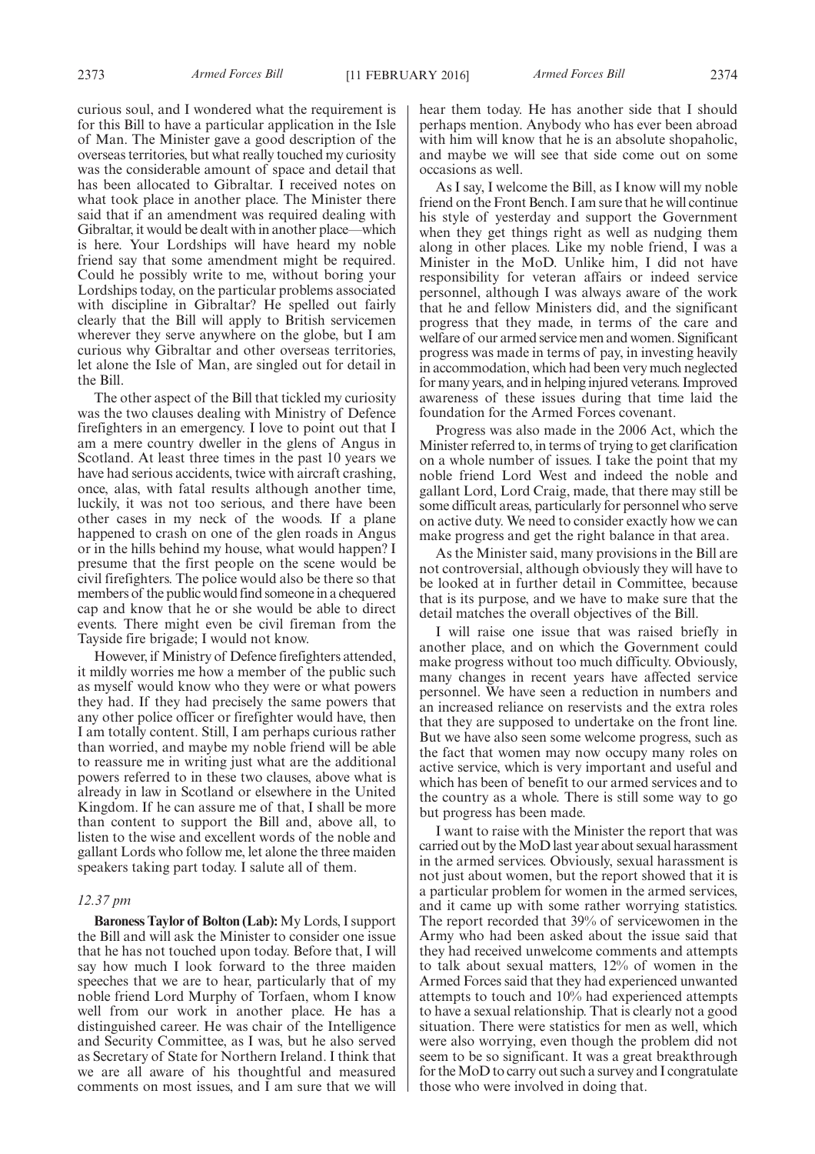curious soul, and I wondered what the requirement is for this Bill to have a particular application in the Isle of Man. The Minister gave a good description of the overseas territories, but what really touched my curiosity was the considerable amount of space and detail that has been allocated to Gibraltar. I received notes on what took place in another place. The Minister there said that if an amendment was required dealing with Gibraltar, it would be dealt with in another place—which is here. Your Lordships will have heard my noble friend say that some amendment might be required. Could he possibly write to me, without boring your Lordships today, on the particular problems associated with discipline in Gibraltar? He spelled out fairly clearly that the Bill will apply to British servicemen wherever they serve anywhere on the globe, but I am curious why Gibraltar and other overseas territories, let alone the Isle of Man, are singled out for detail in the Bill.

The other aspect of the Bill that tickled my curiosity was the two clauses dealing with Ministry of Defence firefighters in an emergency. I love to point out that I am a mere country dweller in the glens of Angus in Scotland. At least three times in the past 10 years we have had serious accidents, twice with aircraft crashing, once, alas, with fatal results although another time, luckily, it was not too serious, and there have been other cases in my neck of the woods. If a plane happened to crash on one of the glen roads in Angus or in the hills behind my house, what would happen? I presume that the first people on the scene would be civil firefighters. The police would also be there so that members of the public would find someone in a chequered cap and know that he or she would be able to direct events. There might even be civil fireman from the Tayside fire brigade; I would not know.

However, if Ministry of Defence firefighters attended, it mildly worries me how a member of the public such as myself would know who they were or what powers they had. If they had precisely the same powers that any other police officer or firefighter would have, then I am totally content. Still, I am perhaps curious rather than worried, and maybe my noble friend will be able to reassure me in writing just what are the additional powers referred to in these two clauses, above what is already in law in Scotland or elsewhere in the United Kingdom. If he can assure me of that, I shall be more than content to support the Bill and, above all, to listen to the wise and excellent words of the noble and gallant Lords who follow me, let alone the three maiden speakers taking part today. I salute all of them.

#### *12.37 pm*

**Baroness Taylor of Bolton (Lab):** My Lords, I support the Bill and will ask the Minister to consider one issue that he has not touched upon today. Before that, I will say how much I look forward to the three maiden speeches that we are to hear, particularly that of my noble friend Lord Murphy of Torfaen, whom I know well from our work in another place. He has a distinguished career. He was chair of the Intelligence and Security Committee, as I was, but he also served as Secretary of State for Northern Ireland. I think that we are all aware of his thoughtful and measured comments on most issues, and  $\overline{I}$  am sure that we will hear them today. He has another side that I should perhaps mention. Anybody who has ever been abroad with him will know that he is an absolute shopaholic, and maybe we will see that side come out on some occasions as well.

As I say, I welcome the Bill, as I know will my noble friend on the Front Bench. I am sure that he will continue his style of yesterday and support the Government when they get things right as well as nudging them along in other places. Like my noble friend, I was a Minister in the MoD. Unlike him, I did not have responsibility for veteran affairs or indeed service personnel, although I was always aware of the work that he and fellow Ministers did, and the significant progress that they made, in terms of the care and welfare of our armed service men and women. Significant progress was made in terms of pay, in investing heavily in accommodation, which had been very much neglected for many years, and in helping injured veterans. Improved awareness of these issues during that time laid the foundation for the Armed Forces covenant.

Progress was also made in the 2006 Act, which the Minister referred to, in terms of trying to get clarification on a whole number of issues. I take the point that my noble friend Lord West and indeed the noble and gallant Lord, Lord Craig, made, that there may still be some difficult areas, particularly for personnel who serve on active duty. We need to consider exactly how we can make progress and get the right balance in that area.

As the Minister said, many provisions in the Bill are not controversial, although obviously they will have to be looked at in further detail in Committee, because that is its purpose, and we have to make sure that the detail matches the overall objectives of the Bill.

I will raise one issue that was raised briefly in another place, and on which the Government could make progress without too much difficulty. Obviously, many changes in recent years have affected service personnel. We have seen a reduction in numbers and an increased reliance on reservists and the extra roles that they are supposed to undertake on the front line. But we have also seen some welcome progress, such as the fact that women may now occupy many roles on active service, which is very important and useful and which has been of benefit to our armed services and to the country as a whole. There is still some way to go but progress has been made.

I want to raise with the Minister the report that was carried out by the MoD last year about sexual harassment in the armed services. Obviously, sexual harassment is not just about women, but the report showed that it is a particular problem for women in the armed services, and it came up with some rather worrying statistics. The report recorded that 39% of servicewomen in the Army who had been asked about the issue said that they had received unwelcome comments and attempts to talk about sexual matters, 12% of women in the Armed Forces said that they had experienced unwanted attempts to touch and 10% had experienced attempts to have a sexual relationship. That is clearly not a good situation. There were statistics for men as well, which were also worrying, even though the problem did not seem to be so significant. It was a great breakthrough for the MoD to carry out such a survey and I congratulate those who were involved in doing that.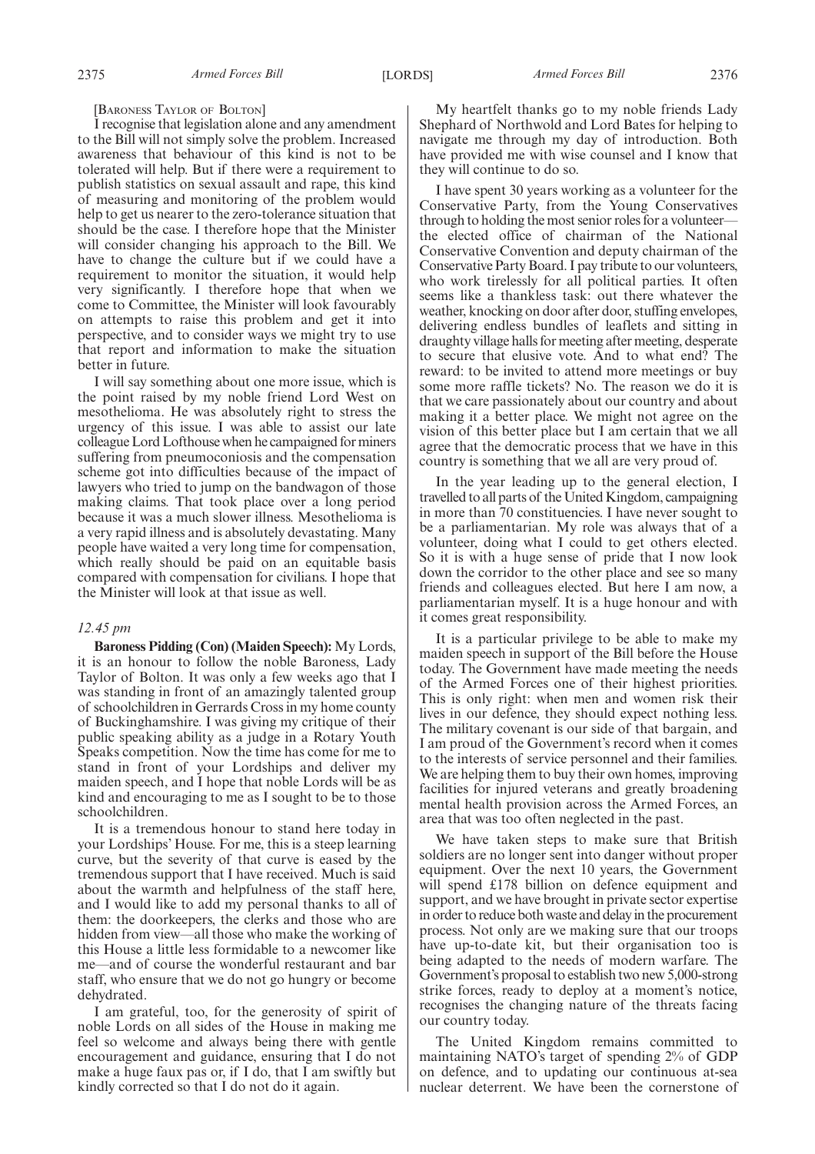[BARONESS TAYLOR OF BOLTON]

I recognise that legislation alone and any amendment to the Bill will not simply solve the problem. Increased awareness that behaviour of this kind is not to be tolerated will help. But if there were a requirement to publish statistics on sexual assault and rape, this kind of measuring and monitoring of the problem would help to get us nearer to the zero-tolerance situation that should be the case. I therefore hope that the Minister will consider changing his approach to the Bill. We have to change the culture but if we could have a requirement to monitor the situation, it would help very significantly. I therefore hope that when we come to Committee, the Minister will look favourably on attempts to raise this problem and get it into perspective, and to consider ways we might try to use that report and information to make the situation better in future.

I will say something about one more issue, which is the point raised by my noble friend Lord West on mesothelioma. He was absolutely right to stress the urgency of this issue. I was able to assist our late colleague Lord Lofthouse when he campaigned for miners suffering from pneumoconiosis and the compensation scheme got into difficulties because of the impact of lawyers who tried to jump on the bandwagon of those making claims. That took place over a long period because it was a much slower illness. Mesothelioma is a very rapid illness and is absolutely devastating. Many people have waited a very long time for compensation, which really should be paid on an equitable basis compared with compensation for civilians. I hope that the Minister will look at that issue as well.

#### *12.45 pm*

**Baroness Pidding (Con) (Maiden Speech):** My Lords, it is an honour to follow the noble Baroness, Lady Taylor of Bolton. It was only a few weeks ago that I was standing in front of an amazingly talented group of schoolchildren in Gerrards Cross in my home county of Buckinghamshire. I was giving my critique of their public speaking ability as a judge in a Rotary Youth Speaks competition. Now the time has come for me to stand in front of your Lordships and deliver my maiden speech, and I hope that noble Lords will be as kind and encouraging to me as I sought to be to those schoolchildren.

It is a tremendous honour to stand here today in your Lordships' House. For me, this is a steep learning curve, but the severity of that curve is eased by the tremendous support that I have received. Much is said about the warmth and helpfulness of the staff here, and I would like to add my personal thanks to all of them: the doorkeepers, the clerks and those who are hidden from view—all those who make the working of this House a little less formidable to a newcomer like me—and of course the wonderful restaurant and bar staff, who ensure that we do not go hungry or become dehydrated.

I am grateful, too, for the generosity of spirit of noble Lords on all sides of the House in making me feel so welcome and always being there with gentle encouragement and guidance, ensuring that I do not make a huge faux pas or, if I do, that I am swiftly but kindly corrected so that I do not do it again.

My heartfelt thanks go to my noble friends Lady Shephard of Northwold and Lord Bates for helping to navigate me through my day of introduction. Both have provided me with wise counsel and I know that they will continue to do so.

I have spent 30 years working as a volunteer for the Conservative Party, from the Young Conservatives through to holding the most senior roles for a volunteer the elected office of chairman of the National Conservative Convention and deputy chairman of the Conservative Party Board. I pay tribute to our volunteers, who work tirelessly for all political parties. It often seems like a thankless task: out there whatever the weather, knocking on door after door, stuffing envelopes, delivering endless bundles of leaflets and sitting in draughty village halls for meeting after meeting, desperate to secure that elusive vote. And to what end? The reward: to be invited to attend more meetings or buy some more raffle tickets? No. The reason we do it is that we care passionately about our country and about making it a better place. We might not agree on the vision of this better place but I am certain that we all agree that the democratic process that we have in this country is something that we all are very proud of.

In the year leading up to the general election, I travelled to all parts of the United Kingdom, campaigning in more than 70 constituencies. I have never sought to be a parliamentarian. My role was always that of a volunteer, doing what I could to get others elected. So it is with a huge sense of pride that I now look down the corridor to the other place and see so many friends and colleagues elected. But here I am now, a parliamentarian myself. It is a huge honour and with it comes great responsibility.

It is a particular privilege to be able to make my maiden speech in support of the Bill before the House today. The Government have made meeting the needs of the Armed Forces one of their highest priorities. This is only right: when men and women risk their lives in our defence, they should expect nothing less. The military covenant is our side of that bargain, and I am proud of the Government's record when it comes to the interests of service personnel and their families. We are helping them to buy their own homes, improving facilities for injured veterans and greatly broadening mental health provision across the Armed Forces, an area that was too often neglected in the past.

We have taken steps to make sure that British soldiers are no longer sent into danger without proper equipment. Over the next 10 years, the Government will spend £178 billion on defence equipment and support, and we have brought in private sector expertise in order to reduce both waste and delay in the procurement process. Not only are we making sure that our troops have up-to-date kit, but their organisation too is being adapted to the needs of modern warfare. The Government's proposal to establish two new 5,000-strong strike forces, ready to deploy at a moment's notice, recognises the changing nature of the threats facing our country today.

The United Kingdom remains committed to maintaining NATO's target of spending 2% of GDP on defence, and to updating our continuous at-sea nuclear deterrent. We have been the cornerstone of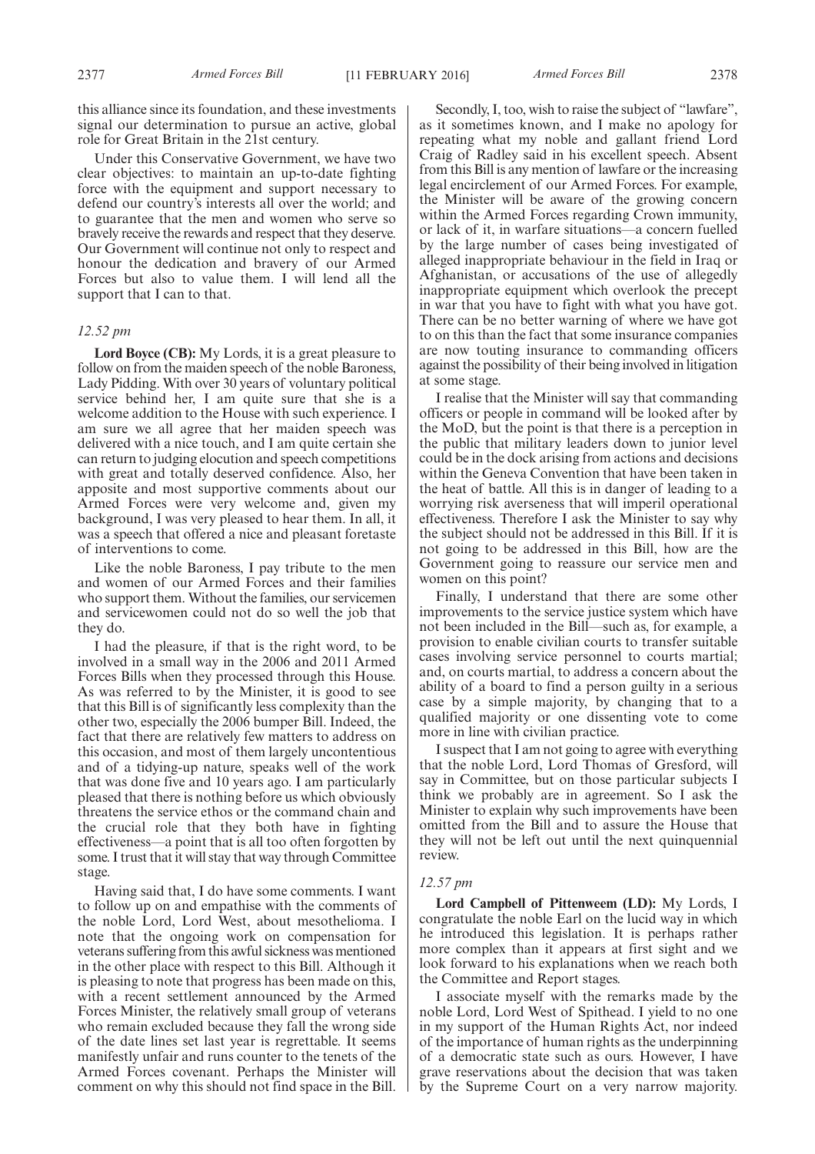this alliance since its foundation, and these investments signal our determination to pursue an active, global role for Great Britain in the 21st century.

Under this Conservative Government, we have two clear objectives: to maintain an up-to-date fighting force with the equipment and support necessary to defend our country's interests all over the world; and to guarantee that the men and women who serve so bravely receive the rewards and respect that they deserve. Our Government will continue not only to respect and honour the dedication and bravery of our Armed Forces but also to value them. I will lend all the support that I can to that.

#### *12.52 pm*

**Lord Boyce (CB):** My Lords, it is a great pleasure to follow on from the maiden speech of the noble Baroness, Lady Pidding. With over 30 years of voluntary political service behind her, I am quite sure that she is a welcome addition to the House with such experience. I am sure we all agree that her maiden speech was delivered with a nice touch, and I am quite certain she can return to judging elocution and speech competitions with great and totally deserved confidence. Also, her apposite and most supportive comments about our Armed Forces were very welcome and, given my background, I was very pleased to hear them. In all, it was a speech that offered a nice and pleasant foretaste of interventions to come.

Like the noble Baroness, I pay tribute to the men and women of our Armed Forces and their families who support them. Without the families, our servicemen and servicewomen could not do so well the job that they do.

I had the pleasure, if that is the right word, to be involved in a small way in the 2006 and 2011 Armed Forces Bills when they processed through this House. As was referred to by the Minister, it is good to see that this Bill is of significantly less complexity than the other two, especially the 2006 bumper Bill. Indeed, the fact that there are relatively few matters to address on this occasion, and most of them largely uncontentious and of a tidying-up nature, speaks well of the work that was done five and 10 years ago. I am particularly pleased that there is nothing before us which obviously threatens the service ethos or the command chain and the crucial role that they both have in fighting effectiveness—a point that is all too often forgotten by some. I trust that it will stay that way through Committee stage.

Having said that, I do have some comments. I want to follow up on and empathise with the comments of the noble Lord, Lord West, about mesothelioma. I note that the ongoing work on compensation for veterans suffering from this awful sickness was mentioned in the other place with respect to this Bill. Although it is pleasing to note that progress has been made on this, with a recent settlement announced by the Armed Forces Minister, the relatively small group of veterans who remain excluded because they fall the wrong side of the date lines set last year is regrettable. It seems manifestly unfair and runs counter to the tenets of the Armed Forces covenant. Perhaps the Minister will comment on why this should not find space in the Bill.

Secondly, I, too, wish to raise the subject of "lawfare", as it sometimes known, and I make no apology for repeating what my noble and gallant friend Lord Craig of Radley said in his excellent speech. Absent from this Bill is any mention of lawfare or the increasing legal encirclement of our Armed Forces. For example, the Minister will be aware of the growing concern within the Armed Forces regarding Crown immunity, or lack of it, in warfare situations—a concern fuelled by the large number of cases being investigated of alleged inappropriate behaviour in the field in Iraq or Afghanistan, or accusations of the use of allegedly inappropriate equipment which overlook the precept in war that you have to fight with what you have got. There can be no better warning of where we have got to on this than the fact that some insurance companies are now touting insurance to commanding officers against the possibility of their being involved in litigation at some stage.

I realise that the Minister will say that commanding officers or people in command will be looked after by the MoD, but the point is that there is a perception in the public that military leaders down to junior level could be in the dock arising from actions and decisions within the Geneva Convention that have been taken in the heat of battle. All this is in danger of leading to a worrying risk averseness that will imperil operational effectiveness. Therefore I ask the Minister to say why the subject should not be addressed in this Bill. If it is not going to be addressed in this Bill, how are the Government going to reassure our service men and women on this point?

Finally, I understand that there are some other improvements to the service justice system which have not been included in the Bill—such as, for example, a provision to enable civilian courts to transfer suitable cases involving service personnel to courts martial; and, on courts martial, to address a concern about the ability of a board to find a person guilty in a serious case by a simple majority, by changing that to a qualified majority or one dissenting vote to come more in line with civilian practice.

I suspect that I am not going to agree with everything that the noble Lord, Lord Thomas of Gresford, will say in Committee, but on those particular subjects I think we probably are in agreement. So I ask the Minister to explain why such improvements have been omitted from the Bill and to assure the House that they will not be left out until the next quinquennial review.

#### *12.57 pm*

**Lord Campbell of Pittenweem (LD):** My Lords, I congratulate the noble Earl on the lucid way in which he introduced this legislation. It is perhaps rather more complex than it appears at first sight and we look forward to his explanations when we reach both the Committee and Report stages.

I associate myself with the remarks made by the noble Lord, Lord West of Spithead. I yield to no one in my support of the Human Rights Act, nor indeed of the importance of human rights as the underpinning of a democratic state such as ours. However, I have grave reservations about the decision that was taken by the Supreme Court on a very narrow majority.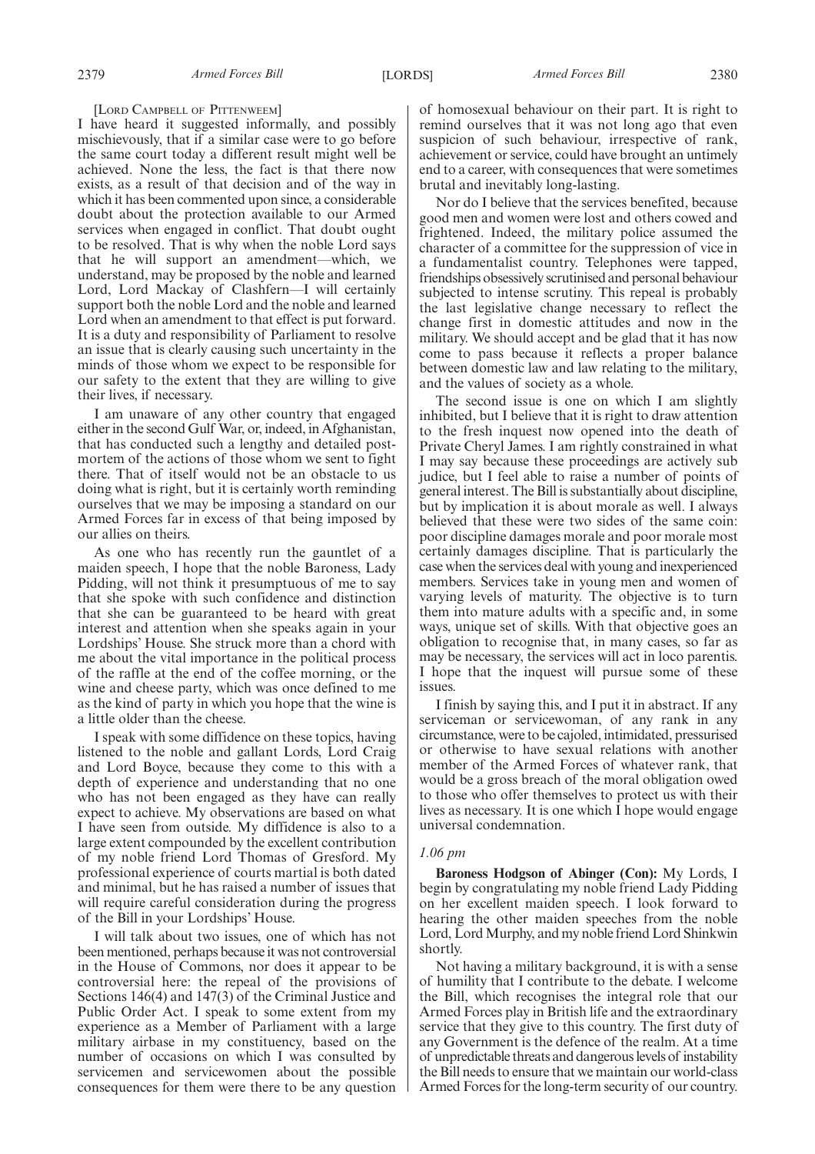#### [LORD CAMPBELL OF PITTENWEEM]

I have heard it suggested informally, and possibly mischievously, that if a similar case were to go before the same court today a different result might well be achieved. None the less, the fact is that there now exists, as a result of that decision and of the way in which it has been commented upon since, a considerable doubt about the protection available to our Armed services when engaged in conflict. That doubt ought to be resolved. That is why when the noble Lord says that he will support an amendment—which, we understand, may be proposed by the noble and learned Lord, Lord Mackay of Clashfern—I will certainly support both the noble Lord and the noble and learned Lord when an amendment to that effect is put forward. It is a duty and responsibility of Parliament to resolve an issue that is clearly causing such uncertainty in the minds of those whom we expect to be responsible for our safety to the extent that they are willing to give their lives, if necessary.

I am unaware of any other country that engaged either in the second Gulf War, or, indeed, in Afghanistan, that has conducted such a lengthy and detailed postmortem of the actions of those whom we sent to fight there. That of itself would not be an obstacle to us doing what is right, but it is certainly worth reminding ourselves that we may be imposing a standard on our Armed Forces far in excess of that being imposed by our allies on theirs.

As one who has recently run the gauntlet of a maiden speech, I hope that the noble Baroness, Lady Pidding, will not think it presumptuous of me to say that she spoke with such confidence and distinction that she can be guaranteed to be heard with great interest and attention when she speaks again in your Lordships' House. She struck more than a chord with me about the vital importance in the political process of the raffle at the end of the coffee morning, or the wine and cheese party, which was once defined to me as the kind of party in which you hope that the wine is a little older than the cheese.

I speak with some diffidence on these topics, having listened to the noble and gallant Lords, Lord Craig and Lord Boyce, because they come to this with a depth of experience and understanding that no one who has not been engaged as they have can really expect to achieve. My observations are based on what I have seen from outside. My diffidence is also to a large extent compounded by the excellent contribution of my noble friend Lord Thomas of Gresford. My professional experience of courts martial is both dated and minimal, but he has raised a number of issues that will require careful consideration during the progress of the Bill in your Lordships' House.

I will talk about two issues, one of which has not been mentioned, perhaps because it was not controversial in the House of Commons, nor does it appear to be controversial here: the repeal of the provisions of Sections 146(4) and 147(3) of the Criminal Justice and Public Order Act. I speak to some extent from my experience as a Member of Parliament with a large military airbase in my constituency, based on the number of occasions on which I was consulted by servicemen and servicewomen about the possible consequences for them were there to be any question

of homosexual behaviour on their part. It is right to remind ourselves that it was not long ago that even suspicion of such behaviour, irrespective of rank, achievement or service, could have brought an untimely end to a career, with consequences that were sometimes brutal and inevitably long-lasting.

Nor do I believe that the services benefited, because good men and women were lost and others cowed and frightened. Indeed, the military police assumed the character of a committee for the suppression of vice in a fundamentalist country. Telephones were tapped, friendships obsessively scrutinised and personal behaviour subjected to intense scrutiny. This repeal is probably the last legislative change necessary to reflect the change first in domestic attitudes and now in the military. We should accept and be glad that it has now come to pass because it reflects a proper balance between domestic law and law relating to the military, and the values of society as a whole.

The second issue is one on which I am slightly inhibited, but I believe that it is right to draw attention to the fresh inquest now opened into the death of Private Cheryl James. I am rightly constrained in what I may say because these proceedings are actively sub judice, but I feel able to raise a number of points of general interest. The Bill is substantially about discipline, but by implication it is about morale as well. I always believed that these were two sides of the same coin: poor discipline damages morale and poor morale most certainly damages discipline. That is particularly the case when the services deal with young and inexperienced members. Services take in young men and women of varying levels of maturity. The objective is to turn them into mature adults with a specific and, in some ways, unique set of skills. With that objective goes an obligation to recognise that, in many cases, so far as may be necessary, the services will act in loco parentis. I hope that the inquest will pursue some of these issues.

I finish by saying this, and I put it in abstract. If any serviceman or servicewoman, of any rank in any circumstance, were to be cajoled, intimidated, pressurised or otherwise to have sexual relations with another member of the Armed Forces of whatever rank, that would be a gross breach of the moral obligation owed to those who offer themselves to protect us with their lives as necessary. It is one which I hope would engage universal condemnation.

#### *1.06 pm*

**Baroness Hodgson of Abinger (Con):** My Lords, I begin by congratulating my noble friend Lady Pidding on her excellent maiden speech. I look forward to hearing the other maiden speeches from the noble Lord, Lord Murphy, and my noble friend Lord Shinkwin shortly.

Not having a military background, it is with a sense of humility that I contribute to the debate. I welcome the Bill, which recognises the integral role that our Armed Forces play in British life and the extraordinary service that they give to this country. The first duty of any Government is the defence of the realm. At a time of unpredictable threats and dangerous levels of instability the Bill needs to ensure that we maintain our world-class Armed Forces for the long-term security of our country.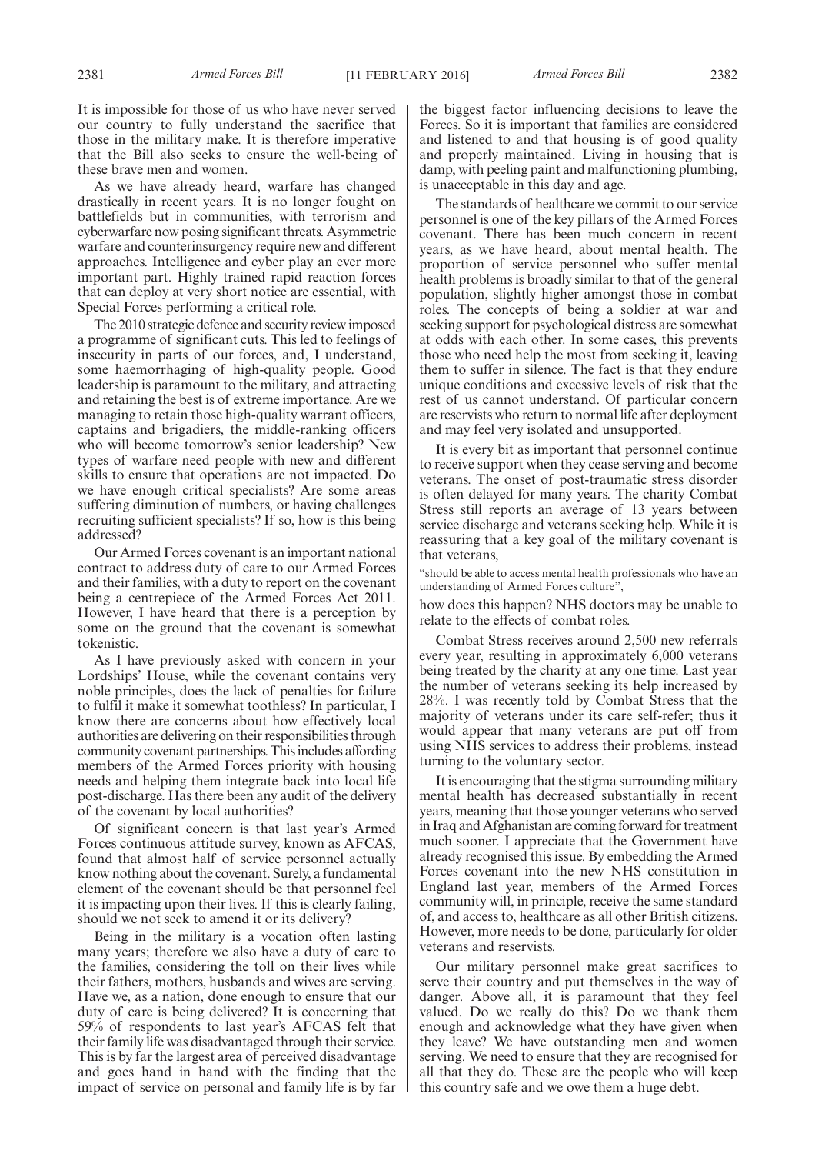It is impossible for those of us who have never served our country to fully understand the sacrifice that those in the military make. It is therefore imperative that the Bill also seeks to ensure the well-being of these brave men and women.

As we have already heard, warfare has changed drastically in recent years. It is no longer fought on battlefields but in communities, with terrorism and cyberwarfare now posing significant threats. Asymmetric warfare and counterinsurgency require new and different approaches. Intelligence and cyber play an ever more important part. Highly trained rapid reaction forces that can deploy at very short notice are essential, with Special Forces performing a critical role.

The 2010 strategic defence and security review imposed a programme of significant cuts. This led to feelings of insecurity in parts of our forces, and, I understand, some haemorrhaging of high-quality people. Good leadership is paramount to the military, and attracting and retaining the best is of extreme importance. Are we managing to retain those high-quality warrant officers, captains and brigadiers, the middle-ranking officers who will become tomorrow's senior leadership? New types of warfare need people with new and different skills to ensure that operations are not impacted. Do we have enough critical specialists? Are some areas suffering diminution of numbers, or having challenges recruiting sufficient specialists? If so, how is this being addressed?

Our Armed Forces covenant is an important national contract to address duty of care to our Armed Forces and their families, with a duty to report on the covenant being a centrepiece of the Armed Forces Act 2011. However, I have heard that there is a perception by some on the ground that the covenant is somewhat tokenistic.

As I have previously asked with concern in your Lordships' House, while the covenant contains very noble principles, does the lack of penalties for failure to fulfil it make it somewhat toothless? In particular, I know there are concerns about how effectively local authorities are delivering on their responsibilities through community covenant partnerships. This includes affording members of the Armed Forces priority with housing needs and helping them integrate back into local life post-discharge. Has there been any audit of the delivery of the covenant by local authorities?

Of significant concern is that last year's Armed Forces continuous attitude survey, known as AFCAS, found that almost half of service personnel actually know nothing about the covenant. Surely, a fundamental element of the covenant should be that personnel feel it is impacting upon their lives. If this is clearly failing, should we not seek to amend it or its delivery?

Being in the military is a vocation often lasting many years; therefore we also have a duty of care to the families, considering the toll on their lives while their fathers, mothers, husbands and wives are serving. Have we, as a nation, done enough to ensure that our duty of care is being delivered? It is concerning that 59% of respondents to last year's AFCAS felt that their family life was disadvantaged through their service. This is by far the largest area of perceived disadvantage and goes hand in hand with the finding that the impact of service on personal and family life is by far the biggest factor influencing decisions to leave the Forces. So it is important that families are considered and listened to and that housing is of good quality and properly maintained. Living in housing that is damp, with peeling paint and malfunctioning plumbing, is unacceptable in this day and age.

The standards of healthcare we commit to our service personnel is one of the key pillars of the Armed Forces covenant. There has been much concern in recent years, as we have heard, about mental health. The proportion of service personnel who suffer mental health problems is broadly similar to that of the general population, slightly higher amongst those in combat roles. The concepts of being a soldier at war and seeking support for psychological distress are somewhat at odds with each other. In some cases, this prevents those who need help the most from seeking it, leaving them to suffer in silence. The fact is that they endure unique conditions and excessive levels of risk that the rest of us cannot understand. Of particular concern are reservists who return to normal life after deployment and may feel very isolated and unsupported.

It is every bit as important that personnel continue to receive support when they cease serving and become veterans. The onset of post-traumatic stress disorder is often delayed for many years. The charity Combat Stress still reports an average of 13 years between service discharge and veterans seeking help. While it is reassuring that a key goal of the military covenant is that veterans,

"should be able to access mental health professionals who have an understanding of Armed Forces culture",

how does this happen? NHS doctors may be unable to relate to the effects of combat roles.

Combat Stress receives around 2,500 new referrals every year, resulting in approximately 6,000 veterans being treated by the charity at any one time. Last year the number of veterans seeking its help increased by 28%. I was recently told by Combat Stress that the majority of veterans under its care self-refer; thus it would appear that many veterans are put off from using NHS services to address their problems, instead turning to the voluntary sector.

It is encouraging that the stigma surrounding military mental health has decreased substantially in recent years, meaning that those younger veterans who served in Iraq and Afghanistan are coming forward for treatment much sooner. I appreciate that the Government have already recognised this issue. By embedding the Armed Forces covenant into the new NHS constitution in England last year, members of the Armed Forces community will, in principle, receive the same standard of, and access to, healthcare as all other British citizens. However, more needs to be done, particularly for older veterans and reservists.

Our military personnel make great sacrifices to serve their country and put themselves in the way of danger. Above all, it is paramount that they feel valued. Do we really do this? Do we thank them enough and acknowledge what they have given when they leave? We have outstanding men and women serving. We need to ensure that they are recognised for all that they do. These are the people who will keep this country safe and we owe them a huge debt.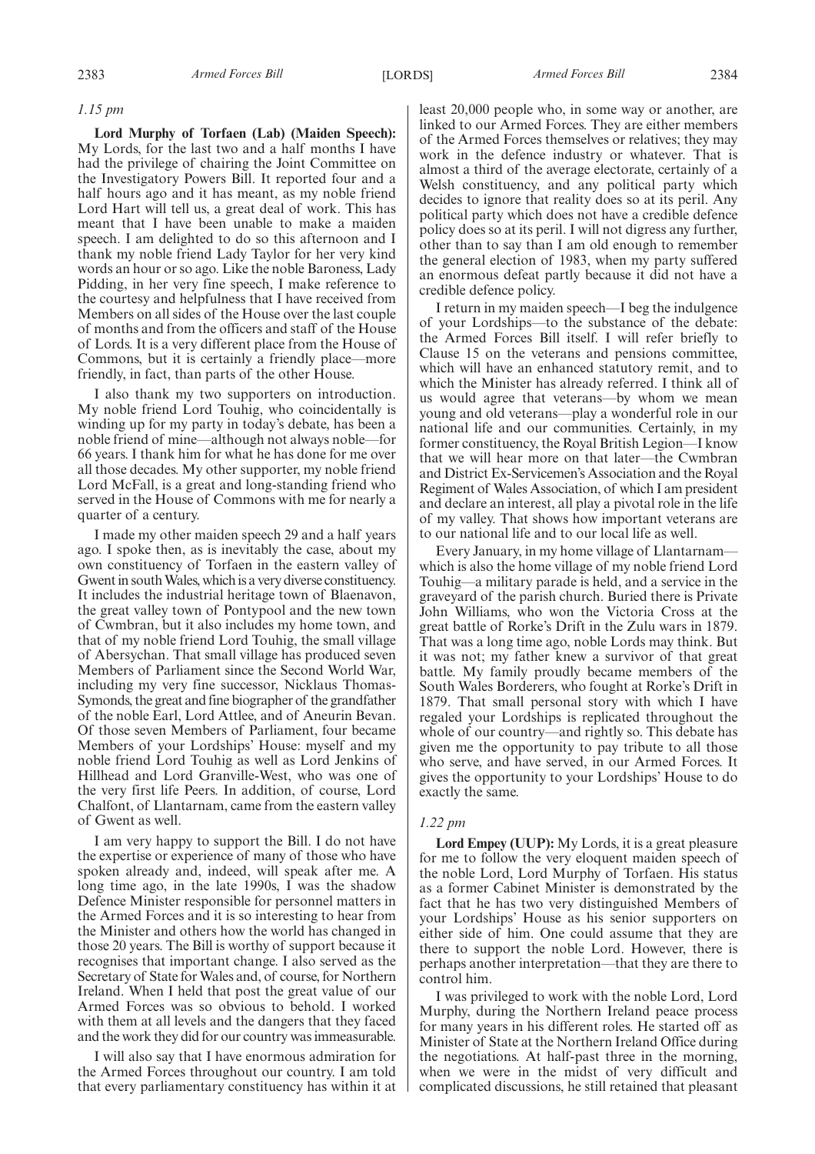#### *1.15 pm*

**Lord Murphy of Torfaen (Lab) (Maiden Speech):** My Lords, for the last two and a half months I have had the privilege of chairing the Joint Committee on the Investigatory Powers Bill. It reported four and a half hours ago and it has meant, as my noble friend Lord Hart will tell us, a great deal of work. This has meant that I have been unable to make a maiden speech. I am delighted to do so this afternoon and I thank my noble friend Lady Taylor for her very kind words an hour or so ago. Like the noble Baroness, Lady Pidding, in her very fine speech, I make reference to the courtesy and helpfulness that I have received from Members on all sides of the House over the last couple of months and from the officers and staff of the House of Lords. It is a very different place from the House of Commons, but it is certainly a friendly place—more friendly, in fact, than parts of the other House.

I also thank my two supporters on introduction. My noble friend Lord Touhig, who coincidentally is winding up for my party in today's debate, has been a noble friend of mine—although not always noble—for 66 years. I thank him for what he has done for me over all those decades. My other supporter, my noble friend Lord McFall, is a great and long-standing friend who served in the House of Commons with me for nearly a quarter of a century.

I made my other maiden speech 29 and a half years ago. I spoke then, as is inevitably the case, about my own constituency of Torfaen in the eastern valley of Gwent in southWales, which is a very diverse constituency. It includes the industrial heritage town of Blaenavon, the great valley town of Pontypool and the new town of Cwmbran, but it also includes my home town, and that of my noble friend Lord Touhig, the small village of Abersychan. That small village has produced seven Members of Parliament since the Second World War, including my very fine successor, Nicklaus Thomas-Symonds, the great and fine biographer of the grandfather of the noble Earl, Lord Attlee, and of Aneurin Bevan. Of those seven Members of Parliament, four became Members of your Lordships' House: myself and my noble friend Lord Touhig as well as Lord Jenkins of Hillhead and Lord Granville-West, who was one of the very first life Peers. In addition, of course, Lord Chalfont, of Llantarnam, came from the eastern valley of Gwent as well.

I am very happy to support the Bill. I do not have the expertise or experience of many of those who have spoken already and, indeed, will speak after me. A long time ago, in the late 1990s, I was the shadow Defence Minister responsible for personnel matters in the Armed Forces and it is so interesting to hear from the Minister and others how the world has changed in those 20 years. The Bill is worthy of support because it recognises that important change. I also served as the Secretary of State for Wales and, of course, for Northern Ireland. When I held that post the great value of our Armed Forces was so obvious to behold. I worked with them at all levels and the dangers that they faced and the work they did for our country was immeasurable.

I will also say that I have enormous admiration for the Armed Forces throughout our country. I am told that every parliamentary constituency has within it at least 20,000 people who, in some way or another, are linked to our Armed Forces. They are either members of the Armed Forces themselves or relatives; they may work in the defence industry or whatever. That is almost a third of the average electorate, certainly of a Welsh constituency, and any political party which decides to ignore that reality does so at its peril. Any political party which does not have a credible defence policy does so at its peril. I will not digress any further, other than to say than I am old enough to remember the general election of 1983, when my party suffered an enormous defeat partly because it did not have a credible defence policy.

I return in my maiden speech—I beg the indulgence of your Lordships—to the substance of the debate: the Armed Forces Bill itself. I will refer briefly to Clause 15 on the veterans and pensions committee, which will have an enhanced statutory remit, and to which the Minister has already referred. I think all of us would agree that veterans—by whom we mean young and old veterans—play a wonderful role in our national life and our communities. Certainly, in my former constituency, the Royal British Legion—I know that we will hear more on that later—the Cwmbran and District Ex-Servicemen's Association and the Royal Regiment of Wales Association, of which I am president and declare an interest, all play a pivotal role in the life of my valley. That shows how important veterans are to our national life and to our local life as well.

Every January, in my home village of Llantarnam which is also the home village of my noble friend Lord Touhig—a military parade is held, and a service in the graveyard of the parish church. Buried there is Private John Williams, who won the Victoria Cross at the great battle of Rorke's Drift in the Zulu wars in 1879. That was a long time ago, noble Lords may think. But it was not; my father knew a survivor of that great battle. My family proudly became members of the South Wales Borderers, who fought at Rorke's Drift in 1879. That small personal story with which I have regaled your Lordships is replicated throughout the whole of our country—and rightly so. This debate has given me the opportunity to pay tribute to all those who serve, and have served, in our Armed Forces. It gives the opportunity to your Lordships' House to do exactly the same.

#### *1.22 pm*

**Lord Empey (UUP):** My Lords, it is a great pleasure for me to follow the very eloquent maiden speech of the noble Lord, Lord Murphy of Torfaen. His status as a former Cabinet Minister is demonstrated by the fact that he has two very distinguished Members of your Lordships' House as his senior supporters on either side of him. One could assume that they are there to support the noble Lord. However, there is perhaps another interpretation—that they are there to control him.

I was privileged to work with the noble Lord, Lord Murphy, during the Northern Ireland peace process for many years in his different roles. He started off as Minister of State at the Northern Ireland Office during the negotiations. At half-past three in the morning, when we were in the midst of very difficult and complicated discussions, he still retained that pleasant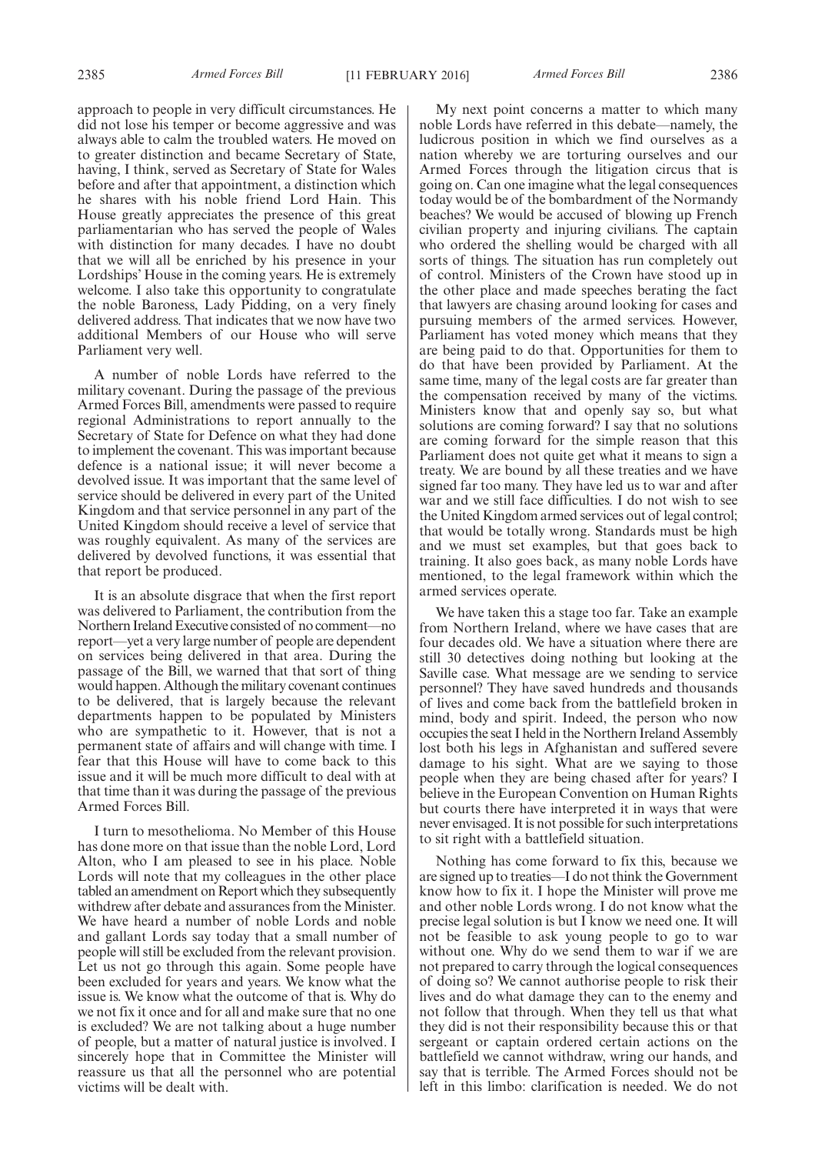approach to people in very difficult circumstances. He did not lose his temper or become aggressive and was always able to calm the troubled waters. He moved on to greater distinction and became Secretary of State, having, I think, served as Secretary of State for Wales before and after that appointment, a distinction which he shares with his noble friend Lord Hain. This House greatly appreciates the presence of this great parliamentarian who has served the people of Wales with distinction for many decades. I have no doubt that we will all be enriched by his presence in your Lordships' House in the coming years. He is extremely welcome. I also take this opportunity to congratulate the noble Baroness, Lady Pidding, on a very finely delivered address. That indicates that we now have two additional Members of our House who will serve Parliament very well.

A number of noble Lords have referred to the military covenant. During the passage of the previous Armed Forces Bill, amendments were passed to require regional Administrations to report annually to the Secretary of State for Defence on what they had done to implement the covenant. This was important because defence is a national issue; it will never become a devolved issue. It was important that the same level of service should be delivered in every part of the United Kingdom and that service personnel in any part of the United Kingdom should receive a level of service that was roughly equivalent. As many of the services are delivered by devolved functions, it was essential that that report be produced.

It is an absolute disgrace that when the first report was delivered to Parliament, the contribution from the Northern Ireland Executive consisted of no comment—no report—yet a very large number of people are dependent on services being delivered in that area. During the passage of the Bill, we warned that that sort of thing would happen. Although the military covenant continues to be delivered, that is largely because the relevant departments happen to be populated by Ministers who are sympathetic to it. However, that is not a permanent state of affairs and will change with time. I fear that this House will have to come back to this issue and it will be much more difficult to deal with at that time than it was during the passage of the previous Armed Forces Bill.

I turn to mesothelioma. No Member of this House has done more on that issue than the noble Lord, Lord Alton, who I am pleased to see in his place. Noble Lords will note that my colleagues in the other place tabled an amendment on Report which they subsequently withdrew after debate and assurances from the Minister. We have heard a number of noble Lords and noble and gallant Lords say today that a small number of people will still be excluded from the relevant provision. Let us not go through this again. Some people have been excluded for years and years. We know what the issue is. We know what the outcome of that is. Why do we not fix it once and for all and make sure that no one is excluded? We are not talking about a huge number of people, but a matter of natural justice is involved. I sincerely hope that in Committee the Minister will reassure us that all the personnel who are potential victims will be dealt with.

My next point concerns a matter to which many noble Lords have referred in this debate—namely, the ludicrous position in which we find ourselves as a nation whereby we are torturing ourselves and our Armed Forces through the litigation circus that is going on. Can one imagine what the legal consequences today would be of the bombardment of the Normandy beaches? We would be accused of blowing up French civilian property and injuring civilians. The captain who ordered the shelling would be charged with all sorts of things. The situation has run completely out of control. Ministers of the Crown have stood up in the other place and made speeches berating the fact that lawyers are chasing around looking for cases and pursuing members of the armed services. However, Parliament has voted money which means that they are being paid to do that. Opportunities for them to do that have been provided by Parliament. At the same time, many of the legal costs are far greater than the compensation received by many of the victims. Ministers know that and openly say so, but what solutions are coming forward? I say that no solutions are coming forward for the simple reason that this Parliament does not quite get what it means to sign a treaty. We are bound by all these treaties and we have signed far too many. They have led us to war and after war and we still face difficulties. I do not wish to see the United Kingdom armed services out of legal control; that would be totally wrong. Standards must be high and we must set examples, but that goes back to training. It also goes back, as many noble Lords have mentioned, to the legal framework within which the armed services operate.

We have taken this a stage too far. Take an example from Northern Ireland, where we have cases that are four decades old. We have a situation where there are still 30 detectives doing nothing but looking at the Saville case. What message are we sending to service personnel? They have saved hundreds and thousands of lives and come back from the battlefield broken in mind, body and spirit. Indeed, the person who now occupies the seat I held in the Northern Ireland Assembly lost both his legs in Afghanistan and suffered severe damage to his sight. What are we saying to those people when they are being chased after for years? I believe in the European Convention on Human Rights but courts there have interpreted it in ways that were never envisaged. It is not possible for such interpretations to sit right with a battlefield situation.

Nothing has come forward to fix this, because we are signed up to treaties—I do not think the Government know how to fix it. I hope the Minister will prove me and other noble Lords wrong. I do not know what the precise legal solution is but I know we need one. It will not be feasible to ask young people to go to war without one. Why do we send them to war if we are not prepared to carry through the logical consequences of doing so? We cannot authorise people to risk their lives and do what damage they can to the enemy and not follow that through. When they tell us that what they did is not their responsibility because this or that sergeant or captain ordered certain actions on the battlefield we cannot withdraw, wring our hands, and say that is terrible. The Armed Forces should not be left in this limbo: clarification is needed. We do not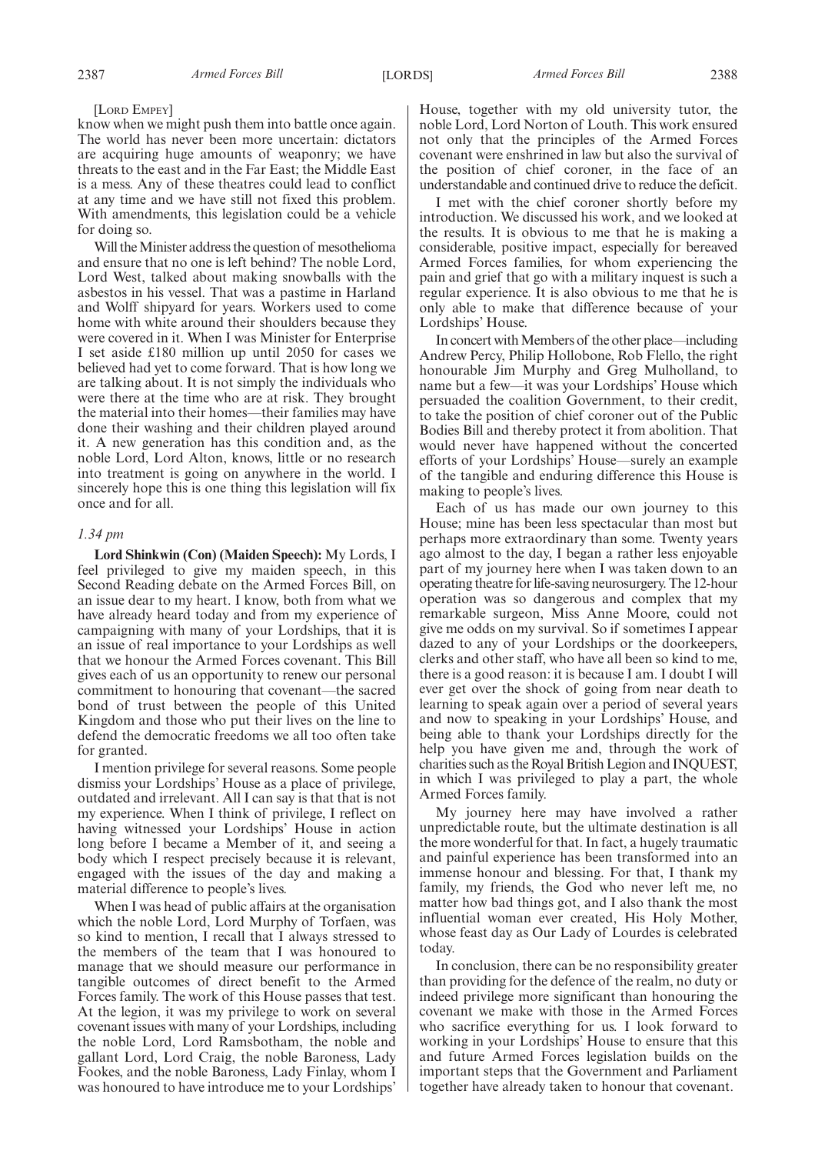#### [LORD EMPEY]

know when we might push them into battle once again. The world has never been more uncertain: dictators are acquiring huge amounts of weaponry; we have threats to the east and in the Far East; the Middle East is a mess. Any of these theatres could lead to conflict at any time and we have still not fixed this problem. With amendments, this legislation could be a vehicle for doing so.

Will the Minister address the question of mesothelioma and ensure that no one is left behind? The noble Lord, Lord West, talked about making snowballs with the asbestos in his vessel. That was a pastime in Harland and Wolff shipyard for years. Workers used to come home with white around their shoulders because they were covered in it. When I was Minister for Enterprise I set aside £180 million up until 2050 for cases we believed had yet to come forward. That is how long we are talking about. It is not simply the individuals who were there at the time who are at risk. They brought the material into their homes—their families may have done their washing and their children played around it. A new generation has this condition and, as the noble Lord, Lord Alton, knows, little or no research into treatment is going on anywhere in the world. I sincerely hope this is one thing this legislation will fix once and for all.

#### *1.34 pm*

**Lord Shinkwin (Con) (Maiden Speech):** My Lords, I feel privileged to give my maiden speech, in this Second Reading debate on the Armed Forces Bill, on an issue dear to my heart. I know, both from what we have already heard today and from my experience of campaigning with many of your Lordships, that it is an issue of real importance to your Lordships as well that we honour the Armed Forces covenant. This Bill gives each of us an opportunity to renew our personal commitment to honouring that covenant—the sacred bond of trust between the people of this United Kingdom and those who put their lives on the line to defend the democratic freedoms we all too often take for granted.

I mention privilege for several reasons. Some people dismiss your Lordships' House as a place of privilege, outdated and irrelevant. All I can say is that that is not my experience. When I think of privilege, I reflect on having witnessed your Lordships' House in action long before I became a Member of it, and seeing a body which I respect precisely because it is relevant, engaged with the issues of the day and making a material difference to people's lives.

When I was head of public affairs at the organisation which the noble Lord, Lord Murphy of Torfaen, was so kind to mention, I recall that I always stressed to the members of the team that I was honoured to manage that we should measure our performance in tangible outcomes of direct benefit to the Armed Forces family. The work of this House passes that test. At the legion, it was my privilege to work on several covenant issues with many of your Lordships, including the noble Lord, Lord Ramsbotham, the noble and gallant Lord, Lord Craig, the noble Baroness, Lady Fookes, and the noble Baroness, Lady Finlay, whom I was honoured to have introduce me to your Lordships'

House, together with my old university tutor, the noble Lord, Lord Norton of Louth. This work ensured not only that the principles of the Armed Forces covenant were enshrined in law but also the survival of the position of chief coroner, in the face of an understandable and continued drive to reduce the deficit.

I met with the chief coroner shortly before my introduction. We discussed his work, and we looked at the results. It is obvious to me that he is making a considerable, positive impact, especially for bereaved Armed Forces families, for whom experiencing the pain and grief that go with a military inquest is such a regular experience. It is also obvious to me that he is only able to make that difference because of your Lordships' House.

In concert with Members of the other place—including Andrew Percy, Philip Hollobone, Rob Flello, the right honourable Jim Murphy and Greg Mulholland, to name but a few—it was your Lordships' House which persuaded the coalition Government, to their credit, to take the position of chief coroner out of the Public Bodies Bill and thereby protect it from abolition. That would never have happened without the concerted efforts of your Lordships' House—surely an example of the tangible and enduring difference this House is making to people's lives.

Each of us has made our own journey to this House; mine has been less spectacular than most but perhaps more extraordinary than some. Twenty years ago almost to the day, I began a rather less enjoyable part of my journey here when I was taken down to an operating theatre for life-saving neurosurgery. The 12-hour operation was so dangerous and complex that my remarkable surgeon, Miss Anne Moore, could not give me odds on my survival. So if sometimes I appear dazed to any of your Lordships or the doorkeepers, clerks and other staff, who have all been so kind to me, there is a good reason: it is because I am. I doubt I will ever get over the shock of going from near death to learning to speak again over a period of several years and now to speaking in your Lordships' House, and being able to thank your Lordships directly for the help you have given me and, through the work of charities such as the Royal British Legion and INQUEST, in which I was privileged to play a part, the whole Armed Forces family.

My journey here may have involved a rather unpredictable route, but the ultimate destination is all the more wonderful for that. In fact, a hugely traumatic and painful experience has been transformed into an immense honour and blessing. For that, I thank my family, my friends, the God who never left me, no matter how bad things got, and I also thank the most influential woman ever created, His Holy Mother, whose feast day as Our Lady of Lourdes is celebrated today.

In conclusion, there can be no responsibility greater than providing for the defence of the realm, no duty or indeed privilege more significant than honouring the covenant we make with those in the Armed Forces who sacrifice everything for us. I look forward to working in your Lordships' House to ensure that this and future Armed Forces legislation builds on the important steps that the Government and Parliament together have already taken to honour that covenant.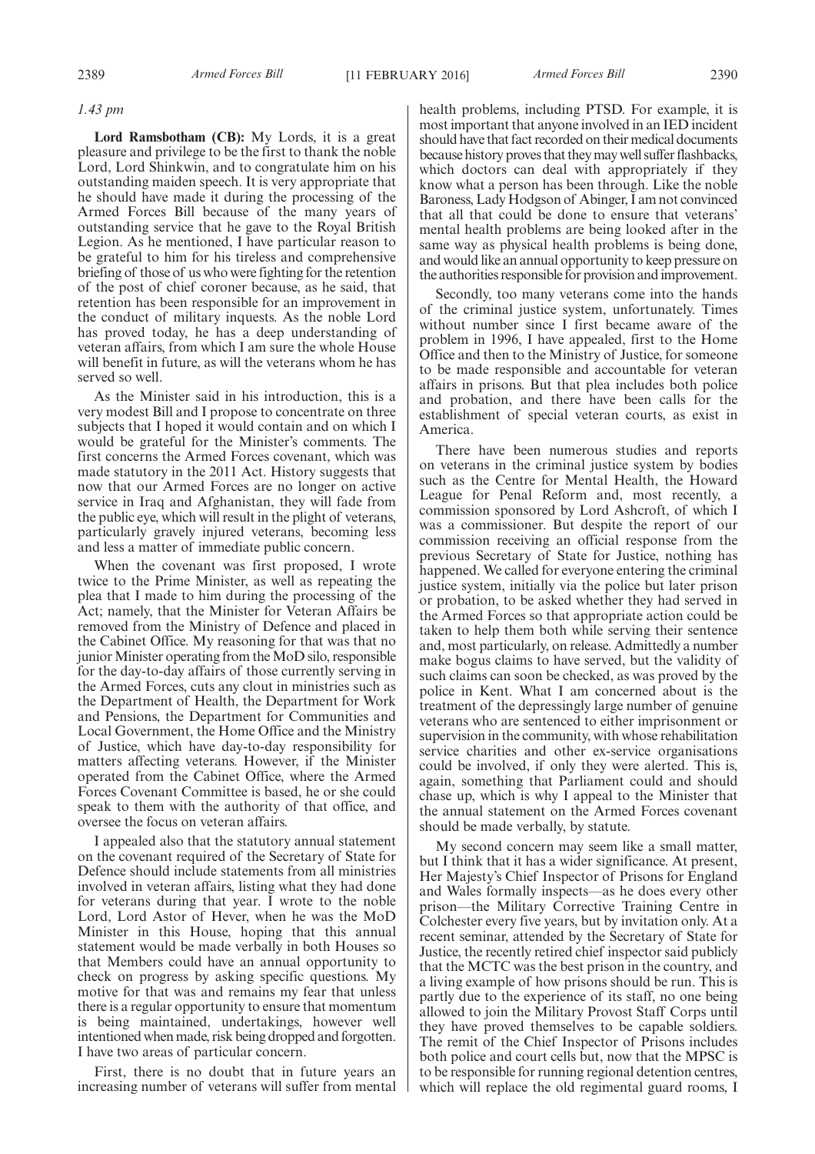#### *1.43 pm*

**Lord Ramsbotham (CB):** My Lords, it is a great pleasure and privilege to be the first to thank the noble Lord, Lord Shinkwin, and to congratulate him on his outstanding maiden speech. It is very appropriate that he should have made it during the processing of the Armed Forces Bill because of the many years of outstanding service that he gave to the Royal British Legion. As he mentioned, I have particular reason to be grateful to him for his tireless and comprehensive briefing of those of us who were fighting for the retention of the post of chief coroner because, as he said, that retention has been responsible for an improvement in the conduct of military inquests. As the noble Lord has proved today, he has a deep understanding of veteran affairs, from which I am sure the whole House will benefit in future, as will the veterans whom he has served so well.

As the Minister said in his introduction, this is a very modest Bill and I propose to concentrate on three subjects that I hoped it would contain and on which I would be grateful for the Minister's comments. The first concerns the Armed Forces covenant, which was made statutory in the 2011 Act. History suggests that now that our Armed Forces are no longer on active service in Iraq and Afghanistan, they will fade from the public eye, which will result in the plight of veterans, particularly gravely injured veterans, becoming less and less a matter of immediate public concern.

When the covenant was first proposed, I wrote twice to the Prime Minister, as well as repeating the plea that I made to him during the processing of the Act; namely, that the Minister for Veteran Affairs be removed from the Ministry of Defence and placed in the Cabinet Office. My reasoning for that was that no junior Minister operating from the MoD silo, responsible for the day-to-day affairs of those currently serving in the Armed Forces, cuts any clout in ministries such as the Department of Health, the Department for Work and Pensions, the Department for Communities and Local Government, the Home Office and the Ministry of Justice, which have day-to-day responsibility for matters affecting veterans. However, if the Minister operated from the Cabinet Office, where the Armed Forces Covenant Committee is based, he or she could speak to them with the authority of that office, and oversee the focus on veteran affairs.

I appealed also that the statutory annual statement on the covenant required of the Secretary of State for Defence should include statements from all ministries involved in veteran affairs, listing what they had done for veterans during that year. I wrote to the noble Lord, Lord Astor of Hever, when he was the MoD Minister in this House, hoping that this annual statement would be made verbally in both Houses so that Members could have an annual opportunity to check on progress by asking specific questions. My motive for that was and remains my fear that unless there is a regular opportunity to ensure that momentum is being maintained, undertakings, however well intentioned when made, risk being dropped and forgotten. I have two areas of particular concern.

First, there is no doubt that in future years an increasing number of veterans will suffer from mental health problems, including PTSD. For example, it is most important that anyone involved in an IED incident should have that fact recorded on their medical documents because history proves that theymay well suffer flashbacks, which doctors can deal with appropriately if they know what a person has been through. Like the noble Baroness, Lady Hodgson of Abinger, I am not convinced that all that could be done to ensure that veterans' mental health problems are being looked after in the same way as physical health problems is being done, and would like an annual opportunity to keep pressure on the authorities responsible for provision and improvement.

Secondly, too many veterans come into the hands of the criminal justice system, unfortunately. Times without number since I first became aware of the problem in 1996, I have appealed, first to the Home Office and then to the Ministry of Justice, for someone to be made responsible and accountable for veteran affairs in prisons. But that plea includes both police and probation, and there have been calls for the establishment of special veteran courts, as exist in America.

There have been numerous studies and reports on veterans in the criminal justice system by bodies such as the Centre for Mental Health, the Howard League for Penal Reform and, most recently, a commission sponsored by Lord Ashcroft, of which I was a commissioner. But despite the report of our commission receiving an official response from the previous Secretary of State for Justice, nothing has happened. We called for everyone entering the criminal justice system, initially via the police but later prison or probation, to be asked whether they had served in the Armed Forces so that appropriate action could be taken to help them both while serving their sentence and, most particularly, on release. Admittedly a number make bogus claims to have served, but the validity of such claims can soon be checked, as was proved by the police in Kent. What I am concerned about is the treatment of the depressingly large number of genuine veterans who are sentenced to either imprisonment or supervision in the community, with whose rehabilitation service charities and other ex-service organisations could be involved, if only they were alerted. This is, again, something that Parliament could and should chase up, which is why I appeal to the Minister that the annual statement on the Armed Forces covenant should be made verbally, by statute.

My second concern may seem like a small matter, but I think that it has a wider significance. At present, Her Majesty's Chief Inspector of Prisons for England and Wales formally inspects—as he does every other prison—the Military Corrective Training Centre in Colchester every five years, but by invitation only. At a recent seminar, attended by the Secretary of State for Justice, the recently retired chief inspector said publicly that the MCTC was the best prison in the country, and a living example of how prisons should be run. This is partly due to the experience of its staff, no one being allowed to join the Military Provost Staff Corps until they have proved themselves to be capable soldiers. The remit of the Chief Inspector of Prisons includes both police and court cells but, now that the MPSC is to be responsible for running regional detention centres, which will replace the old regimental guard rooms, I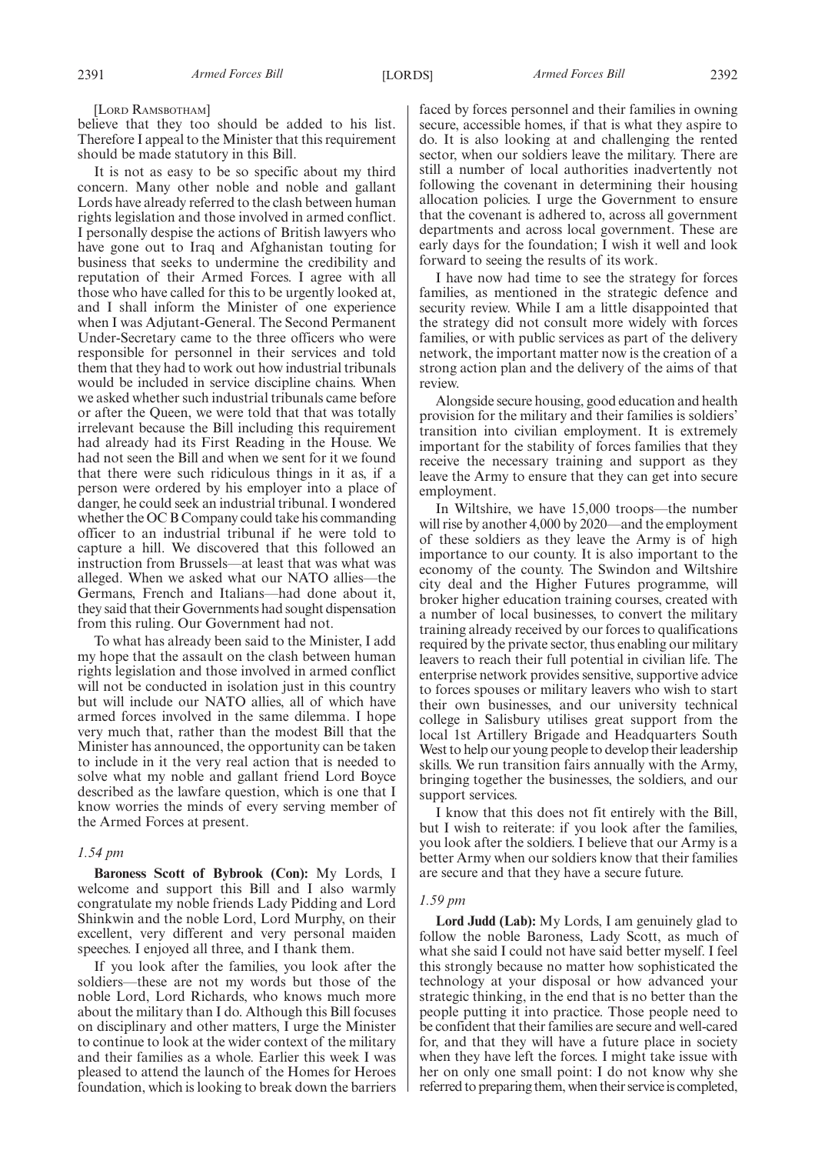believe that they too should be added to his list. Therefore I appeal to the Minister that this requirement should be made statutory in this Bill.

It is not as easy to be so specific about my third concern. Many other noble and noble and gallant Lords have already referred to the clash between human rights legislation and those involved in armed conflict. I personally despise the actions of British lawyers who have gone out to Iraq and Afghanistan touting for business that seeks to undermine the credibility and reputation of their Armed Forces. I agree with all those who have called for this to be urgently looked at, and I shall inform the Minister of one experience when I was Adjutant-General. The Second Permanent Under-Secretary came to the three officers who were responsible for personnel in their services and told them that they had to work out how industrial tribunals would be included in service discipline chains. When we asked whether such industrial tribunals came before or after the Queen, we were told that that was totally irrelevant because the Bill including this requirement had already had its First Reading in the House. We had not seen the Bill and when we sent for it we found that there were such ridiculous things in it as, if a person were ordered by his employer into a place of danger, he could seek an industrial tribunal. I wondered whether the OC B Company could take his commanding officer to an industrial tribunal if he were told to capture a hill. We discovered that this followed an instruction from Brussels—at least that was what was alleged. When we asked what our NATO allies—the Germans, French and Italians—had done about it, they said that their Governments had sought dispensation from this ruling. Our Government had not.

To what has already been said to the Minister, I add my hope that the assault on the clash between human rights legislation and those involved in armed conflict will not be conducted in isolation just in this country but will include our NATO allies, all of which have armed forces involved in the same dilemma. I hope very much that, rather than the modest Bill that the Minister has announced, the opportunity can be taken to include in it the very real action that is needed to solve what my noble and gallant friend Lord Boyce described as the lawfare question, which is one that I know worries the minds of every serving member of the Armed Forces at present.

#### *1.54 pm*

**Baroness Scott of Bybrook (Con):** My Lords, I welcome and support this Bill and I also warmly congratulate my noble friends Lady Pidding and Lord Shinkwin and the noble Lord, Lord Murphy, on their excellent, very different and very personal maiden speeches. I enjoyed all three, and I thank them.

If you look after the families, you look after the soldiers—these are not my words but those of the noble Lord, Lord Richards, who knows much more about the military than I do. Although this Bill focuses on disciplinary and other matters, I urge the Minister to continue to look at the wider context of the military and their families as a whole. Earlier this week I was pleased to attend the launch of the Homes for Heroes foundation, which is looking to break down the barriers faced by forces personnel and their families in owning secure, accessible homes, if that is what they aspire to do. It is also looking at and challenging the rented sector, when our soldiers leave the military. There are still a number of local authorities inadvertently not following the covenant in determining their housing allocation policies. I urge the Government to ensure that the covenant is adhered to, across all government departments and across local government. These are early days for the foundation; I wish it well and look forward to seeing the results of its work.

I have now had time to see the strategy for forces families, as mentioned in the strategic defence and security review. While I am a little disappointed that the strategy did not consult more widely with forces families, or with public services as part of the delivery network, the important matter now is the creation of a strong action plan and the delivery of the aims of that review.

Alongside secure housing, good education and health provision for the military and their families is soldiers' transition into civilian employment. It is extremely important for the stability of forces families that they receive the necessary training and support as they leave the Army to ensure that they can get into secure employment.

In Wiltshire, we have 15,000 troops—the number will rise by another 4,000 by 2020—and the employment of these soldiers as they leave the Army is of high importance to our county. It is also important to the economy of the county. The Swindon and Wiltshire city deal and the Higher Futures programme, will broker higher education training courses, created with a number of local businesses, to convert the military training already received by our forces to qualifications required by the private sector, thus enabling our military leavers to reach their full potential in civilian life. The enterprise network provides sensitive, supportive advice to forces spouses or military leavers who wish to start their own businesses, and our university technical college in Salisbury utilises great support from the local 1st Artillery Brigade and Headquarters South West to help our young people to develop their leadership skills. We run transition fairs annually with the Army, bringing together the businesses, the soldiers, and our support services.

I know that this does not fit entirely with the Bill, but I wish to reiterate: if you look after the families, you look after the soldiers. I believe that our Army is a better Army when our soldiers know that their families are secure and that they have a secure future.

#### *1.59 pm*

**Lord Judd (Lab):** My Lords, I am genuinely glad to follow the noble Baroness, Lady Scott, as much of what she said I could not have said better myself. I feel this strongly because no matter how sophisticated the technology at your disposal or how advanced your strategic thinking, in the end that is no better than the people putting it into practice. Those people need to be confident that their families are secure and well-cared for, and that they will have a future place in society when they have left the forces. I might take issue with her on only one small point: I do not know why she referred to preparing them, when their service is completed,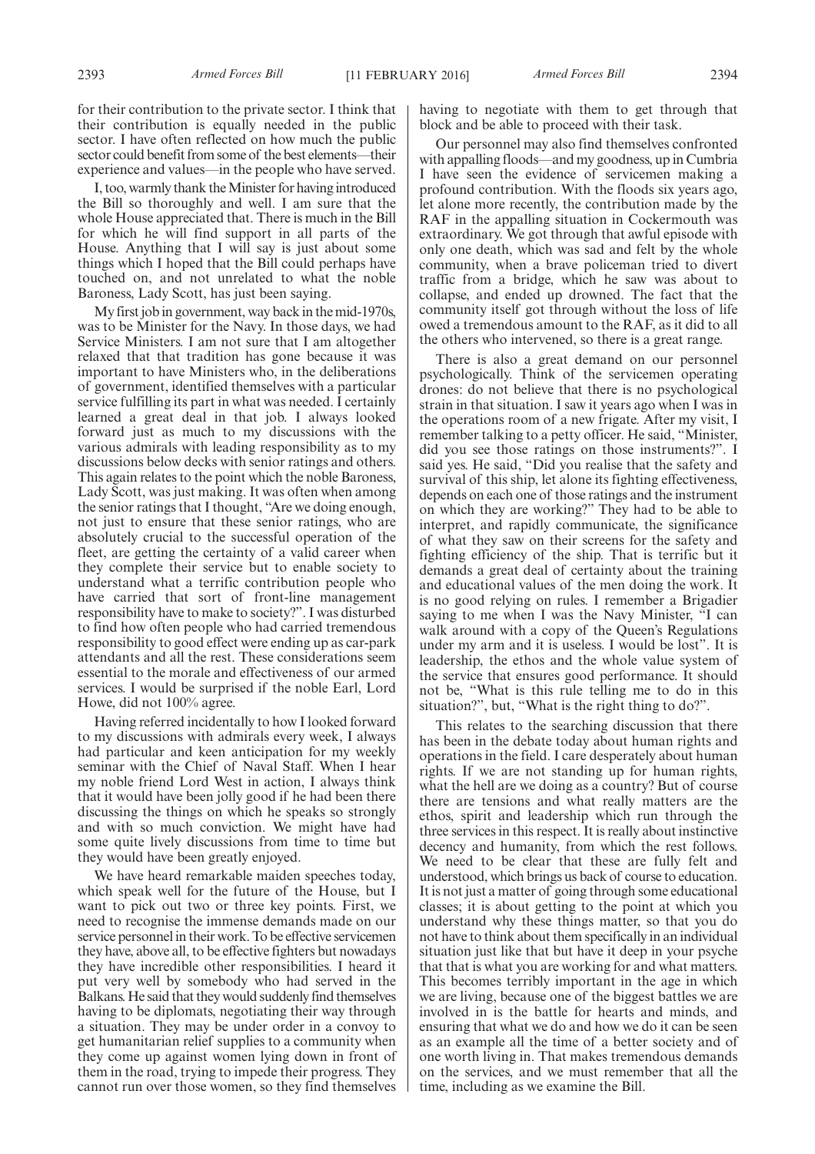for their contribution to the private sector. I think that their contribution is equally needed in the public sector. I have often reflected on how much the public sector could benefit from some of the best elements—their experience and values—in the people who have served.

I, too, warmly thank theMinister for having introduced the Bill so thoroughly and well. I am sure that the whole House appreciated that. There is much in the Bill for which he will find support in all parts of the House. Anything that I will say is just about some things which I hoped that the Bill could perhaps have touched on, and not unrelated to what the noble Baroness, Lady Scott, has just been saying.

My first job in government, way back in the mid-1970s, was to be Minister for the Navy. In those days, we had Service Ministers. I am not sure that I am altogether relaxed that that tradition has gone because it was important to have Ministers who, in the deliberations of government, identified themselves with a particular service fulfilling its part in what was needed. I certainly learned a great deal in that job. I always looked forward just as much to my discussions with the various admirals with leading responsibility as to my discussions below decks with senior ratings and others. This again relates to the point which the noble Baroness, Lady Scott, was just making. It was often when among the senior ratings that I thought, "Are we doing enough, not just to ensure that these senior ratings, who are absolutely crucial to the successful operation of the fleet, are getting the certainty of a valid career when they complete their service but to enable society to understand what a terrific contribution people who have carried that sort of front-line management responsibility have to make to society?". I was disturbed to find how often people who had carried tremendous responsibility to good effect were ending up as car-park attendants and all the rest. These considerations seem essential to the morale and effectiveness of our armed services. I would be surprised if the noble Earl, Lord Howe, did not 100% agree.

Having referred incidentally to how I looked forward to my discussions with admirals every week, I always had particular and keen anticipation for my weekly seminar with the Chief of Naval Staff. When I hear my noble friend Lord West in action, I always think that it would have been jolly good if he had been there discussing the things on which he speaks so strongly and with so much conviction. We might have had some quite lively discussions from time to time but they would have been greatly enjoyed.

We have heard remarkable maiden speeches today, which speak well for the future of the House, but I want to pick out two or three key points. First, we need to recognise the immense demands made on our service personnel in their work. To be effective servicemen they have, above all, to be effective fighters but nowadays they have incredible other responsibilities. I heard it put very well by somebody who had served in the Balkans. He said that they would suddenly find themselves having to be diplomats, negotiating their way through a situation. They may be under order in a convoy to get humanitarian relief supplies to a community when they come up against women lying down in front of them in the road, trying to impede their progress. They cannot run over those women, so they find themselves having to negotiate with them to get through that block and be able to proceed with their task.

Our personnel may also find themselves confronted with appalling floods—and my goodness, up in Cumbria I have seen the evidence of servicemen making a profound contribution. With the floods six years ago, let alone more recently, the contribution made by the RAF in the appalling situation in Cockermouth was extraordinary. We got through that awful episode with only one death, which was sad and felt by the whole community, when a brave policeman tried to divert traffic from a bridge, which he saw was about to collapse, and ended up drowned. The fact that the community itself got through without the loss of life owed a tremendous amount to the RAF, as it did to all the others who intervened, so there is a great range.

There is also a great demand on our personnel psychologically. Think of the servicemen operating drones: do not believe that there is no psychological strain in that situation. I saw it years ago when I was in the operations room of a new frigate. After my visit, I remember talking to a petty officer. He said, "Minister, did you see those ratings on those instruments?". I said yes. He said, "Did you realise that the safety and survival of this ship, let alone its fighting effectiveness, depends on each one of those ratings and the instrument on which they are working?" They had to be able to interpret, and rapidly communicate, the significance of what they saw on their screens for the safety and fighting efficiency of the ship. That is terrific but it demands a great deal of certainty about the training and educational values of the men doing the work. It is no good relying on rules. I remember a Brigadier saying to me when I was the Navy Minister, "I can walk around with a copy of the Queen's Regulations under my arm and it is useless. I would be lost". It is leadership, the ethos and the whole value system of the service that ensures good performance. It should not be, "What is this rule telling me to do in this situation?", but, "What is the right thing to do?".

This relates to the searching discussion that there has been in the debate today about human rights and operations in the field. I care desperately about human rights. If we are not standing up for human rights, what the hell are we doing as a country? But of course there are tensions and what really matters are the ethos, spirit and leadership which run through the three services in this respect. It is really about instinctive decency and humanity, from which the rest follows. We need to be clear that these are fully felt and understood, which brings us back of course to education. It is not just a matter of going through some educational classes; it is about getting to the point at which you understand why these things matter, so that you do not have to think about them specifically in an individual situation just like that but have it deep in your psyche that that is what you are working for and what matters. This becomes terribly important in the age in which we are living, because one of the biggest battles we are involved in is the battle for hearts and minds, and ensuring that what we do and how we do it can be seen as an example all the time of a better society and of one worth living in. That makes tremendous demands on the services, and we must remember that all the time, including as we examine the Bill.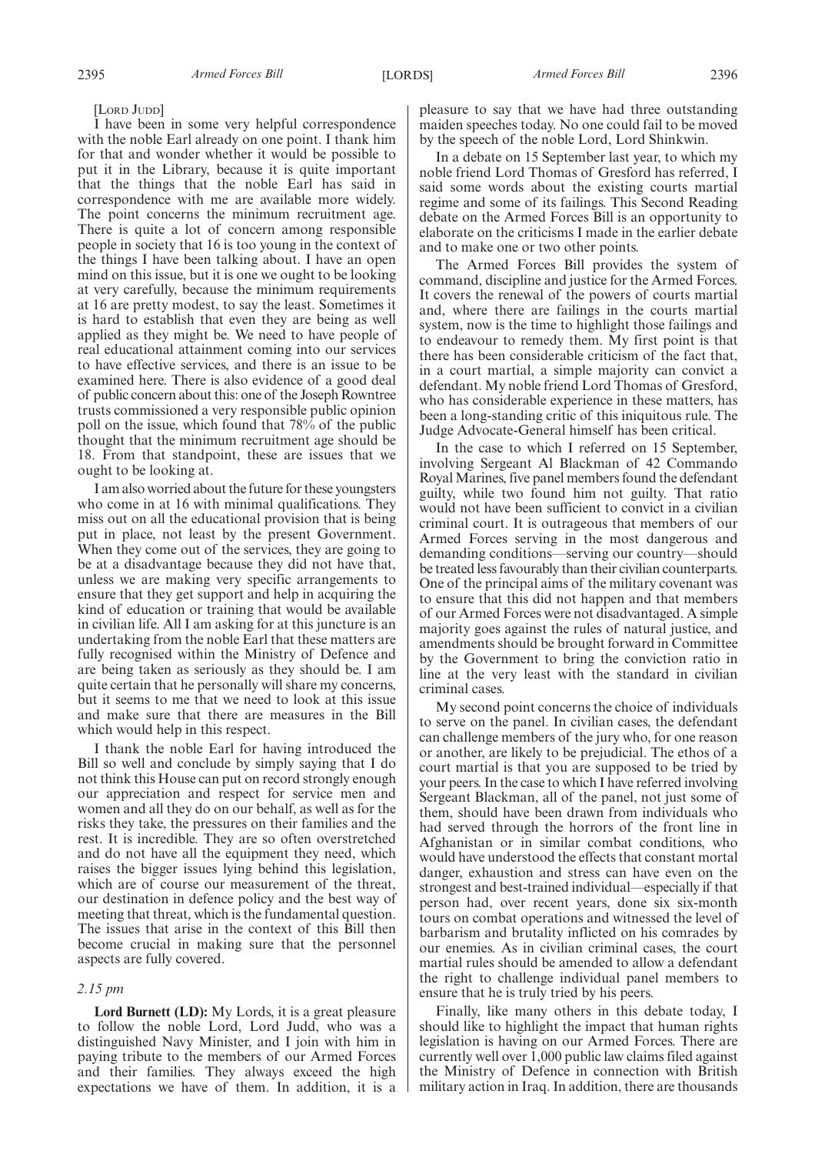[LORD JUDD]

I have been in some very helpful correspondence with the noble Earl already on one point. I thank him for that and wonder whether it would be possible to put it in the Library, because it is quite important that the things that the noble Earl has said in correspondence with me are available more widely. The point concerns the minimum recruitment age. There is quite a lot of concern among responsible people in society that 16 is too young in the context of the things I have been talking about. I have an open mind on this issue, but it is one we ought to be looking at very carefully, because the minimum requirements at 16 are pretty modest, to say the least. Sometimes it is hard to establish that even they are being as well applied as they might be. We need to have people of real educational attainment coming into our services to have effective services, and there is an issue to be examined here. There is also evidence of a good deal of public concern about this: one of the Joseph Rowntree trusts commissioned a very responsible public opinion poll on the issue, which found that 78% of the public thought that the minimum recruitment age should be 18. From that standpoint, these are issues that we ought to be looking at.

I am also worried about the future for these youngsters who come in at 16 with minimal qualifications. They miss out on all the educational provision that is being put in place, not least by the present Government. When they come out of the services, they are going to be at a disadvantage because they did not have that, unless we are making very specific arrangements to ensure that they get support and help in acquiring the kind of education or training that would be available in civilian life. All I am asking for at this juncture is an undertaking from the noble Earl that these matters are fully recognised within the Ministry of Defence and are being taken as seriously as they should be. I am quite certain that he personally will share my concerns, but it seems to me that we need to look at this issue and make sure that there are measures in the Bill which would help in this respect.

I thank the noble Earl for having introduced the Bill so well and conclude by simply saying that I do not think this House can put on record strongly enough our appreciation and respect for service men and women and all they do on our behalf, as well as for the risks they take, the pressures on their families and the rest. It is incredible. They are so often overstretched and do not have all the equipment they need, which raises the bigger issues lying behind this legislation, which are of course our measurement of the threat, our destination in defence policy and the best way of meeting that threat, which is the fundamental question. The issues that arise in the context of this Bill then become crucial in making sure that the personnel aspects are fully covered.

#### *2.15 pm*

**Lord Burnett (LD):** My Lords, it is a great pleasure to follow the noble Lord, Lord Judd, who was a distinguished Navy Minister, and I join with him in paying tribute to the members of our Armed Forces and their families. They always exceed the high expectations we have of them. In addition, it is a pleasure to say that we have had three outstanding maiden speeches today. No one could fail to be moved by the speech of the noble Lord, Lord Shinkwin.

In a debate on 15 September last year, to which my noble friend Lord Thomas of Gresford has referred, I said some words about the existing courts martial regime and some of its failings. This Second Reading debate on the Armed Forces Bill is an opportunity to elaborate on the criticisms I made in the earlier debate and to make one or two other points.

The Armed Forces Bill provides the system of command, discipline and justice for the Armed Forces. It covers the renewal of the powers of courts martial and, where there are failings in the courts martial system, now is the time to highlight those failings and to endeavour to remedy them. My first point is that there has been considerable criticism of the fact that, in a court martial, a simple majority can convict a defendant. My noble friend Lord Thomas of Gresford, who has considerable experience in these matters, has been a long-standing critic of this iniquitous rule. The Judge Advocate-General himself has been critical.

In the case to which I referred on 15 September, involving Sergeant Al Blackman of 42 Commando Royal Marines, five panel members found the defendant guilty, while two found him not guilty. That ratio would not have been sufficient to convict in a civilian criminal court. It is outrageous that members of our Armed Forces serving in the most dangerous and demanding conditions—serving our country—should be treated less favourably than their civilian counterparts. One of the principal aims of the military covenant was to ensure that this did not happen and that members of our Armed Forces were not disadvantaged. A simple majority goes against the rules of natural justice, and amendments should be brought forward in Committee by the Government to bring the conviction ratio in line at the very least with the standard in civilian criminal cases.

My second point concerns the choice of individuals to serve on the panel. In civilian cases, the defendant can challenge members of the jury who, for one reason or another, are likely to be prejudicial. The ethos of a court martial is that you are supposed to be tried by your peers. In the case to which I have referred involving Sergeant Blackman, all of the panel, not just some of them, should have been drawn from individuals who had served through the horrors of the front line in Afghanistan or in similar combat conditions, who would have understood the effects that constant mortal danger, exhaustion and stress can have even on the strongest and best-trained individual—especially if that person had, over recent years, done six six-month tours on combat operations and witnessed the level of barbarism and brutality inflicted on his comrades by our enemies. As in civilian criminal cases, the court martial rules should be amended to allow a defendant the right to challenge individual panel members to ensure that he is truly tried by his peers.

Finally, like many others in this debate today, I should like to highlight the impact that human rights legislation is having on our Armed Forces. There are currently well over 1,000 public law claims filed against the Ministry of Defence in connection with British military action in Iraq. In addition, there are thousands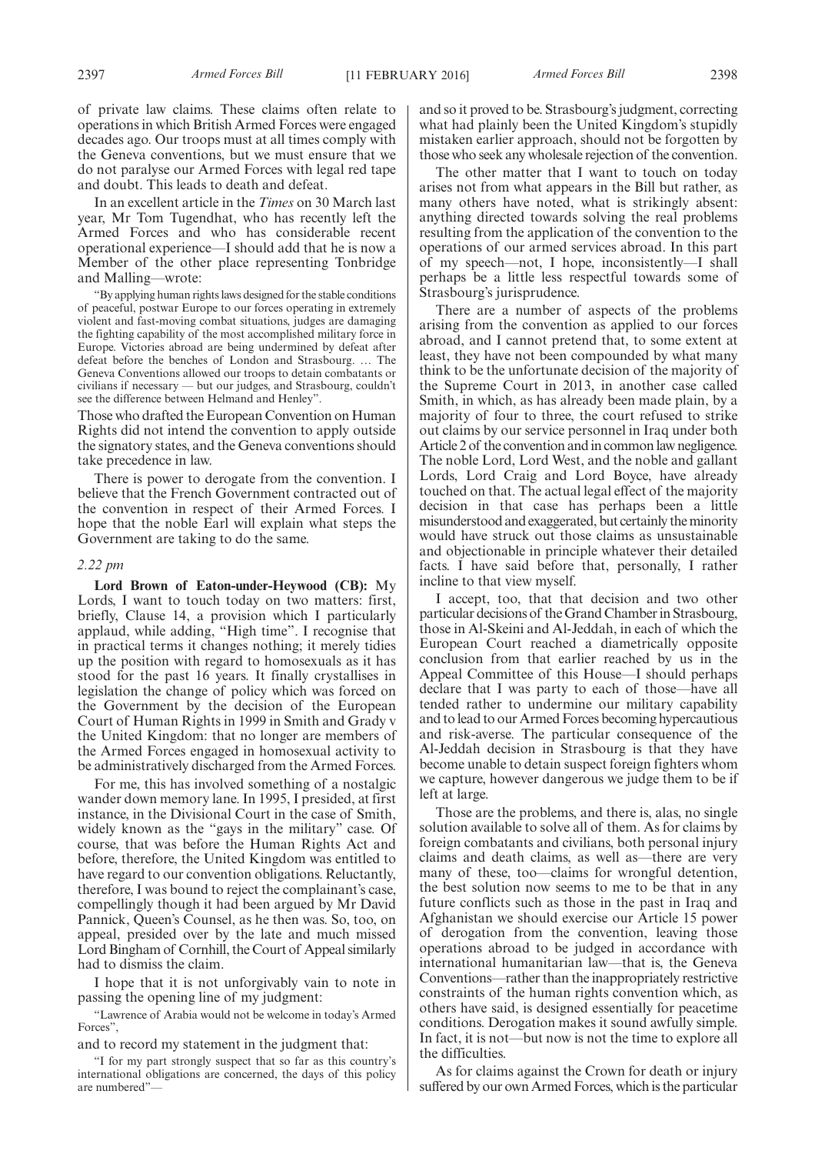of private law claims. These claims often relate to operations in which British Armed Forces were engaged decades ago. Our troops must at all times comply with the Geneva conventions, but we must ensure that we do not paralyse our Armed Forces with legal red tape and doubt. This leads to death and defeat.

In an excellent article in the *Times* on 30 March last year, Mr Tom Tugendhat, who has recently left the Armed Forces and who has considerable recent operational experience—I should add that he is now a Member of the other place representing Tonbridge and Malling—wrote:

"By applying human rights laws designed for the stable conditions of peaceful, postwar Europe to our forces operating in extremely violent and fast-moving combat situations, judges are damaging the fighting capability of the most accomplished military force in Europe. Victories abroad are being undermined by defeat after defeat before the benches of London and Strasbourg. … The Geneva Conventions allowed our troops to detain combatants or civilians if necessary — but our judges, and Strasbourg, couldn't see the difference between Helmand and Henley".

Those who drafted the European Convention on Human Rights did not intend the convention to apply outside the signatory states, and the Geneva conventions should take precedence in law.

There is power to derogate from the convention. I believe that the French Government contracted out of the convention in respect of their Armed Forces. I hope that the noble Earl will explain what steps the Government are taking to do the same.

#### *2.22 pm*

**Lord Brown of Eaton-under-Heywood (CB):** My Lords, I want to touch today on two matters: first, briefly, Clause 14, a provision which I particularly applaud, while adding, "High time". I recognise that in practical terms it changes nothing; it merely tidies up the position with regard to homosexuals as it has stood for the past 16 years. It finally crystallises in legislation the change of policy which was forced on the Government by the decision of the European Court of Human Rights in 1999 in Smith and Grady v the United Kingdom: that no longer are members of the Armed Forces engaged in homosexual activity to be administratively discharged from the Armed Forces.

For me, this has involved something of a nostalgic wander down memory lane. In 1995, I presided, at first instance, in the Divisional Court in the case of Smith, widely known as the "gays in the military" case. Of course, that was before the Human Rights Act and before, therefore, the United Kingdom was entitled to have regard to our convention obligations. Reluctantly, therefore, I was bound to reject the complainant's case, compellingly though it had been argued by Mr David Pannick, Queen's Counsel, as he then was. So, too, on appeal, presided over by the late and much missed Lord Bingham of Cornhill, the Court of Appeal similarly had to dismiss the claim.

I hope that it is not unforgivably vain to note in passing the opening line of my judgment:

"Lawrence of Arabia would not be welcome in today's Armed Forces",

and to record my statement in the judgment that:

and so it proved to be. Strasbourg's judgment, correcting what had plainly been the United Kingdom's stupidly mistaken earlier approach, should not be forgotten by those who seek any wholesale rejection of the convention.

The other matter that I want to touch on today arises not from what appears in the Bill but rather, as many others have noted, what is strikingly absent: anything directed towards solving the real problems resulting from the application of the convention to the operations of our armed services abroad. In this part of my speech—not, I hope, inconsistently—I shall perhaps be a little less respectful towards some of Strasbourg's jurisprudence.

There are a number of aspects of the problems arising from the convention as applied to our forces abroad, and I cannot pretend that, to some extent at least, they have not been compounded by what many think to be the unfortunate decision of the majority of the Supreme Court in 2013, in another case called Smith, in which, as has already been made plain, by a majority of four to three, the court refused to strike out claims by our service personnel in Iraq under both Article 2 of the convention and in common law negligence. The noble Lord, Lord West, and the noble and gallant Lords, Lord Craig and Lord Boyce, have already touched on that. The actual legal effect of the majority decision in that case has perhaps been a little misunderstood and exaggerated, but certainly theminority would have struck out those claims as unsustainable and objectionable in principle whatever their detailed facts. I have said before that, personally, I rather incline to that view myself.

I accept, too, that that decision and two other particular decisions of the Grand Chamber in Strasbourg, those in Al-Skeini and Al-Jeddah, in each of which the European Court reached a diametrically opposite conclusion from that earlier reached by us in the Appeal Committee of this House—I should perhaps declare that I was party to each of those—have all tended rather to undermine our military capability and to lead to our Armed Forces becoming hypercautious and risk-averse. The particular consequence of the Al-Jeddah decision in Strasbourg is that they have become unable to detain suspect foreign fighters whom we capture, however dangerous we judge them to be if left at large.

Those are the problems, and there is, alas, no single solution available to solve all of them. As for claims by foreign combatants and civilians, both personal injury claims and death claims, as well as—there are very many of these, too—claims for wrongful detention, the best solution now seems to me to be that in any future conflicts such as those in the past in Iraq and Afghanistan we should exercise our Article 15 power of derogation from the convention, leaving those operations abroad to be judged in accordance with international humanitarian law—that is, the Geneva Conventions—rather than the inappropriately restrictive constraints of the human rights convention which, as others have said, is designed essentially for peacetime conditions. Derogation makes it sound awfully simple. In fact, it is not—but now is not the time to explore all the difficulties.

As for claims against the Crown for death or injury suffered by our own Armed Forces, which is the particular

<sup>&</sup>quot;I for my part strongly suspect that so far as this country's international obligations are concerned, the days of this policy are numbered"—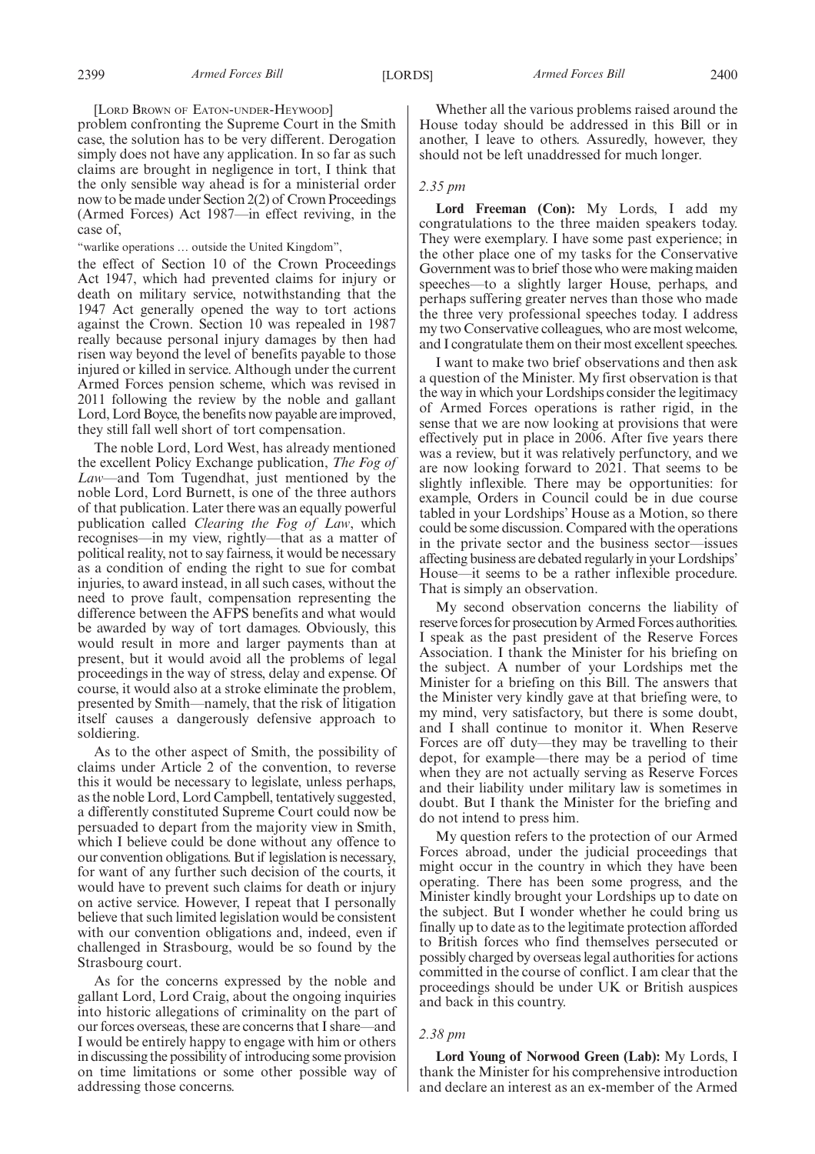[LORD BROWN OF EATON-UNDER-HEYWOOD]

problem confronting the Supreme Court in the Smith case, the solution has to be very different. Derogation simply does not have any application. In so far as such claims are brought in negligence in tort, I think that the only sensible way ahead is for a ministerial order now to be made under Section 2(2) of Crown Proceedings (Armed Forces) Act 1987—in effect reviving, in the case of,

"warlike operations … outside the United Kingdom",

the effect of Section 10 of the Crown Proceedings Act 1947, which had prevented claims for injury or death on military service, notwithstanding that the 1947 Act generally opened the way to tort actions against the Crown. Section 10 was repealed in 1987 really because personal injury damages by then had risen way beyond the level of benefits payable to those injured or killed in service. Although under the current Armed Forces pension scheme, which was revised in 2011 following the review by the noble and gallant Lord, Lord Boyce, the benefits now payable are improved, they still fall well short of tort compensation.

The noble Lord, Lord West, has already mentioned the excellent Policy Exchange publication, *The Fog of Law*—and Tom Tugendhat, just mentioned by the noble Lord, Lord Burnett, is one of the three authors of that publication. Later there was an equally powerful publication called *Clearing the Fog of Law*, which recognises—in my view, rightly—that as a matter of political reality, not to say fairness, it would be necessary as a condition of ending the right to sue for combat injuries, to award instead, in all such cases, without the need to prove fault, compensation representing the difference between the AFPS benefits and what would be awarded by way of tort damages. Obviously, this would result in more and larger payments than at present, but it would avoid all the problems of legal proceedings in the way of stress, delay and expense. Of course, it would also at a stroke eliminate the problem, presented by Smith—namely, that the risk of litigation itself causes a dangerously defensive approach to soldiering.

As to the other aspect of Smith, the possibility of claims under Article 2 of the convention, to reverse this it would be necessary to legislate, unless perhaps, as the noble Lord, Lord Campbell, tentatively suggested, a differently constituted Supreme Court could now be persuaded to depart from the majority view in Smith, which I believe could be done without any offence to our convention obligations. But if legislation is necessary, for want of any further such decision of the courts, it would have to prevent such claims for death or injury on active service. However, I repeat that I personally believe that such limited legislation would be consistent with our convention obligations and, indeed, even if challenged in Strasbourg, would be so found by the Strasbourg court.

As for the concerns expressed by the noble and gallant Lord, Lord Craig, about the ongoing inquiries into historic allegations of criminality on the part of our forces overseas, these are concerns that I share—and I would be entirely happy to engage with him or others in discussing the possibility of introducing some provision on time limitations or some other possible way of addressing those concerns.

Whether all the various problems raised around the House today should be addressed in this Bill or in another, I leave to others. Assuredly, however, they should not be left unaddressed for much longer.

#### *2.35 pm*

**Lord Freeman (Con):** My Lords, I add my congratulations to the three maiden speakers today. They were exemplary. I have some past experience; in the other place one of my tasks for the Conservative Government was to brief those who were making maiden speeches—to a slightly larger House, perhaps, and perhaps suffering greater nerves than those who made the three very professional speeches today. I address my two Conservative colleagues, who are most welcome, and I congratulate them on their most excellent speeches.

I want to make two brief observations and then ask a question of the Minister. My first observation is that the way in which your Lordships consider the legitimacy of Armed Forces operations is rather rigid, in the sense that we are now looking at provisions that were effectively put in place in 2006. After five years there was a review, but it was relatively perfunctory, and we are now looking forward to 2021. That seems to be slightly inflexible. There may be opportunities: for example, Orders in Council could be in due course tabled in your Lordships' House as a Motion, so there could be some discussion. Compared with the operations in the private sector and the business sector—issues affecting business are debated regularly in your Lordships' House—it seems to be a rather inflexible procedure. That is simply an observation.

My second observation concerns the liability of reserve forces for prosecution by Armed Forces authorities. I speak as the past president of the Reserve Forces Association. I thank the Minister for his briefing on the subject. A number of your Lordships met the Minister for a briefing on this Bill. The answers that the Minister very kindly gave at that briefing were, to my mind, very satisfactory, but there is some doubt, and I shall continue to monitor it. When Reserve Forces are off duty—they may be travelling to their depot, for example—there may be a period of time when they are not actually serving as Reserve Forces and their liability under military law is sometimes in doubt. But I thank the Minister for the briefing and do not intend to press him.

My question refers to the protection of our Armed Forces abroad, under the judicial proceedings that might occur in the country in which they have been operating. There has been some progress, and the Minister kindly brought your Lordships up to date on the subject. But I wonder whether he could bring us finally up to date as to the legitimate protection afforded to British forces who find themselves persecuted or possibly charged by overseas legal authorities for actions committed in the course of conflict. I am clear that the proceedings should be under UK or British auspices and back in this country.

#### *2.38 pm*

**Lord Young of Norwood Green (Lab):** My Lords, I thank the Minister for his comprehensive introduction and declare an interest as an ex-member of the Armed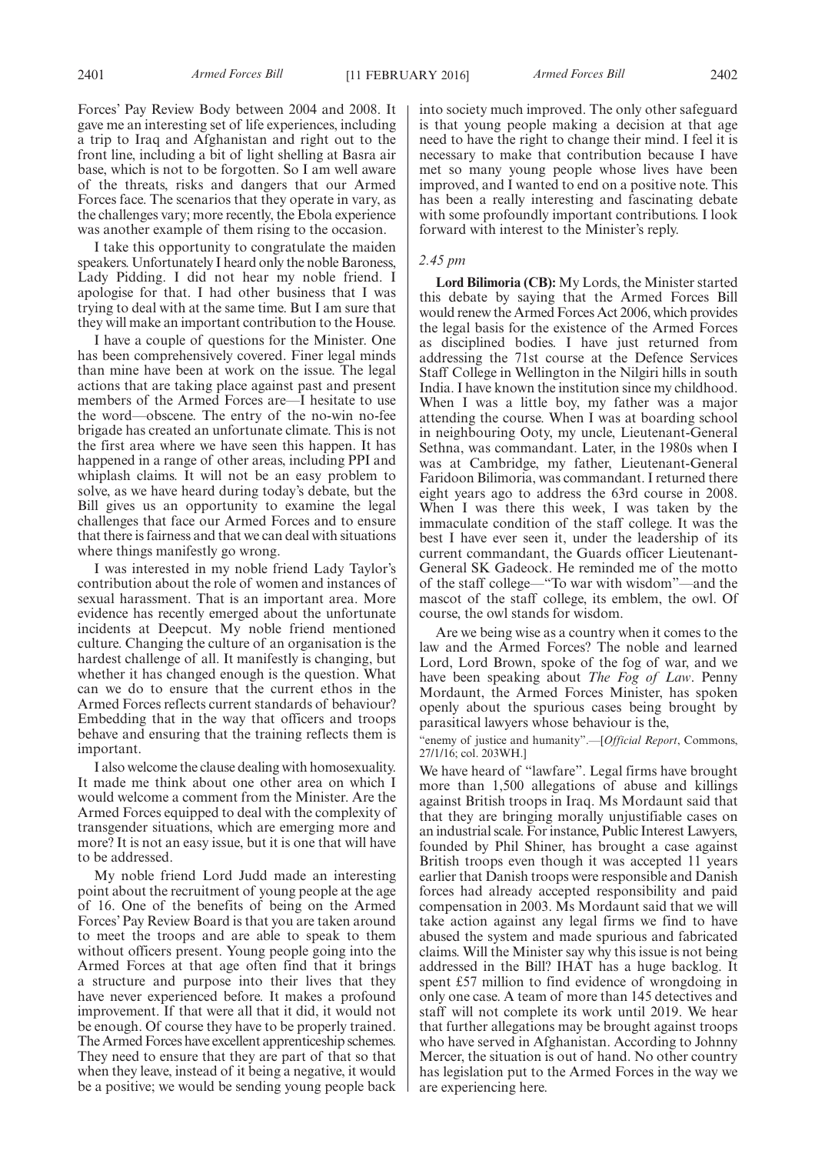Forces' Pay Review Body between 2004 and 2008. It gave me an interesting set of life experiences, including

a trip to Iraq and Afghanistan and right out to the front line, including a bit of light shelling at Basra air base, which is not to be forgotten. So I am well aware of the threats, risks and dangers that our Armed Forces face. The scenarios that they operate in vary, as the challenges vary; more recently, the Ebola experience was another example of them rising to the occasion.

I take this opportunity to congratulate the maiden speakers. Unfortunately I heard only the noble Baroness, Lady Pidding. I did not hear my noble friend. I apologise for that. I had other business that I was trying to deal with at the same time. But I am sure that they will make an important contribution to the House.

I have a couple of questions for the Minister. One has been comprehensively covered. Finer legal minds than mine have been at work on the issue. The legal actions that are taking place against past and present members of the Armed Forces are—I hesitate to use the word—obscene. The entry of the no-win no-fee brigade has created an unfortunate climate. This is not the first area where we have seen this happen. It has happened in a range of other areas, including PPI and whiplash claims. It will not be an easy problem to solve, as we have heard during today's debate, but the Bill gives us an opportunity to examine the legal challenges that face our Armed Forces and to ensure that there is fairness and that we can deal with situations where things manifestly go wrong.

I was interested in my noble friend Lady Taylor's contribution about the role of women and instances of sexual harassment. That is an important area. More evidence has recently emerged about the unfortunate incidents at Deepcut. My noble friend mentioned culture. Changing the culture of an organisation is the hardest challenge of all. It manifestly is changing, but whether it has changed enough is the question. What can we do to ensure that the current ethos in the Armed Forces reflects current standards of behaviour? Embedding that in the way that officers and troops behave and ensuring that the training reflects them is important.

I also welcome the clause dealing with homosexuality. It made me think about one other area on which I would welcome a comment from the Minister. Are the Armed Forces equipped to deal with the complexity of transgender situations, which are emerging more and more? It is not an easy issue, but it is one that will have to be addressed.

My noble friend Lord Judd made an interesting point about the recruitment of young people at the age of 16. One of the benefits of being on the Armed Forces' Pay Review Board is that you are taken around to meet the troops and are able to speak to them without officers present. Young people going into the Armed Forces at that age often find that it brings a structure and purpose into their lives that they have never experienced before. It makes a profound improvement. If that were all that it did, it would not be enough. Of course they have to be properly trained. The Armed Forces have excellent apprenticeship schemes. They need to ensure that they are part of that so that when they leave, instead of it being a negative, it would be a positive; we would be sending young people back into society much improved. The only other safeguard is that young people making a decision at that age need to have the right to change their mind. I feel it is necessary to make that contribution because I have met so many young people whose lives have been improved, and I wanted to end on a positive note. This has been a really interesting and fascinating debate with some profoundly important contributions. I look forward with interest to the Minister's reply.

#### *2.45 pm*

**Lord Bilimoria (CB):** My Lords, the Minister started this debate by saying that the Armed Forces Bill would renew the Armed Forces Act 2006, which provides the legal basis for the existence of the Armed Forces as disciplined bodies. I have just returned from addressing the 71st course at the Defence Services Staff College in Wellington in the Nilgiri hills in south India. I have known the institution since my childhood. When I was a little boy, my father was a major attending the course. When I was at boarding school in neighbouring Ooty, my uncle, Lieutenant-General Sethna, was commandant. Later, in the 1980s when I was at Cambridge, my father, Lieutenant-General Faridoon Bilimoria, was commandant. I returned there eight years ago to address the 63rd course in 2008. When I was there this week, I was taken by the immaculate condition of the staff college. It was the best I have ever seen it, under the leadership of its current commandant, the Guards officer Lieutenant-General SK Gadeock. He reminded me of the motto of the staff college—"To war with wisdom"—and the mascot of the staff college, its emblem, the owl. Of course, the owl stands for wisdom.

Are we being wise as a country when it comes to the law and the Armed Forces? The noble and learned Lord, Lord Brown, spoke of the fog of war, and we have been speaking about *The Fog of Law*. Penny Mordaunt, the Armed Forces Minister, has spoken openly about the spurious cases being brought by parasitical lawyers whose behaviour is the,

"enemy of justice and humanity".—[*Official Report*, Commons, 27/1/16; col. 203WH.]

We have heard of "lawfare". Legal firms have brought more than 1,500 allegations of abuse and killings against British troops in Iraq. Ms Mordaunt said that that they are bringing morally unjustifiable cases on an industrial scale. For instance, Public Interest Lawyers, founded by Phil Shiner, has brought a case against British troops even though it was accepted 11 years earlier that Danish troops were responsible and Danish forces had already accepted responsibility and paid compensation in 2003. Ms Mordaunt said that we will take action against any legal firms we find to have abused the system and made spurious and fabricated claims. Will the Minister say why this issue is not being addressed in the Bill? IHAT has a huge backlog. It spent £57 million to find evidence of wrongdoing in only one case. A team of more than 145 detectives and staff will not complete its work until 2019. We hear that further allegations may be brought against troops who have served in Afghanistan. According to Johnny Mercer, the situation is out of hand. No other country has legislation put to the Armed Forces in the way we are experiencing here.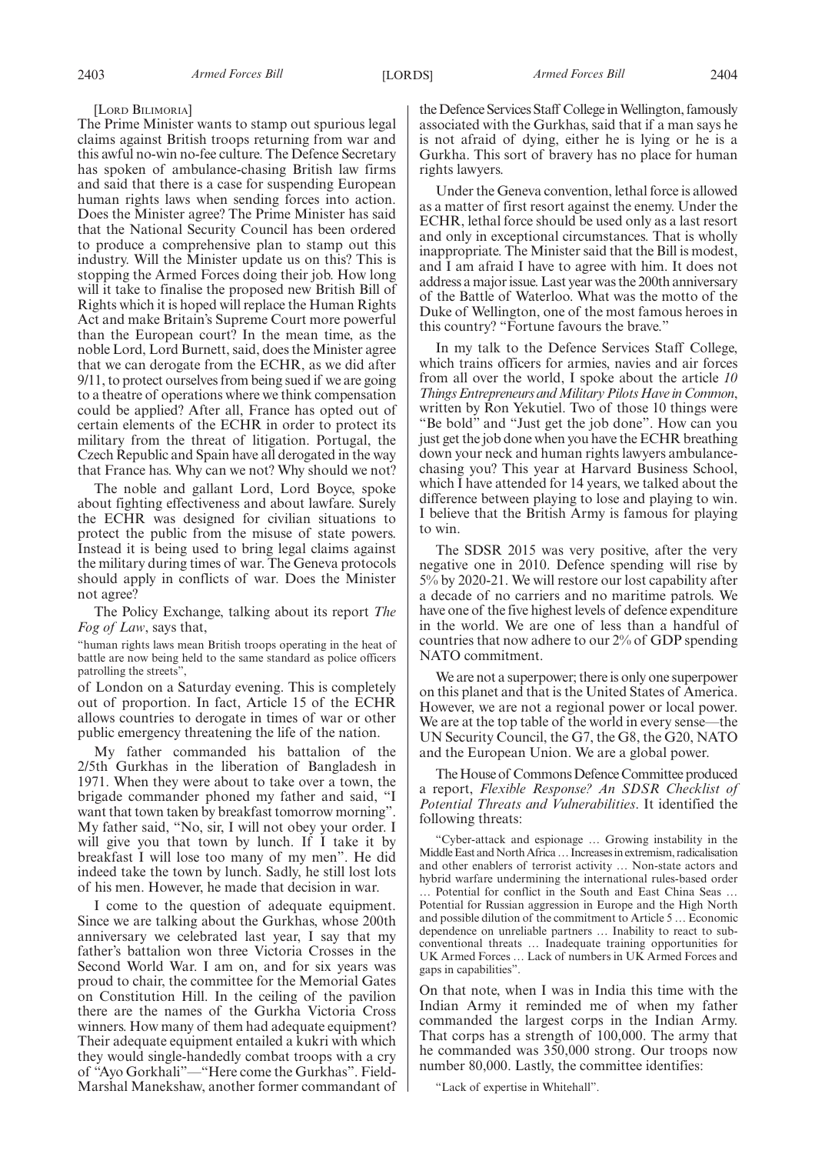[LORD BILIMORIA]

The Prime Minister wants to stamp out spurious legal claims against British troops returning from war and this awful no-win no-fee culture. The Defence Secretary has spoken of ambulance-chasing British law firms and said that there is a case for suspending European human rights laws when sending forces into action. Does the Minister agree? The Prime Minister has said that the National Security Council has been ordered to produce a comprehensive plan to stamp out this industry. Will the Minister update us on this? This is stopping the Armed Forces doing their job. How long will it take to finalise the proposed new British Bill of Rights which it is hoped will replace the Human Rights Act and make Britain's Supreme Court more powerful than the European court? In the mean time, as the noble Lord, Lord Burnett, said, does the Minister agree that we can derogate from the ECHR, as we did after 9/11, to protect ourselves from being sued if we are going to a theatre of operations where we think compensation could be applied? After all, France has opted out of certain elements of the ECHR in order to protect its military from the threat of litigation. Portugal, the Czech Republic and Spain have all derogated in the way that France has. Why can we not? Why should we not?

The noble and gallant Lord, Lord Boyce, spoke about fighting effectiveness and about lawfare. Surely the ECHR was designed for civilian situations to protect the public from the misuse of state powers. Instead it is being used to bring legal claims against the military during times of war. The Geneva protocols should apply in conflicts of war. Does the Minister not agree?

The Policy Exchange, talking about its report *The Fog of Law*, says that,

"human rights laws mean British troops operating in the heat of battle are now being held to the same standard as police officers patrolling the streets",

of London on a Saturday evening. This is completely out of proportion. In fact, Article 15 of the ECHR allows countries to derogate in times of war or other public emergency threatening the life of the nation.

My father commanded his battalion of the 2/5th Gurkhas in the liberation of Bangladesh in 1971. When they were about to take over a town, the brigade commander phoned my father and said, "I want that town taken by breakfast tomorrow morning". My father said, "No, sir, I will not obey your order. I will give you that town by lunch. If I take it by breakfast I will lose too many of my men". He did indeed take the town by lunch. Sadly, he still lost lots of his men. However, he made that decision in war.

I come to the question of adequate equipment. Since we are talking about the Gurkhas, whose 200th anniversary we celebrated last year, I say that my father's battalion won three Victoria Crosses in the Second World War. I am on, and for six years was proud to chair, the committee for the Memorial Gates on Constitution Hill. In the ceiling of the pavilion there are the names of the Gurkha Victoria Cross winners. How many of them had adequate equipment? Their adequate equipment entailed a kukri with which they would single-handedly combat troops with a cry of "Ayo Gorkhali"—"Here come the Gurkhas". Field-Marshal Manekshaw, another former commandant of the Defence Services Staff College in Wellington, famously associated with the Gurkhas, said that if a man says he is not afraid of dying, either he is lying or he is a Gurkha. This sort of bravery has no place for human rights lawyers.

Under the Geneva convention, lethal force is allowed as a matter of first resort against the enemy. Under the ECHR, lethal force should be used only as a last resort and only in exceptional circumstances. That is wholly inappropriate. The Minister said that the Bill is modest, and I am afraid I have to agree with him. It does not address a major issue. Last year was the 200th anniversary of the Battle of Waterloo. What was the motto of the Duke of Wellington, one of the most famous heroes in this country? "Fortune favours the brave."

In my talk to the Defence Services Staff College, which trains officers for armies, navies and air forces from all over the world, I spoke about the article *10 Things Entrepreneurs andMilitary Pilots Have in Common*, written by Ron Yekutiel. Two of those 10 things were "Be bold" and "Just get the job done". How can you just get the job done when you have the ECHR breathing down your neck and human rights lawyers ambulancechasing you? This year at Harvard Business School, which I have attended for 14 years, we talked about the difference between playing to lose and playing to win. I believe that the British Army is famous for playing to win.

The SDSR 2015 was very positive, after the very negative one in 2010. Defence spending will rise by 5% by 2020-21. We will restore our lost capability after a decade of no carriers and no maritime patrols. We have one of the five highest levels of defence expenditure in the world. We are one of less than a handful of countries that now adhere to our 2% of GDP spending NATO commitment.

We are not a superpower; there is only one superpower on this planet and that is the United States of America. However, we are not a regional power or local power. We are at the top table of the world in every sense—the UN Security Council, the G7, the G8, the G20, NATO and the European Union. We are a global power.

The House of Commons Defence Committee produced a report, *Flexible Response? An SDSR Checklist of Potential Threats and Vulnerabilities*. It identified the following threats:

"Cyber-attack and espionage … Growing instability in the Middle East and North Africa ... Increases in extremism, radicalisation and other enablers of terrorist activity … Non-state actors and hybrid warfare undermining the international rules-based order … Potential for conflict in the South and East China Seas … Potential for Russian aggression in Europe and the High North and possible dilution of the commitment to Article 5 … Economic dependence on unreliable partners … Inability to react to subconventional threats … Inadequate training opportunities for UK Armed Forces … Lack of numbers in UK Armed Forces and gaps in capabilities".

On that note, when I was in India this time with the Indian Army it reminded me of when my father commanded the largest corps in the Indian Army. That corps has a strength of 100,000. The army that he commanded was 350,000 strong. Our troops now number 80,000. Lastly, the committee identifies:

"Lack of expertise in Whitehall".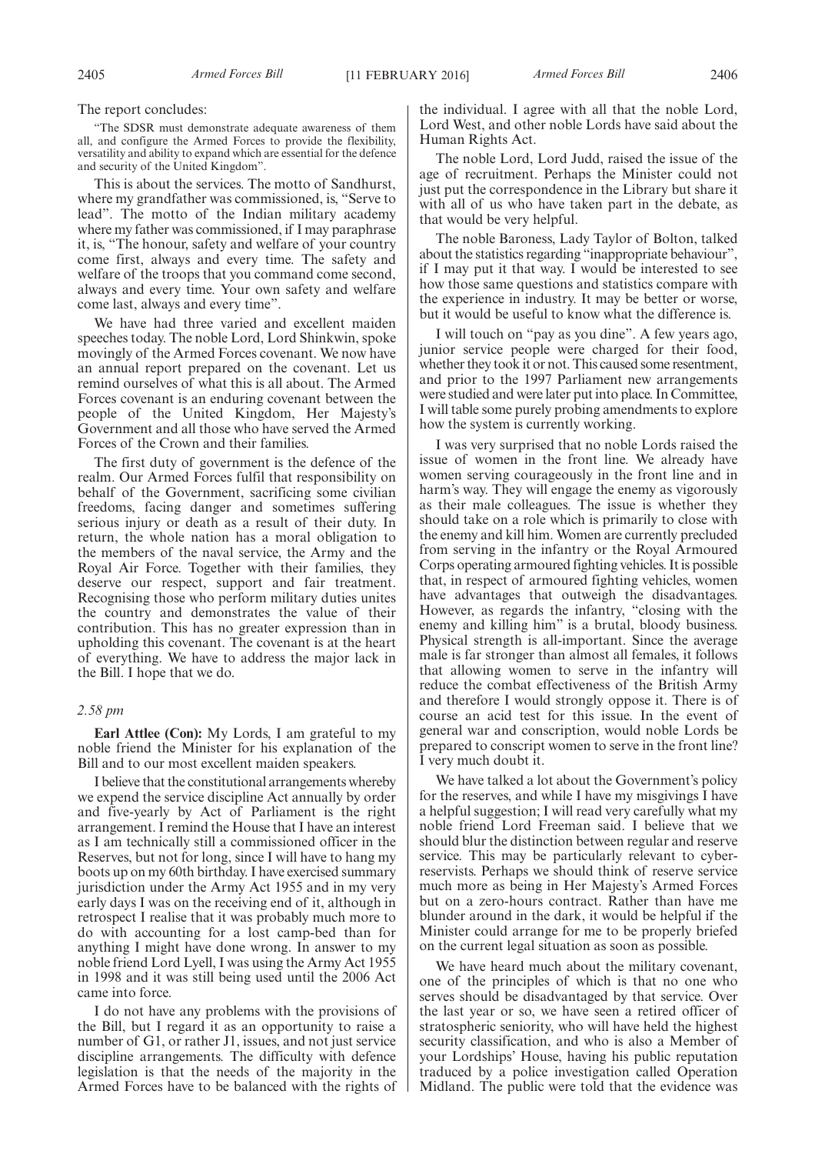The report concludes:

"The SDSR must demonstrate adequate awareness of them all, and configure the Armed Forces to provide the flexibility, versatility and ability to expand which are essential for the defence and security of the United Kingdom".

This is about the services. The motto of Sandhurst, where my grandfather was commissioned, is, "Serve to lead". The motto of the Indian military academy where my father was commissioned, if I may paraphrase it, is, "The honour, safety and welfare of your country come first, always and every time. The safety and welfare of the troops that you command come second, always and every time. Your own safety and welfare come last, always and every time".

We have had three varied and excellent maiden speeches today. The noble Lord, Lord Shinkwin, spoke movingly of the Armed Forces covenant. We now have an annual report prepared on the covenant. Let us remind ourselves of what this is all about. The Armed Forces covenant is an enduring covenant between the people of the United Kingdom, Her Majesty's Government and all those who have served the Armed Forces of the Crown and their families.

The first duty of government is the defence of the realm. Our Armed Forces fulfil that responsibility on behalf of the Government, sacrificing some civilian freedoms, facing danger and sometimes suffering serious injury or death as a result of their duty. In return, the whole nation has a moral obligation to the members of the naval service, the Army and the Royal Air Force. Together with their families, they deserve our respect, support and fair treatment. Recognising those who perform military duties unites the country and demonstrates the value of their contribution. This has no greater expression than in upholding this covenant. The covenant is at the heart of everything. We have to address the major lack in the Bill. I hope that we do.

#### *2.58 pm*

**Earl Attlee (Con):** My Lords, I am grateful to my noble friend the Minister for his explanation of the Bill and to our most excellent maiden speakers.

I believe that the constitutional arrangements whereby we expend the service discipline Act annually by order and five-yearly by Act of Parliament is the right arrangement. I remind the House that I have an interest as I am technically still a commissioned officer in the Reserves, but not for long, since I will have to hang my boots up on my 60th birthday. I have exercised summary jurisdiction under the Army Act 1955 and in my very early days I was on the receiving end of it, although in retrospect I realise that it was probably much more to do with accounting for a lost camp-bed than for anything I might have done wrong. In answer to my noble friend Lord Lyell, I was using the Army Act 1955 in 1998 and it was still being used until the 2006 Act came into force.

I do not have any problems with the provisions of the Bill, but I regard it as an opportunity to raise a number of G1, or rather J1, issues, and not just service discipline arrangements. The difficulty with defence legislation is that the needs of the majority in the Armed Forces have to be balanced with the rights of the individual. I agree with all that the noble Lord, Lord West, and other noble Lords have said about the Human Rights Act.

The noble Lord, Lord Judd, raised the issue of the age of recruitment. Perhaps the Minister could not just put the correspondence in the Library but share it with all of us who have taken part in the debate, as that would be very helpful.

The noble Baroness, Lady Taylor of Bolton, talked about the statistics regarding "inappropriate behaviour", if I may put it that way. I would be interested to see how those same questions and statistics compare with the experience in industry. It may be better or worse, but it would be useful to know what the difference is.

I will touch on "pay as you dine". A few years ago, junior service people were charged for their food, whether they took it or not. This caused some resentment, and prior to the 1997 Parliament new arrangements were studied and were later put into place. In Committee, I will table some purely probing amendments to explore how the system is currently working.

I was very surprised that no noble Lords raised the issue of women in the front line. We already have women serving courageously in the front line and in harm's way. They will engage the enemy as vigorously as their male colleagues. The issue is whether they should take on a role which is primarily to close with the enemy and kill him. Women are currently precluded from serving in the infantry or the Royal Armoured Corps operating armoured fighting vehicles. It is possible that, in respect of armoured fighting vehicles, women have advantages that outweigh the disadvantages. However, as regards the infantry, "closing with the enemy and killing him" is a brutal, bloody business. Physical strength is all-important. Since the average male is far stronger than almost all females, it follows that allowing women to serve in the infantry will reduce the combat effectiveness of the British Army and therefore I would strongly oppose it. There is of course an acid test for this issue. In the event of general war and conscription, would noble Lords be prepared to conscript women to serve in the front line? I very much doubt it.

We have talked a lot about the Government's policy for the reserves, and while I have my misgivings I have a helpful suggestion; I will read very carefully what my noble friend Lord Freeman said. I believe that we should blur the distinction between regular and reserve service. This may be particularly relevant to cyberreservists. Perhaps we should think of reserve service much more as being in Her Majesty's Armed Forces but on a zero-hours contract. Rather than have me blunder around in the dark, it would be helpful if the Minister could arrange for me to be properly briefed on the current legal situation as soon as possible.

We have heard much about the military covenant, one of the principles of which is that no one who serves should be disadvantaged by that service. Over the last year or so, we have seen a retired officer of stratospheric seniority, who will have held the highest security classification, and who is also a Member of your Lordships' House, having his public reputation traduced by a police investigation called Operation Midland. The public were told that the evidence was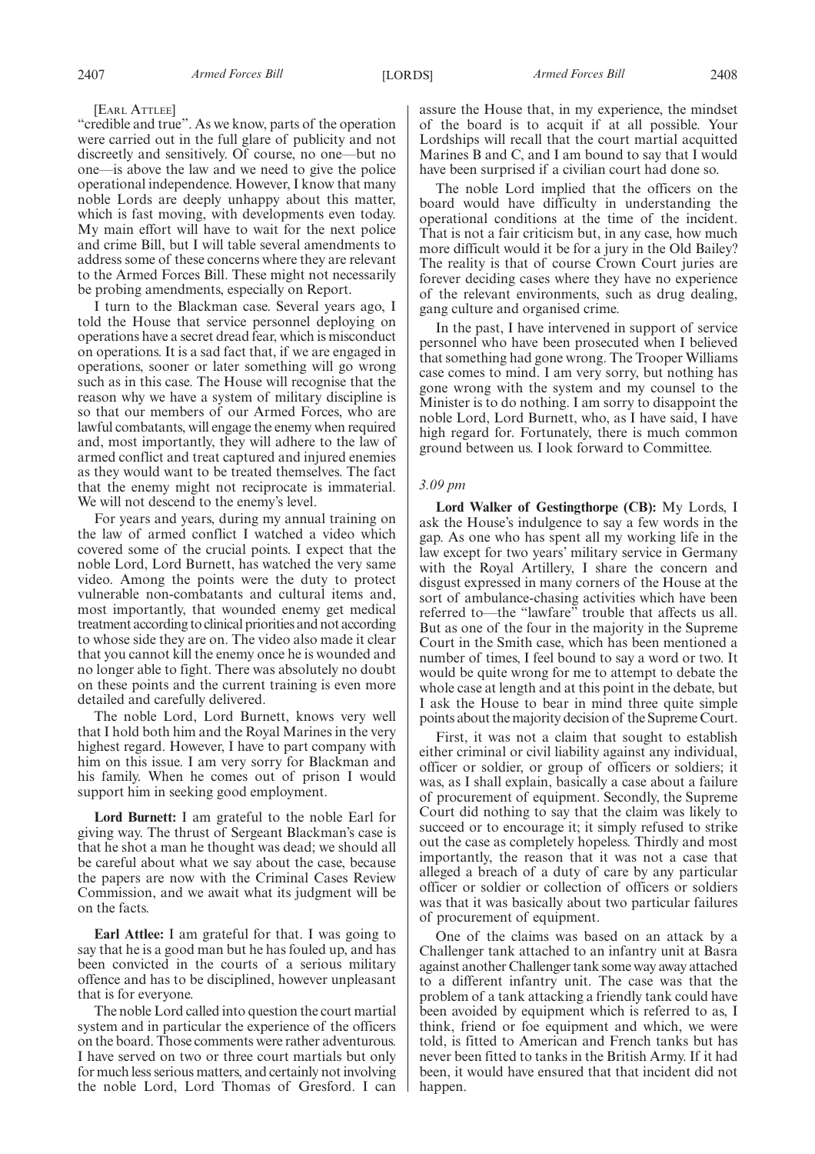[EARL ATTLEE]

"credible and true". As we know, parts of the operation were carried out in the full glare of publicity and not discreetly and sensitively. Of course, no one—but no one—is above the law and we need to give the police operational independence. However, I know that many noble Lords are deeply unhappy about this matter, which is fast moving, with developments even today. My main effort will have to wait for the next police and crime Bill, but I will table several amendments to address some of these concerns where they are relevant to the Armed Forces Bill. These might not necessarily be probing amendments, especially on Report.

I turn to the Blackman case. Several years ago, I told the House that service personnel deploying on operations have a secret dread fear, which is misconduct on operations. It is a sad fact that, if we are engaged in operations, sooner or later something will go wrong such as in this case. The House will recognise that the reason why we have a system of military discipline is so that our members of our Armed Forces, who are lawful combatants, will engage the enemy when required and, most importantly, they will adhere to the law of armed conflict and treat captured and injured enemies as they would want to be treated themselves. The fact that the enemy might not reciprocate is immaterial. We will not descend to the enemy's level.

For years and years, during my annual training on the law of armed conflict I watched a video which covered some of the crucial points. I expect that the noble Lord, Lord Burnett, has watched the very same video. Among the points were the duty to protect vulnerable non-combatants and cultural items and, most importantly, that wounded enemy get medical treatment according to clinical priorities and not according to whose side they are on. The video also made it clear that you cannot kill the enemy once he is wounded and no longer able to fight. There was absolutely no doubt on these points and the current training is even more detailed and carefully delivered.

The noble Lord, Lord Burnett, knows very well that I hold both him and the Royal Marines in the very highest regard. However, I have to part company with him on this issue. I am very sorry for Blackman and his family. When he comes out of prison I would support him in seeking good employment.

**Lord Burnett:** I am grateful to the noble Earl for giving way. The thrust of Sergeant Blackman's case is that he shot a man he thought was dead; we should all be careful about what we say about the case, because the papers are now with the Criminal Cases Review Commission, and we await what its judgment will be on the facts.

**Earl Attlee:** I am grateful for that. I was going to say that he is a good man but he has fouled up, and has been convicted in the courts of a serious military offence and has to be disciplined, however unpleasant that is for everyone.

The noble Lord called into question the court martial system and in particular the experience of the officers on the board. Those comments were rather adventurous. I have served on two or three court martials but only for much less serious matters, and certainly not involving the noble Lord, Lord Thomas of Gresford. I can assure the House that, in my experience, the mindset of the board is to acquit if at all possible. Your Lordships will recall that the court martial acquitted Marines B and C, and I am bound to say that I would have been surprised if a civilian court had done so.

The noble Lord implied that the officers on the board would have difficulty in understanding the operational conditions at the time of the incident. That is not a fair criticism but, in any case, how much more difficult would it be for a jury in the Old Bailey? The reality is that of course Crown Court juries are forever deciding cases where they have no experience of the relevant environments, such as drug dealing, gang culture and organised crime.

In the past, I have intervened in support of service personnel who have been prosecuted when I believed that something had gone wrong. The Trooper Williams case comes to mind. I am very sorry, but nothing has gone wrong with the system and my counsel to the Minister is to do nothing. I am sorry to disappoint the noble Lord, Lord Burnett, who, as I have said, I have high regard for. Fortunately, there is much common ground between us. I look forward to Committee.

#### *3.09 pm*

**Lord Walker of Gestingthorpe (CB):** My Lords, I ask the House's indulgence to say a few words in the gap. As one who has spent all my working life in the law except for two years' military service in Germany with the Royal Artillery, I share the concern and disgust expressed in many corners of the House at the sort of ambulance-chasing activities which have been referred to—the "lawfare" trouble that affects us all. But as one of the four in the majority in the Supreme Court in the Smith case, which has been mentioned a number of times, I feel bound to say a word or two. It would be quite wrong for me to attempt to debate the whole case at length and at this point in the debate, but I ask the House to bear in mind three quite simple points about the majority decision of the Supreme Court.

First, it was not a claim that sought to establish either criminal or civil liability against any individual, officer or soldier, or group of officers or soldiers; it was, as I shall explain, basically a case about a failure of procurement of equipment. Secondly, the Supreme Court did nothing to say that the claim was likely to succeed or to encourage it; it simply refused to strike out the case as completely hopeless. Thirdly and most importantly, the reason that it was not a case that alleged a breach of a duty of care by any particular officer or soldier or collection of officers or soldiers was that it was basically about two particular failures of procurement of equipment.

One of the claims was based on an attack by a Challenger tank attached to an infantry unit at Basra against another Challenger tank some way away attached to a different infantry unit. The case was that the problem of a tank attacking a friendly tank could have been avoided by equipment which is referred to as, I think, friend or foe equipment and which, we were told, is fitted to American and French tanks but has never been fitted to tanks in the British Army. If it had been, it would have ensured that that incident did not happen.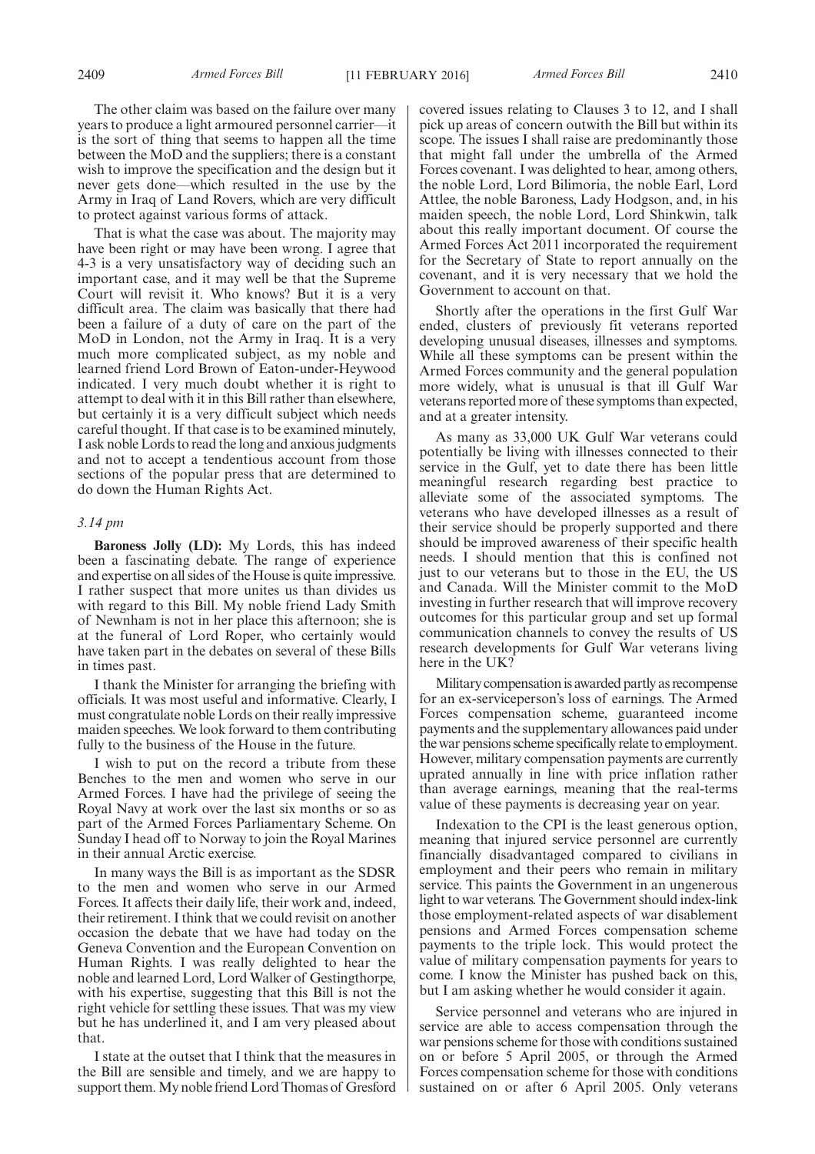The other claim was based on the failure over many years to produce a light armoured personnel carrier—it is the sort of thing that seems to happen all the time between the MoD and the suppliers; there is a constant wish to improve the specification and the design but it never gets done—which resulted in the use by the Army in Iraq of Land Rovers, which are very difficult to protect against various forms of attack.

That is what the case was about. The majority may have been right or may have been wrong. I agree that 4-3 is a very unsatisfactory way of deciding such an important case, and it may well be that the Supreme Court will revisit it. Who knows? But it is a very difficult area. The claim was basically that there had been a failure of a duty of care on the part of the MoD in London, not the Army in Iraq. It is a very much more complicated subject, as my noble and learned friend Lord Brown of Eaton-under-Heywood indicated. I very much doubt whether it is right to attempt to deal with it in this Bill rather than elsewhere, but certainly it is a very difficult subject which needs careful thought. If that case is to be examined minutely, I ask noble Lords to read the long and anxious judgments and not to accept a tendentious account from those sections of the popular press that are determined to do down the Human Rights Act.

#### *3.14 pm*

**Baroness Jolly (LD):** My Lords, this has indeed been a fascinating debate. The range of experience and expertise on all sides of the House is quite impressive. I rather suspect that more unites us than divides us with regard to this Bill. My noble friend Lady Smith of Newnham is not in her place this afternoon; she is at the funeral of Lord Roper, who certainly would have taken part in the debates on several of these Bills in times past.

I thank the Minister for arranging the briefing with officials. It was most useful and informative. Clearly, I must congratulate noble Lords on their really impressive maiden speeches. We look forward to them contributing fully to the business of the House in the future.

I wish to put on the record a tribute from these Benches to the men and women who serve in our Armed Forces. I have had the privilege of seeing the Royal Navy at work over the last six months or so as part of the Armed Forces Parliamentary Scheme. On Sunday I head off to Norway to join the Royal Marines in their annual Arctic exercise.

In many ways the Bill is as important as the SDSR to the men and women who serve in our Armed Forces. It affects their daily life, their work and, indeed, their retirement. I think that we could revisit on another occasion the debate that we have had today on the Geneva Convention and the European Convention on Human Rights. I was really delighted to hear the noble and learned Lord, Lord Walker of Gestingthorpe, with his expertise, suggesting that this Bill is not the right vehicle for settling these issues. That was my view but he has underlined it, and I am very pleased about that.

I state at the outset that I think that the measures in the Bill are sensible and timely, and we are happy to support them.My noble friend Lord Thomas of Gresford covered issues relating to Clauses 3 to 12, and I shall pick up areas of concern outwith the Bill but within its scope. The issues I shall raise are predominantly those that might fall under the umbrella of the Armed Forces covenant. I was delighted to hear, among others, the noble Lord, Lord Bilimoria, the noble Earl, Lord Attlee, the noble Baroness, Lady Hodgson, and, in his maiden speech, the noble Lord, Lord Shinkwin, talk about this really important document. Of course the Armed Forces Act 2011 incorporated the requirement for the Secretary of State to report annually on the covenant, and it is very necessary that we hold the Government to account on that.

Shortly after the operations in the first Gulf War ended, clusters of previously fit veterans reported developing unusual diseases, illnesses and symptoms. While all these symptoms can be present within the Armed Forces community and the general population more widely, what is unusual is that ill Gulf War veterans reported more of these symptoms than expected, and at a greater intensity.

As many as 33,000 UK Gulf War veterans could potentially be living with illnesses connected to their service in the Gulf, yet to date there has been little meaningful research regarding best practice to alleviate some of the associated symptoms. The veterans who have developed illnesses as a result of their service should be properly supported and there should be improved awareness of their specific health needs. I should mention that this is confined not just to our veterans but to those in the EU, the US and Canada. Will the Minister commit to the MoD investing in further research that will improve recovery outcomes for this particular group and set up formal communication channels to convey the results of US research developments for Gulf War veterans living here in the UK?

Military compensation is awarded partly as recompense for an ex-serviceperson's loss of earnings. The Armed Forces compensation scheme, guaranteed income payments and the supplementary allowances paid under the war pensions scheme specifically relate to employment. However, military compensation payments are currently uprated annually in line with price inflation rather than average earnings, meaning that the real-terms value of these payments is decreasing year on year.

Indexation to the CPI is the least generous option, meaning that injured service personnel are currently financially disadvantaged compared to civilians in employment and their peers who remain in military service. This paints the Government in an ungenerous light to war veterans. The Government should index-link those employment-related aspects of war disablement pensions and Armed Forces compensation scheme payments to the triple lock. This would protect the value of military compensation payments for years to come. I know the Minister has pushed back on this, but I am asking whether he would consider it again.

Service personnel and veterans who are injured in service are able to access compensation through the war pensions scheme for those with conditions sustained on or before 5 April 2005, or through the Armed Forces compensation scheme for those with conditions sustained on or after 6 April 2005. Only veterans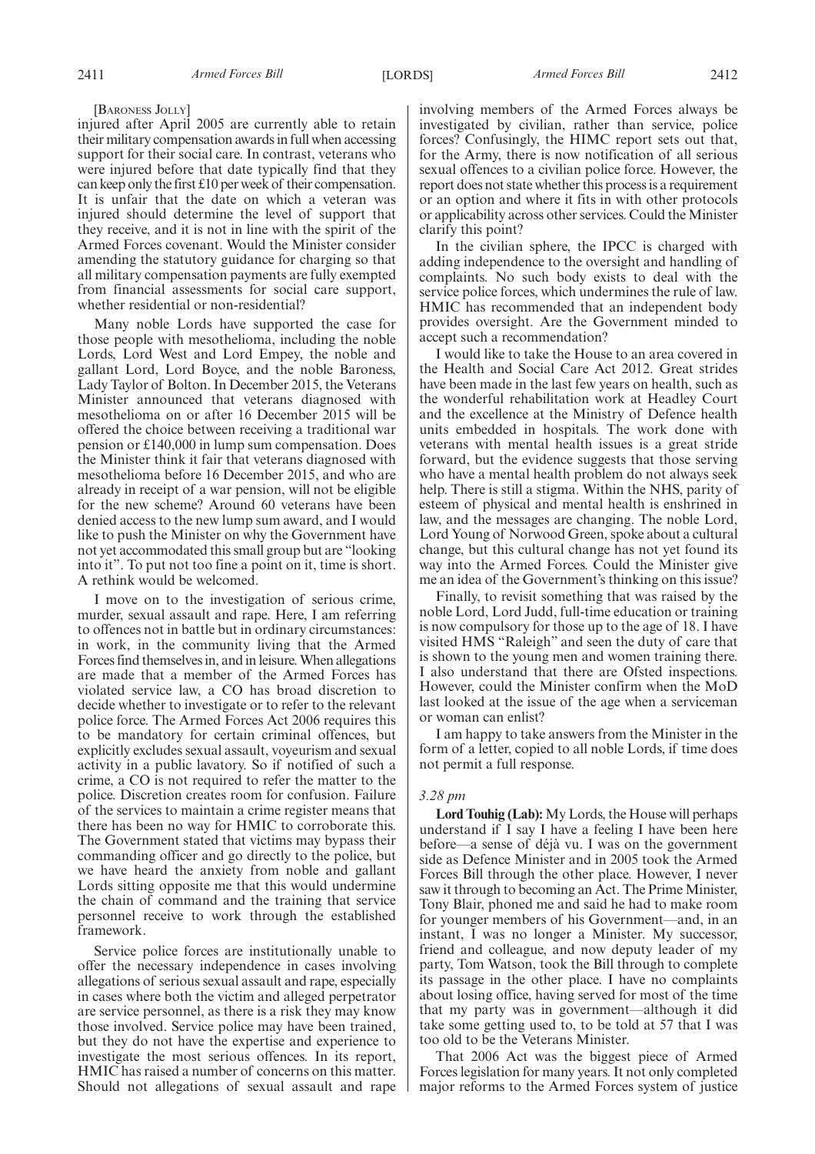[BARONESS JOLLY]

injured after April 2005 are currently able to retain their military compensation awards in full when accessing support for their social care. In contrast, veterans who were injured before that date typically find that they can keep only the first £10 per week of their compensation. It is unfair that the date on which a veteran was injured should determine the level of support that they receive, and it is not in line with the spirit of the Armed Forces covenant. Would the Minister consider amending the statutory guidance for charging so that all military compensation payments are fully exempted from financial assessments for social care support, whether residential or non-residential?

Many noble Lords have supported the case for those people with mesothelioma, including the noble Lords, Lord West and Lord Empey, the noble and gallant Lord, Lord Boyce, and the noble Baroness, Lady Taylor of Bolton. In December 2015, the Veterans Minister announced that veterans diagnosed with mesothelioma on or after 16 December 2015 will be offered the choice between receiving a traditional war pension or £140,000 in lump sum compensation. Does the Minister think it fair that veterans diagnosed with mesothelioma before 16 December 2015, and who are already in receipt of a war pension, will not be eligible for the new scheme? Around 60 veterans have been denied access to the new lump sum award, and I would like to push the Minister on why the Government have not yet accommodated this small group but are "looking into it". To put not too fine a point on it, time is short. A rethink would be welcomed.

I move on to the investigation of serious crime, murder, sexual assault and rape. Here, I am referring to offences not in battle but in ordinary circumstances: in work, in the community living that the Armed Forces find themselves in, and in leisure.When allegations are made that a member of the Armed Forces has violated service law, a CO has broad discretion to decide whether to investigate or to refer to the relevant police force. The Armed Forces Act 2006 requires this to be mandatory for certain criminal offences, but explicitly excludes sexual assault, voyeurism and sexual activity in a public lavatory. So if notified of such a crime, a CO is not required to refer the matter to the police. Discretion creates room for confusion. Failure of the services to maintain a crime register means that there has been no way for HMIC to corroborate this. The Government stated that victims may bypass their commanding officer and go directly to the police, but we have heard the anxiety from noble and gallant Lords sitting opposite me that this would undermine the chain of command and the training that service personnel receive to work through the established framework.

Service police forces are institutionally unable to offer the necessary independence in cases involving allegations of serious sexual assault and rape, especially in cases where both the victim and alleged perpetrator are service personnel, as there is a risk they may know those involved. Service police may have been trained, but they do not have the expertise and experience to investigate the most serious offences. In its report, HMIC has raised a number of concerns on this matter. Should not allegations of sexual assault and rape involving members of the Armed Forces always be investigated by civilian, rather than service, police forces? Confusingly, the HIMC report sets out that, for the Army, there is now notification of all serious sexual offences to a civilian police force. However, the report does not state whether this process is a requirement or an option and where it fits in with other protocols or applicability across other services. Could the Minister clarify this point?

In the civilian sphere, the IPCC is charged with adding independence to the oversight and handling of complaints. No such body exists to deal with the service police forces, which undermines the rule of law. HMIC has recommended that an independent body provides oversight. Are the Government minded to accept such a recommendation?

I would like to take the House to an area covered in the Health and Social Care Act 2012. Great strides have been made in the last few years on health, such as the wonderful rehabilitation work at Headley Court and the excellence at the Ministry of Defence health units embedded in hospitals. The work done with veterans with mental health issues is a great stride forward, but the evidence suggests that those serving who have a mental health problem do not always seek help. There is still a stigma. Within the NHS, parity of esteem of physical and mental health is enshrined in law, and the messages are changing. The noble Lord, Lord Young of Norwood Green, spoke about a cultural change, but this cultural change has not yet found its way into the Armed Forces. Could the Minister give me an idea of the Government's thinking on this issue?

Finally, to revisit something that was raised by the noble Lord, Lord Judd, full-time education or training is now compulsory for those up to the age of 18. I have visited HMS "Raleigh" and seen the duty of care that is shown to the young men and women training there. I also understand that there are Ofsted inspections. However, could the Minister confirm when the MoD last looked at the issue of the age when a serviceman or woman can enlist?

I am happy to take answers from the Minister in the form of a letter, copied to all noble Lords, if time does not permit a full response.

#### *3.28 pm*

**Lord Touhig (Lab):** My Lords, the House will perhaps understand if I say I have a feeling I have been here before—a sense of déjà vu. I was on the government side as Defence Minister and in 2005 took the Armed Forces Bill through the other place. However, I never saw it through to becoming an Act. The Prime Minister, Tony Blair, phoned me and said he had to make room for younger members of his Government—and, in an instant, I was no longer a Minister. My successor, friend and colleague, and now deputy leader of my party, Tom Watson, took the Bill through to complete its passage in the other place. I have no complaints about losing office, having served for most of the time that my party was in government—although it did take some getting used to, to be told at 57 that I was too old to be the Veterans Minister.

That 2006 Act was the biggest piece of Armed Forces legislation for many years. It not only completed major reforms to the Armed Forces system of justice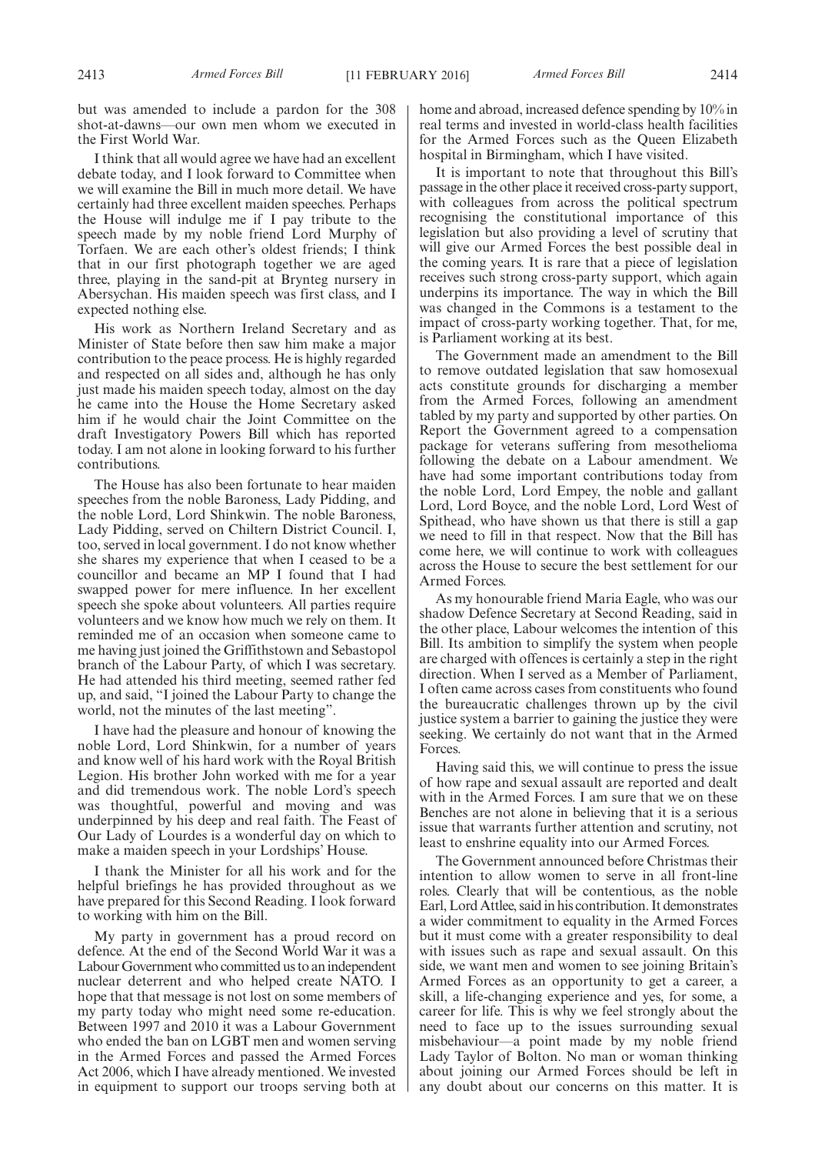but was amended to include a pardon for the 308 shot-at-dawns—our own men whom we executed in the First World War.

I think that all would agree we have had an excellent debate today, and I look forward to Committee when we will examine the Bill in much more detail. We have certainly had three excellent maiden speeches. Perhaps the House will indulge me if I pay tribute to the speech made by my noble friend Lord Murphy of Torfaen. We are each other's oldest friends; I think that in our first photograph together we are aged three, playing in the sand-pit at Brynteg nursery in Abersychan. His maiden speech was first class, and I expected nothing else.

His work as Northern Ireland Secretary and as Minister of State before then saw him make a major contribution to the peace process. He is highly regarded and respected on all sides and, although he has only just made his maiden speech today, almost on the day he came into the House the Home Secretary asked him if he would chair the Joint Committee on the draft Investigatory Powers Bill which has reported today. I am not alone in looking forward to his further contributions.

The House has also been fortunate to hear maiden speeches from the noble Baroness, Lady Pidding, and the noble Lord, Lord Shinkwin. The noble Baroness, Lady Pidding, served on Chiltern District Council. I, too, served in local government. I do not know whether she shares my experience that when I ceased to be a councillor and became an MP I found that I had swapped power for mere influence. In her excellent speech she spoke about volunteers. All parties require volunteers and we know how much we rely on them. It reminded me of an occasion when someone came to me having just joined the Griffithstown and Sebastopol branch of the Labour Party, of which I was secretary. He had attended his third meeting, seemed rather fed up, and said, "I joined the Labour Party to change the world, not the minutes of the last meeting".

I have had the pleasure and honour of knowing the noble Lord, Lord Shinkwin, for a number of years and know well of his hard work with the Royal British Legion. His brother John worked with me for a year and did tremendous work. The noble Lord's speech was thoughtful, powerful and moving and was underpinned by his deep and real faith. The Feast of Our Lady of Lourdes is a wonderful day on which to make a maiden speech in your Lordships' House.

I thank the Minister for all his work and for the helpful briefings he has provided throughout as we have prepared for this Second Reading. I look forward to working with him on the Bill.

My party in government has a proud record on defence. At the end of the Second World War it was a Labour Government who committed us to an independent nuclear deterrent and who helped create NATO. I hope that that message is not lost on some members of my party today who might need some re-education. Between 1997 and 2010 it was a Labour Government who ended the ban on LGBT men and women serving in the Armed Forces and passed the Armed Forces Act 2006, which I have already mentioned. We invested in equipment to support our troops serving both at home and abroad, increased defence spending by 10% in real terms and invested in world-class health facilities for the Armed Forces such as the Queen Elizabeth hospital in Birmingham, which I have visited.

It is important to note that throughout this Bill's passage in the other place it received cross-party support, with colleagues from across the political spectrum recognising the constitutional importance of this legislation but also providing a level of scrutiny that will give our Armed Forces the best possible deal in the coming years. It is rare that a piece of legislation receives such strong cross-party support, which again underpins its importance. The way in which the Bill was changed in the Commons is a testament to the impact of cross-party working together. That, for me, is Parliament working at its best.

The Government made an amendment to the Bill to remove outdated legislation that saw homosexual acts constitute grounds for discharging a member from the Armed Forces, following an amendment tabled by my party and supported by other parties. On Report the Government agreed to a compensation package for veterans suffering from mesothelioma following the debate on a Labour amendment. We have had some important contributions today from the noble Lord, Lord Empey, the noble and gallant Lord, Lord Boyce, and the noble Lord, Lord West of Spithead, who have shown us that there is still a gap we need to fill in that respect. Now that the Bill has come here, we will continue to work with colleagues across the House to secure the best settlement for our Armed Forces.

As my honourable friend Maria Eagle, who was our shadow Defence Secretary at Second Reading, said in the other place, Labour welcomes the intention of this Bill. Its ambition to simplify the system when people are charged with offences is certainly a step in the right direction. When I served as a Member of Parliament, I often came across cases from constituents who found the bureaucratic challenges thrown up by the civil justice system a barrier to gaining the justice they were seeking. We certainly do not want that in the Armed Forces.

Having said this, we will continue to press the issue of how rape and sexual assault are reported and dealt with in the Armed Forces. I am sure that we on these Benches are not alone in believing that it is a serious issue that warrants further attention and scrutiny, not least to enshrine equality into our Armed Forces.

The Government announced before Christmas their intention to allow women to serve in all front-line roles. Clearly that will be contentious, as the noble Earl, Lord Attlee, said in his contribution. It demonstrates a wider commitment to equality in the Armed Forces but it must come with a greater responsibility to deal with issues such as rape and sexual assault. On this side, we want men and women to see joining Britain's Armed Forces as an opportunity to get a career, a skill, a life-changing experience and yes, for some, a career for life. This is why we feel strongly about the need to face up to the issues surrounding sexual misbehaviour—a point made by my noble friend Lady Taylor of Bolton. No man or woman thinking about joining our Armed Forces should be left in any doubt about our concerns on this matter. It is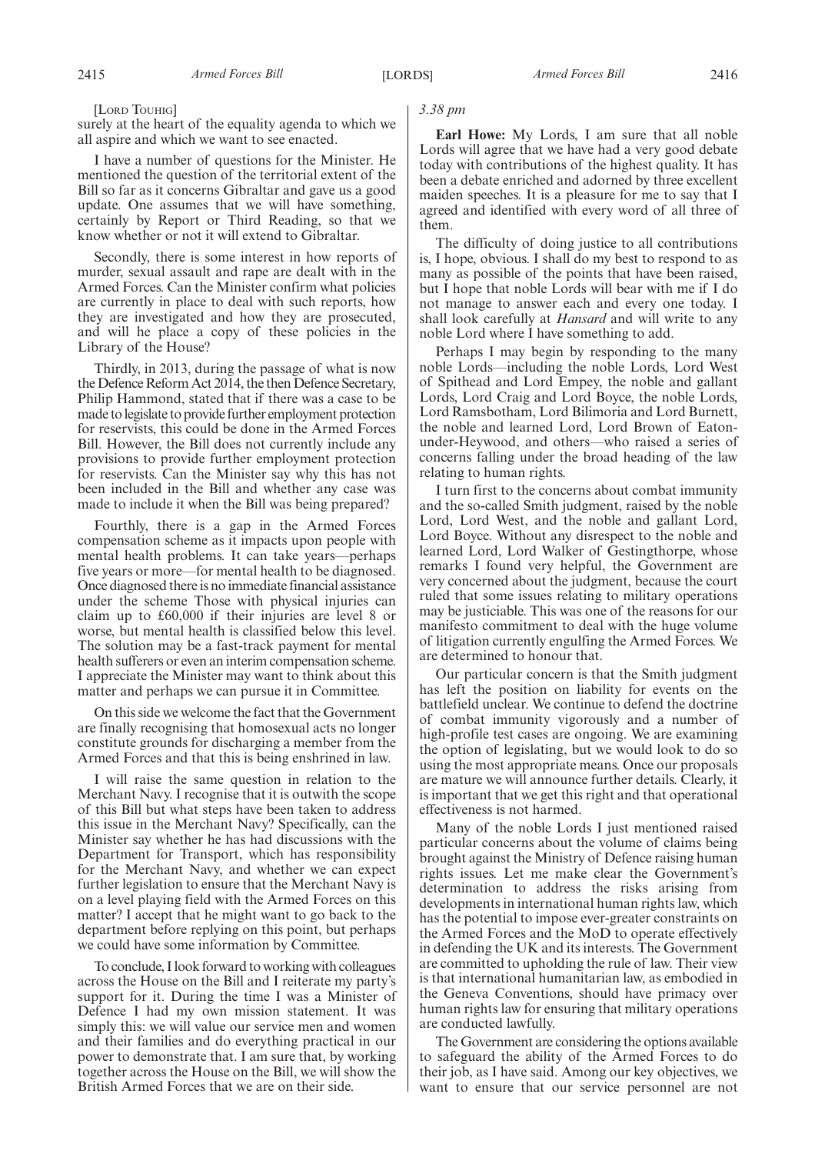[LORD TOUHIG]

surely at the heart of the equality agenda to which we all aspire and which we want to see enacted.

I have a number of questions for the Minister. He mentioned the question of the territorial extent of the Bill so far as it concerns Gibraltar and gave us a good update. One assumes that we will have something, certainly by Report or Third Reading, so that we know whether or not it will extend to Gibraltar.

Secondly, there is some interest in how reports of murder, sexual assault and rape are dealt with in the Armed Forces. Can the Minister confirm what policies are currently in place to deal with such reports, how they are investigated and how they are prosecuted, and will he place a copy of these policies in the Library of the House?

Thirdly, in 2013, during the passage of what is now the Defence Reform Act 2014, the then Defence Secretary, Philip Hammond, stated that if there was a case to be made to legislate to provide further employment protection for reservists, this could be done in the Armed Forces Bill. However, the Bill does not currently include any provisions to provide further employment protection for reservists. Can the Minister say why this has not been included in the Bill and whether any case was made to include it when the Bill was being prepared?

Fourthly, there is a gap in the Armed Forces compensation scheme as it impacts upon people with mental health problems. It can take years—perhaps five years or more—for mental health to be diagnosed. Once diagnosed there is no immediate financial assistance under the scheme Those with physical injuries can claim up to £60,000 if their injuries are level 8 or worse, but mental health is classified below this level. The solution may be a fast-track payment for mental health sufferers or even an interim compensation scheme. I appreciate the Minister may want to think about this matter and perhaps we can pursue it in Committee.

On this side we welcome the fact that the Government are finally recognising that homosexual acts no longer constitute grounds for discharging a member from the Armed Forces and that this is being enshrined in law.

I will raise the same question in relation to the Merchant Navy. I recognise that it is outwith the scope of this Bill but what steps have been taken to address this issue in the Merchant Navy? Specifically, can the Minister say whether he has had discussions with the Department for Transport, which has responsibility for the Merchant Navy, and whether we can expect further legislation to ensure that the Merchant Navy is on a level playing field with the Armed Forces on this matter? I accept that he might want to go back to the department before replying on this point, but perhaps we could have some information by Committee.

To conclude, I look forward to working with colleagues across the House on the Bill and I reiterate my party's support for it. During the time I was a Minister of Defence I had my own mission statement. It was simply this: we will value our service men and women and their families and do everything practical in our power to demonstrate that. I am sure that, by working together across the House on the Bill, we will show the British Armed Forces that we are on their side.

#### *3.38 pm*

**Earl Howe:** My Lords, I am sure that all noble Lords will agree that we have had a very good debate today with contributions of the highest quality. It has been a debate enriched and adorned by three excellent maiden speeches. It is a pleasure for me to say that I agreed and identified with every word of all three of them.

The difficulty of doing justice to all contributions is, I hope, obvious. I shall do my best to respond to as many as possible of the points that have been raised, but I hope that noble Lords will bear with me if I do not manage to answer each and every one today. I shall look carefully at *Hansard* and will write to any noble Lord where I have something to add.

Perhaps I may begin by responding to the many noble Lords—including the noble Lords, Lord West of Spithead and Lord Empey, the noble and gallant Lords, Lord Craig and Lord Boyce, the noble Lords, Lord Ramsbotham, Lord Bilimoria and Lord Burnett, the noble and learned Lord, Lord Brown of Eatonunder-Heywood, and others—who raised a series of concerns falling under the broad heading of the law relating to human rights.

I turn first to the concerns about combat immunity and the so-called Smith judgment, raised by the noble Lord, Lord West, and the noble and gallant Lord, Lord Boyce. Without any disrespect to the noble and learned Lord, Lord Walker of Gestingthorpe, whose remarks I found very helpful, the Government are very concerned about the judgment, because the court ruled that some issues relating to military operations may be justiciable. This was one of the reasons for our manifesto commitment to deal with the huge volume of litigation currently engulfing the Armed Forces. We are determined to honour that.

Our particular concern is that the Smith judgment has left the position on liability for events on the battlefield unclear. We continue to defend the doctrine of combat immunity vigorously and a number of high-profile test cases are ongoing. We are examining the option of legislating, but we would look to do so using the most appropriate means. Once our proposals are mature we will announce further details. Clearly, it is important that we get this right and that operational effectiveness is not harmed.

Many of the noble Lords I just mentioned raised particular concerns about the volume of claims being brought against the Ministry of Defence raising human rights issues. Let me make clear the Government's determination to address the risks arising from developments in international human rights law, which has the potential to impose ever-greater constraints on the Armed Forces and the MoD to operate effectively in defending the UK and its interests. The Government are committed to upholding the rule of law. Their view is that international humanitarian law, as embodied in the Geneva Conventions, should have primacy over human rights law for ensuring that military operations are conducted lawfully.

The Government are considering the options available to safeguard the ability of the Armed Forces to do their job, as I have said. Among our key objectives, we want to ensure that our service personnel are not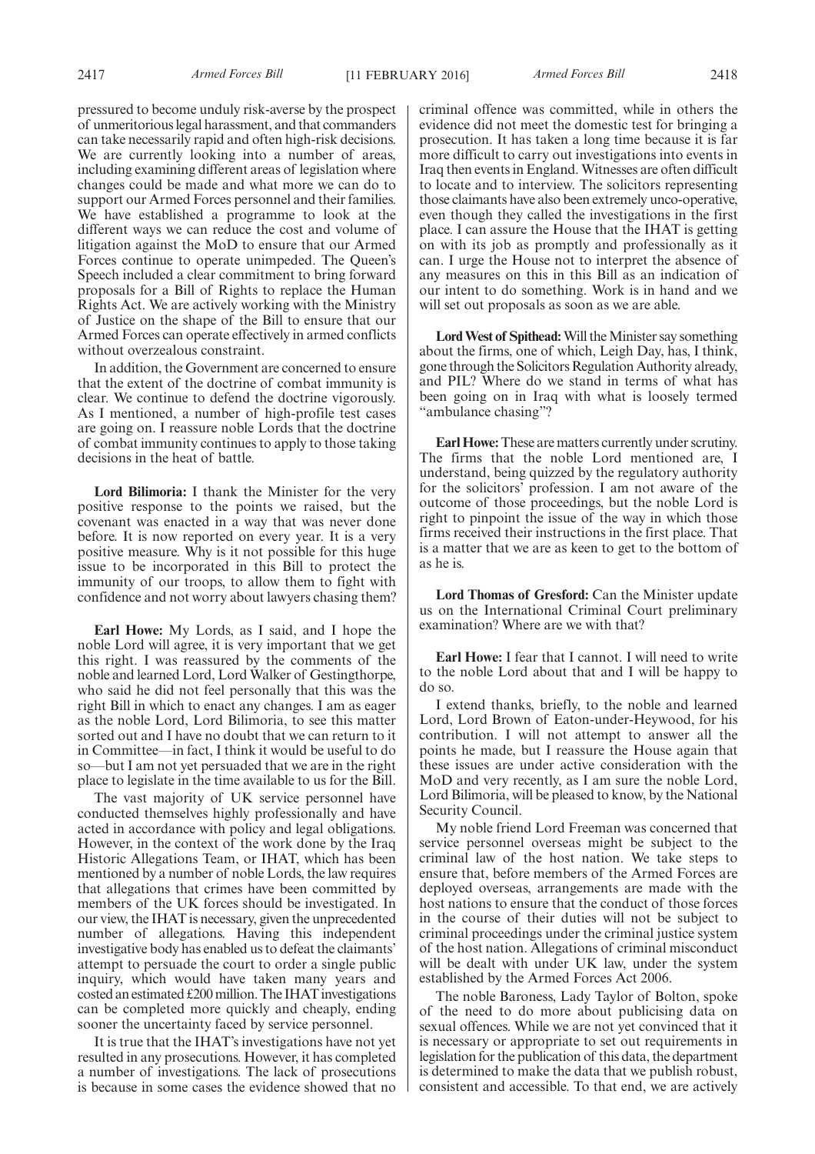pressured to become unduly risk-averse by the prospect of unmeritorious legal harassment, and that commanders can take necessarily rapid and often high-risk decisions. We are currently looking into a number of areas, including examining different areas of legislation where changes could be made and what more we can do to support our Armed Forces personnel and their families. We have established a programme to look at the different ways we can reduce the cost and volume of litigation against the MoD to ensure that our Armed Forces continue to operate unimpeded. The Queen's Speech included a clear commitment to bring forward proposals for a Bill of Rights to replace the Human Rights Act. We are actively working with the Ministry of Justice on the shape of the Bill to ensure that our Armed Forces can operate effectively in armed conflicts without overzealous constraint.

In addition, the Government are concerned to ensure that the extent of the doctrine of combat immunity is clear. We continue to defend the doctrine vigorously. As I mentioned, a number of high-profile test cases are going on. I reassure noble Lords that the doctrine of combat immunity continues to apply to those taking decisions in the heat of battle.

**Lord Bilimoria:** I thank the Minister for the very positive response to the points we raised, but the covenant was enacted in a way that was never done before. It is now reported on every year. It is a very positive measure. Why is it not possible for this huge issue to be incorporated in this Bill to protect the immunity of our troops, to allow them to fight with confidence and not worry about lawyers chasing them?

**Earl Howe:** My Lords, as I said, and I hope the noble Lord will agree, it is very important that we get this right. I was reassured by the comments of the noble and learned Lord, Lord Walker of Gestingthorpe, who said he did not feel personally that this was the right Bill in which to enact any changes. I am as eager as the noble Lord, Lord Bilimoria, to see this matter sorted out and I have no doubt that we can return to it in Committee—in fact, I think it would be useful to do so—but I am not yet persuaded that we are in the right place to legislate in the time available to us for the Bill.

The vast majority of UK service personnel have conducted themselves highly professionally and have acted in accordance with policy and legal obligations. However, in the context of the work done by the Iraq Historic Allegations Team, or IHAT, which has been mentioned by a number of noble Lords, the law requires that allegations that crimes have been committed by members of the UK forces should be investigated. In our view, the IHAT is necessary, given the unprecedented number of allegations. Having this independent investigative body has enabled us to defeat the claimants' attempt to persuade the court to order a single public inquiry, which would have taken many years and  $\cot$  costed an estimated £200 million. The IHAT investigations can be completed more quickly and cheaply, ending sooner the uncertainty faced by service personnel.

It is true that the IHAT's investigations have not yet resulted in any prosecutions. However, it has completed a number of investigations. The lack of prosecutions is because in some cases the evidence showed that no criminal offence was committed, while in others the evidence did not meet the domestic test for bringing a prosecution. It has taken a long time because it is far more difficult to carry out investigations into events in Iraq then events in England. Witnesses are often difficult to locate and to interview. The solicitors representing those claimants have also been extremely unco-operative, even though they called the investigations in the first place. I can assure the House that the IHAT is getting on with its job as promptly and professionally as it can. I urge the House not to interpret the absence of any measures on this in this Bill as an indication of our intent to do something. Work is in hand and we will set out proposals as soon as we are able.

Lord West of Spithead: Will the Minister say something about the firms, one of which, Leigh Day, has, I think, gone through the Solicitors Regulation Authority already, and PIL? Where do we stand in terms of what has been going on in Iraq with what is loosely termed "ambulance chasing"?

**Earl Howe:**These are matters currently under scrutiny. The firms that the noble Lord mentioned are, I understand, being quizzed by the regulatory authority for the solicitors' profession. I am not aware of the outcome of those proceedings, but the noble Lord is right to pinpoint the issue of the way in which those firms received their instructions in the first place. That is a matter that we are as keen to get to the bottom of as he is.

**Lord Thomas of Gresford:** Can the Minister update us on the International Criminal Court preliminary examination? Where are we with that?

**Earl Howe:** I fear that I cannot. I will need to write to the noble Lord about that and I will be happy to do so.

I extend thanks, briefly, to the noble and learned Lord, Lord Brown of Eaton-under-Heywood, for his contribution. I will not attempt to answer all the points he made, but I reassure the House again that these issues are under active consideration with the MoD and very recently, as I am sure the noble Lord, Lord Bilimoria, will be pleased to know, by the National Security Council.

My noble friend Lord Freeman was concerned that service personnel overseas might be subject to the criminal law of the host nation. We take steps to ensure that, before members of the Armed Forces are deployed overseas, arrangements are made with the host nations to ensure that the conduct of those forces in the course of their duties will not be subject to criminal proceedings under the criminal justice system of the host nation. Allegations of criminal misconduct will be dealt with under UK law, under the system established by the Armed Forces Act 2006.

The noble Baroness, Lady Taylor of Bolton, spoke of the need to do more about publicising data on sexual offences. While we are not yet convinced that it is necessary or appropriate to set out requirements in legislation for the publication of this data, the department is determined to make the data that we publish robust, consistent and accessible. To that end, we are actively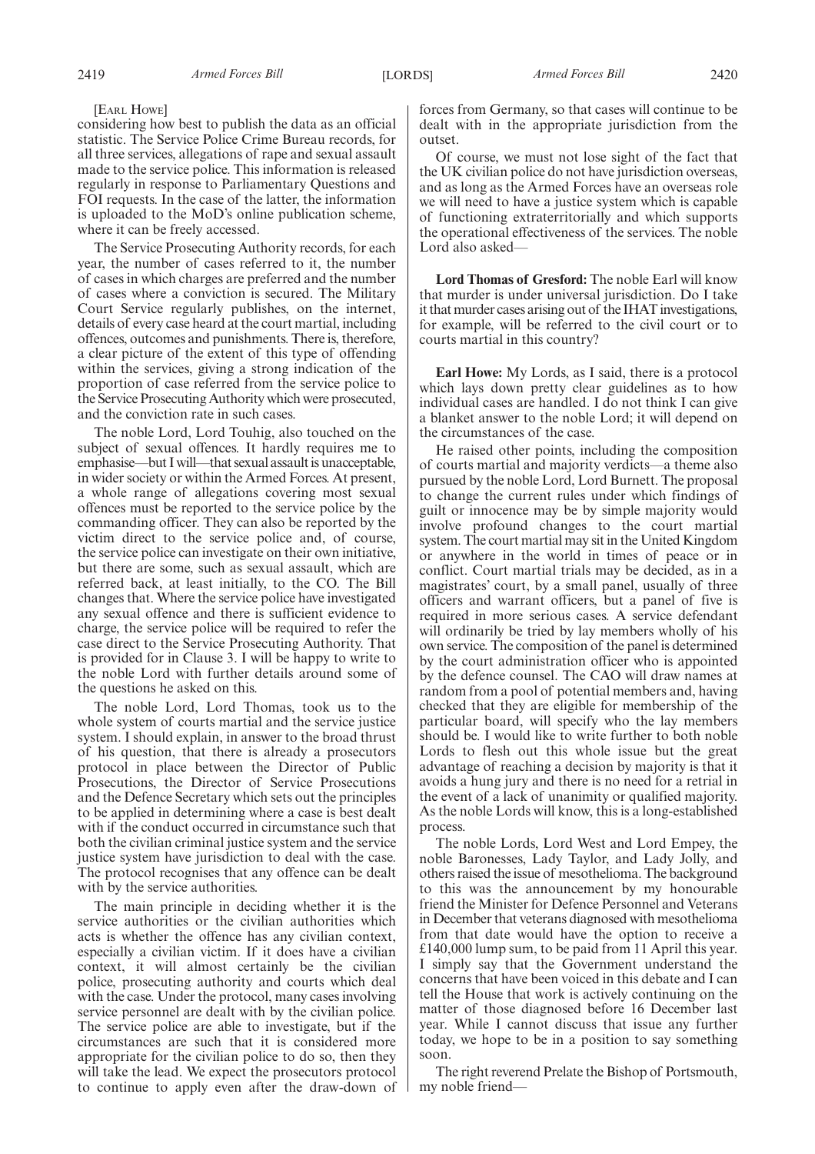[EARL HOWE]

considering how best to publish the data as an official statistic. The Service Police Crime Bureau records, for all three services, allegations of rape and sexual assault made to the service police. This information is released regularly in response to Parliamentary Questions and FOI requests. In the case of the latter, the information is uploaded to the MoD's online publication scheme, where it can be freely accessed.

The Service Prosecuting Authority records, for each year, the number of cases referred to it, the number of cases in which charges are preferred and the number of cases where a conviction is secured. The Military Court Service regularly publishes, on the internet, details of every case heard at the court martial, including offences, outcomes and punishments. There is, therefore, a clear picture of the extent of this type of offending within the services, giving a strong indication of the proportion of case referred from the service police to the Service Prosecuting Authority which were prosecuted, and the conviction rate in such cases.

The noble Lord, Lord Touhig, also touched on the subject of sexual offences. It hardly requires me to emphasise—but I will—that sexual assault is unacceptable, in wider society or within the Armed Forces. At present, a whole range of allegations covering most sexual offences must be reported to the service police by the commanding officer. They can also be reported by the victim direct to the service police and, of course, the service police can investigate on their own initiative, but there are some, such as sexual assault, which are referred back, at least initially, to the CO. The Bill changes that. Where the service police have investigated any sexual offence and there is sufficient evidence to charge, the service police will be required to refer the case direct to the Service Prosecuting Authority. That is provided for in Clause 3. I will be happy to write to the noble Lord with further details around some of the questions he asked on this.

The noble Lord, Lord Thomas, took us to the whole system of courts martial and the service justice system. I should explain, in answer to the broad thrust of his question, that there is already a prosecutors protocol in place between the Director of Public Prosecutions, the Director of Service Prosecutions and the Defence Secretary which sets out the principles to be applied in determining where a case is best dealt with if the conduct occurred in circumstance such that both the civilian criminal justice system and the service justice system have jurisdiction to deal with the case. The protocol recognises that any offence can be dealt with by the service authorities.

The main principle in deciding whether it is the service authorities or the civilian authorities which acts is whether the offence has any civilian context, especially a civilian victim. If it does have a civilian context, it will almost certainly be the civilian police, prosecuting authority and courts which deal with the case. Under the protocol, many cases involving service personnel are dealt with by the civilian police. The service police are able to investigate, but if the circumstances are such that it is considered more appropriate for the civilian police to do so, then they will take the lead. We expect the prosecutors protocol to continue to apply even after the draw-down of forces from Germany, so that cases will continue to be dealt with in the appropriate jurisdiction from the outset.

Of course, we must not lose sight of the fact that the UK civilian police do not have jurisdiction overseas, and as long as the Armed Forces have an overseas role we will need to have a justice system which is capable of functioning extraterritorially and which supports the operational effectiveness of the services. The noble Lord also asked—

**Lord Thomas of Gresford:** The noble Earl will know that murder is under universal jurisdiction. Do I take it that murder cases arising out of the IHAT investigations, for example, will be referred to the civil court or to courts martial in this country?

**Earl Howe:** My Lords, as I said, there is a protocol which lays down pretty clear guidelines as to how individual cases are handled. I do not think I can give a blanket answer to the noble Lord; it will depend on the circumstances of the case.

He raised other points, including the composition of courts martial and majority verdicts—a theme also pursued by the noble Lord, Lord Burnett. The proposal to change the current rules under which findings of guilt or innocence may be by simple majority would involve profound changes to the court martial system. The court martial may sit in the United Kingdom or anywhere in the world in times of peace or in conflict. Court martial trials may be decided, as in a magistrates' court, by a small panel, usually of three officers and warrant officers, but a panel of five is required in more serious cases. A service defendant will ordinarily be tried by lay members wholly of his own service. The composition of the panel is determined by the court administration officer who is appointed by the defence counsel. The CAO will draw names at random from a pool of potential members and, having checked that they are eligible for membership of the particular board, will specify who the lay members should be. I would like to write further to both noble Lords to flesh out this whole issue but the great advantage of reaching a decision by majority is that it avoids a hung jury and there is no need for a retrial in the event of a lack of unanimity or qualified majority. As the noble Lords will know, this is a long-established process.

The noble Lords, Lord West and Lord Empey, the noble Baronesses, Lady Taylor, and Lady Jolly, and others raised the issue of mesothelioma. The background to this was the announcement by my honourable friend the Minister for Defence Personnel and Veterans in December that veterans diagnosed with mesothelioma from that date would have the option to receive a £140,000 lump sum, to be paid from 11 April this year. I simply say that the Government understand the concerns that have been voiced in this debate and I can tell the House that work is actively continuing on the matter of those diagnosed before 16 December last year. While I cannot discuss that issue any further today, we hope to be in a position to say something soon.

The right reverend Prelate the Bishop of Portsmouth, my noble friend—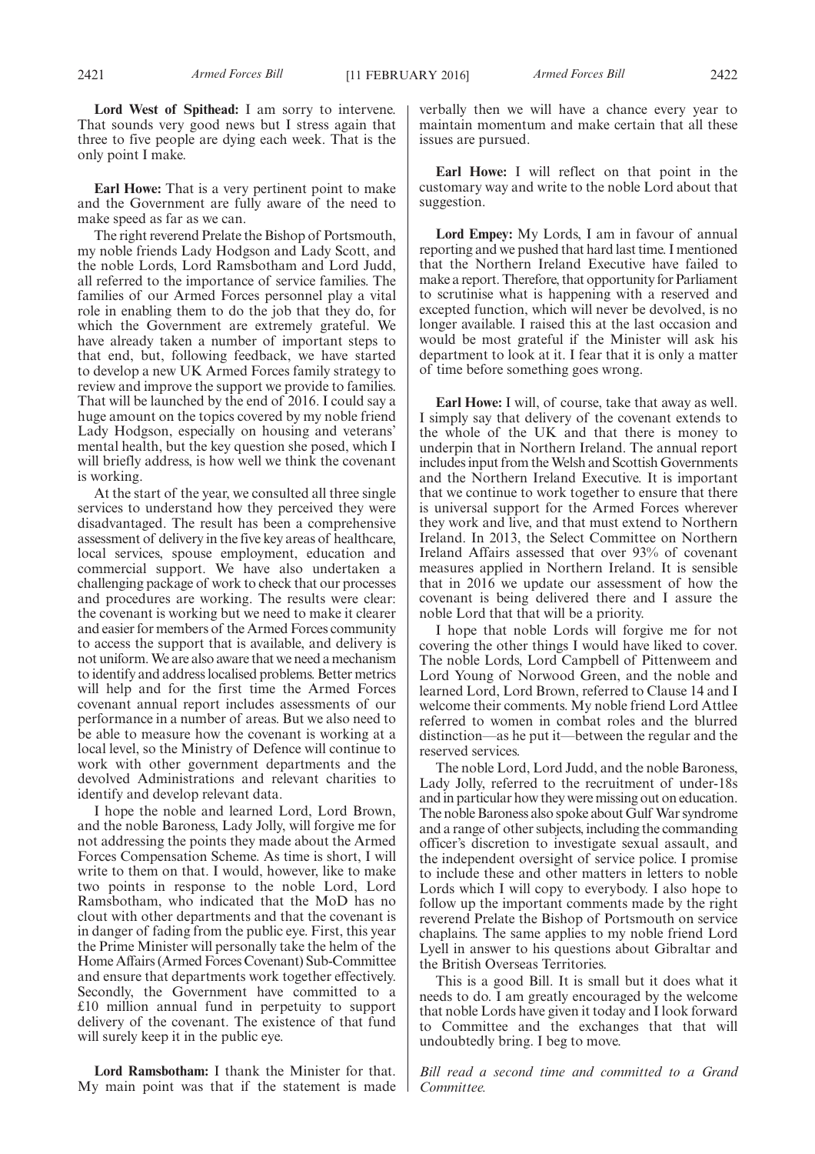**Lord West of Spithead:** I am sorry to intervene. That sounds very good news but I stress again that three to five people are dying each week. That is the only point I make.

**Earl Howe:** That is a very pertinent point to make and the Government are fully aware of the need to make speed as far as we can.

The right reverend Prelate the Bishop of Portsmouth, my noble friends Lady Hodgson and Lady Scott, and the noble Lords, Lord Ramsbotham and Lord Judd, all referred to the importance of service families. The families of our Armed Forces personnel play a vital role in enabling them to do the job that they do, for which the Government are extremely grateful. We have already taken a number of important steps to that end, but, following feedback, we have started to develop a new UK Armed Forces family strategy to review and improve the support we provide to families. That will be launched by the end of 2016. I could say a huge amount on the topics covered by my noble friend Lady Hodgson, especially on housing and veterans' mental health, but the key question she posed, which I will briefly address, is how well we think the covenant is working.

At the start of the year, we consulted all three single services to understand how they perceived they were disadvantaged. The result has been a comprehensive assessment of delivery in the five key areas of healthcare, local services, spouse employment, education and commercial support. We have also undertaken a challenging package of work to check that our processes and procedures are working. The results were clear: the covenant is working but we need to make it clearer and easier for members of the Armed Forces community to access the support that is available, and delivery is not uniform.We are also aware that we need a mechanism to identify and address localised problems. Better metrics will help and for the first time the Armed Forces covenant annual report includes assessments of our performance in a number of areas. But we also need to be able to measure how the covenant is working at a local level, so the Ministry of Defence will continue to work with other government departments and the devolved Administrations and relevant charities to identify and develop relevant data.

I hope the noble and learned Lord, Lord Brown, and the noble Baroness, Lady Jolly, will forgive me for not addressing the points they made about the Armed Forces Compensation Scheme. As time is short, I will write to them on that. I would, however, like to make two points in response to the noble Lord, Lord Ramsbotham, who indicated that the MoD has no clout with other departments and that the covenant is in danger of fading from the public eye. First, this year the Prime Minister will personally take the helm of the Home Affairs (Armed Forces Covenant) Sub-Committee and ensure that departments work together effectively. Secondly, the Government have committed to a £10 million annual fund in perpetuity to support delivery of the covenant. The existence of that fund will surely keep it in the public eye.

**Lord Ramsbotham:** I thank the Minister for that. My main point was that if the statement is made

verbally then we will have a chance every year to maintain momentum and make certain that all these issues are pursued.

**Earl Howe:** I will reflect on that point in the customary way and write to the noble Lord about that suggestion.

**Lord Empey:** My Lords, I am in favour of annual reporting and we pushed that hard last time. I mentioned that the Northern Ireland Executive have failed to make a report. Therefore, that opportunity for Parliament to scrutinise what is happening with a reserved and excepted function, which will never be devolved, is no longer available. I raised this at the last occasion and would be most grateful if the Minister will ask his department to look at it. I fear that it is only a matter of time before something goes wrong.

**Earl Howe:** I will, of course, take that away as well. I simply say that delivery of the covenant extends to the whole of the UK and that there is money to underpin that in Northern Ireland. The annual report includes input from the Welsh and Scottish Governments and the Northern Ireland Executive. It is important that we continue to work together to ensure that there is universal support for the Armed Forces wherever they work and live, and that must extend to Northern Ireland. In 2013, the Select Committee on Northern Ireland Affairs assessed that over 93% of covenant measures applied in Northern Ireland. It is sensible that in 2016 we update our assessment of how the covenant is being delivered there and I assure the noble Lord that that will be a priority.

I hope that noble Lords will forgive me for not covering the other things I would have liked to cover. The noble Lords, Lord Campbell of Pittenweem and Lord Young of Norwood Green, and the noble and learned Lord, Lord Brown, referred to Clause 14 and I welcome their comments. My noble friend Lord Attlee referred to women in combat roles and the blurred distinction—as he put it—between the regular and the reserved services.

The noble Lord, Lord Judd, and the noble Baroness, Lady Jolly, referred to the recruitment of under-18s and in particular how they were missing out on education. The noble Baroness also spoke about Gulf War syndrome and a range of other subjects, including the commanding officer's discretion to investigate sexual assault, and the independent oversight of service police. I promise to include these and other matters in letters to noble Lords which I will copy to everybody. I also hope to follow up the important comments made by the right reverend Prelate the Bishop of Portsmouth on service chaplains. The same applies to my noble friend Lord Lyell in answer to his questions about Gibraltar and the British Overseas Territories.

This is a good Bill. It is small but it does what it needs to do. I am greatly encouraged by the welcome that noble Lords have given it today and I look forward to Committee and the exchanges that that will undoubtedly bring. I beg to move.

*Bill read a second time and committed to a Grand Committee.*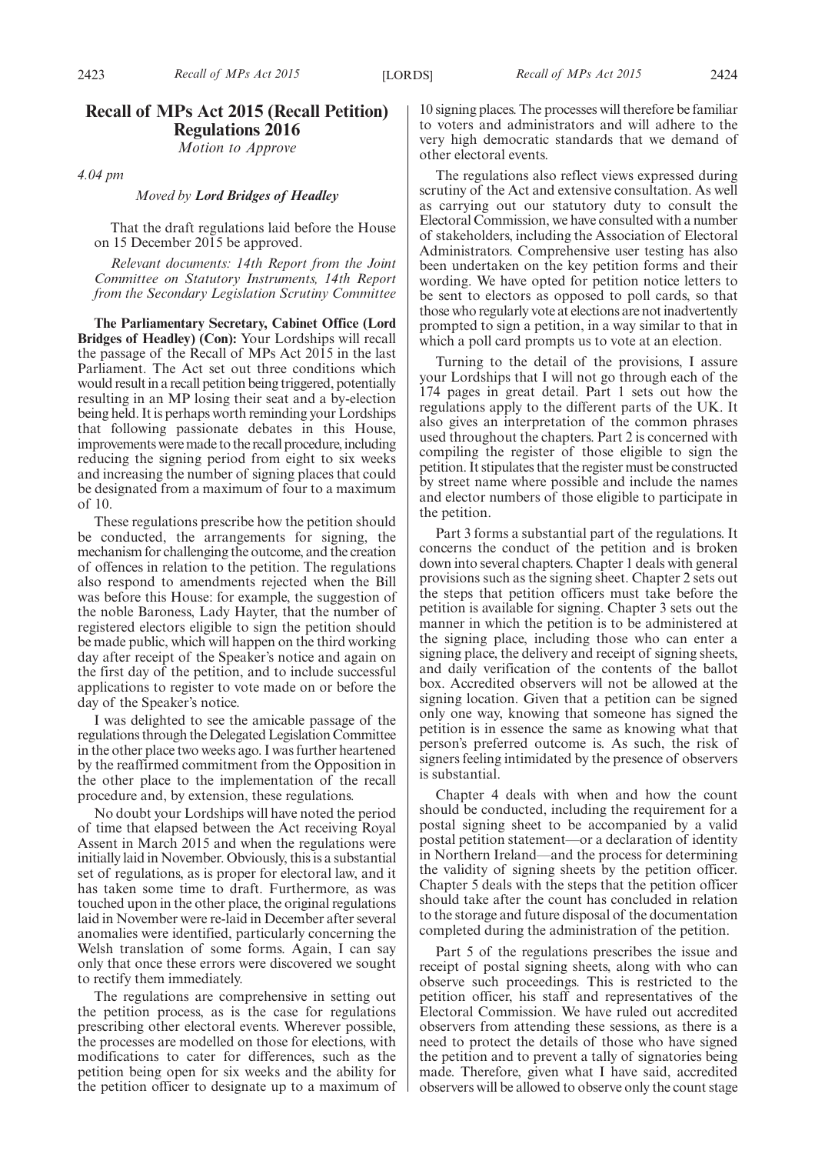## **Recall of MPs Act 2015 (Recall Petition) Regulations 2016**

*Motion to Approve*

*4.04 pm*

#### *Moved by Lord Bridges of Headley*

That the draft regulations laid before the House on 15 December 2015 be approved.

*Relevant documents: 14th Report from the Joint Committee on Statutory Instruments, 14th Report from the Secondary Legislation Scrutiny Committee*

**The Parliamentary Secretary, Cabinet Office (Lord Bridges of Headley) (Con):** Your Lordships will recall the passage of the Recall of MPs Act 2015 in the last Parliament. The Act set out three conditions which would result in a recall petition being triggered, potentially resulting in an MP losing their seat and a by-election being held. It is perhaps worth reminding your Lordships that following passionate debates in this House, improvements were made to the recall procedure, including reducing the signing period from eight to six weeks and increasing the number of signing places that could be designated from a maximum of four to a maximum of 10.

These regulations prescribe how the petition should be conducted, the arrangements for signing, the mechanism for challenging the outcome, and the creation of offences in relation to the petition. The regulations also respond to amendments rejected when the Bill was before this House: for example, the suggestion of the noble Baroness, Lady Hayter, that the number of registered electors eligible to sign the petition should be made public, which will happen on the third working day after receipt of the Speaker's notice and again on the first day of the petition, and to include successful applications to register to vote made on or before the day of the Speaker's notice.

I was delighted to see the amicable passage of the regulations through the Delegated Legislation Committee in the other place two weeks ago. I was further heartened by the reaffirmed commitment from the Opposition in the other place to the implementation of the recall procedure and, by extension, these regulations.

No doubt your Lordships will have noted the period of time that elapsed between the Act receiving Royal Assent in March 2015 and when the regulations were initially laid in November. Obviously, this is a substantial set of regulations, as is proper for electoral law, and it has taken some time to draft. Furthermore, as was touched upon in the other place, the original regulations laid in November were re-laid in December after several anomalies were identified, particularly concerning the Welsh translation of some forms. Again, I can say only that once these errors were discovered we sought to rectify them immediately.

The regulations are comprehensive in setting out the petition process, as is the case for regulations prescribing other electoral events. Wherever possible, the processes are modelled on those for elections, with modifications to cater for differences, such as the petition being open for six weeks and the ability for the petition officer to designate up to a maximum of

10 signing places. The processes will therefore be familiar to voters and administrators and will adhere to the very high democratic standards that we demand of other electoral events.

The regulations also reflect views expressed during scrutiny of the Act and extensive consultation. As well as carrying out our statutory duty to consult the Electoral Commission, we have consulted with a number of stakeholders, including the Association of Electoral Administrators. Comprehensive user testing has also been undertaken on the key petition forms and their wording. We have opted for petition notice letters to be sent to electors as opposed to poll cards, so that those who regularly vote at elections are not inadvertently prompted to sign a petition, in a way similar to that in which a poll card prompts us to vote at an election.

Turning to the detail of the provisions, I assure your Lordships that I will not go through each of the 174 pages in great detail. Part 1 sets out how the regulations apply to the different parts of the UK. It also gives an interpretation of the common phrases used throughout the chapters. Part 2 is concerned with compiling the register of those eligible to sign the petition. It stipulates that the register must be constructed by street name where possible and include the names and elector numbers of those eligible to participate in the petition.

Part 3 forms a substantial part of the regulations. It concerns the conduct of the petition and is broken down into several chapters. Chapter 1 deals with general provisions such as the signing sheet. Chapter 2 sets out the steps that petition officers must take before the petition is available for signing. Chapter 3 sets out the manner in which the petition is to be administered at the signing place, including those who can enter a signing place, the delivery and receipt of signing sheets, and daily verification of the contents of the ballot box. Accredited observers will not be allowed at the signing location. Given that a petition can be signed only one way, knowing that someone has signed the petition is in essence the same as knowing what that person's preferred outcome is. As such, the risk of signers feeling intimidated by the presence of observers is substantial.

Chapter 4 deals with when and how the count should be conducted, including the requirement for a postal signing sheet to be accompanied by a valid postal petition statement—or a declaration of identity in Northern Ireland—and the process for determining the validity of signing sheets by the petition officer. Chapter 5 deals with the steps that the petition officer should take after the count has concluded in relation to the storage and future disposal of the documentation completed during the administration of the petition.

Part 5 of the regulations prescribes the issue and receipt of postal signing sheets, along with who can observe such proceedings. This is restricted to the petition officer, his staff and representatives of the Electoral Commission. We have ruled out accredited observers from attending these sessions, as there is a need to protect the details of those who have signed the petition and to prevent a tally of signatories being made. Therefore, given what I have said, accredited observers will be allowed to observe only the count stage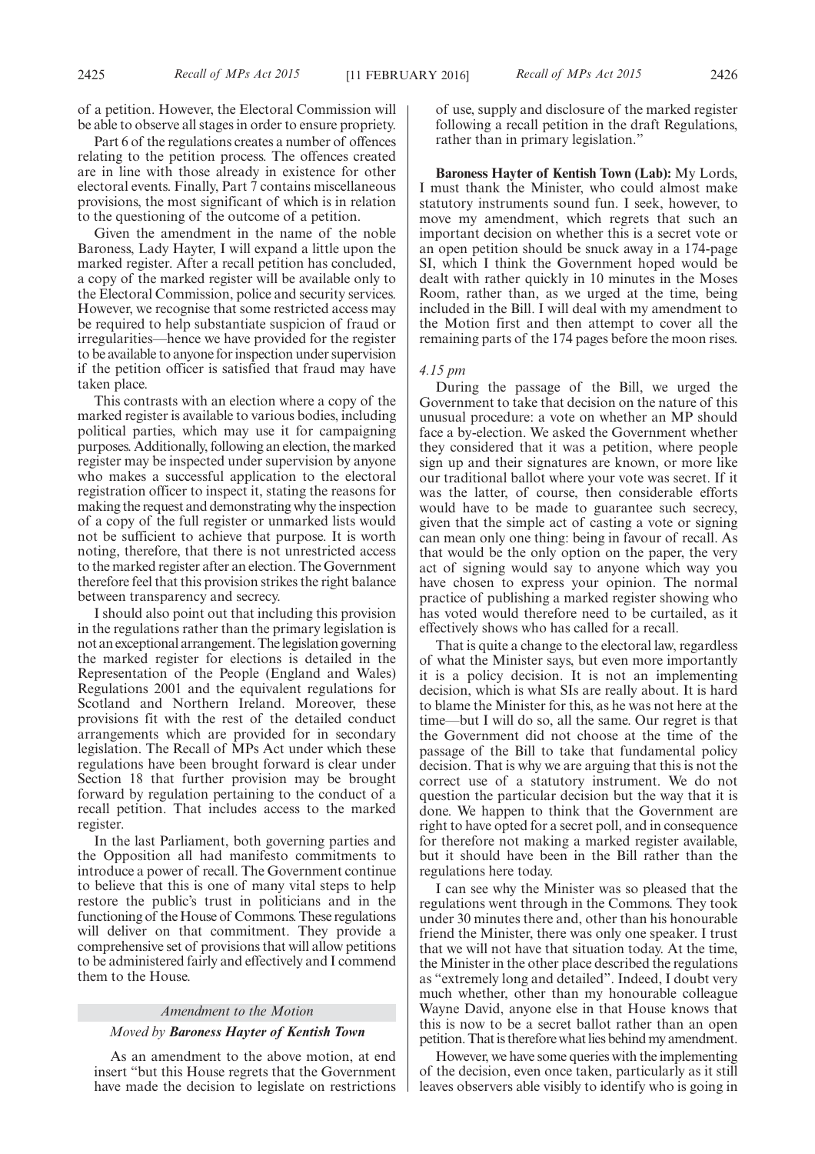of a petition. However, the Electoral Commission will be able to observe all stages in order to ensure propriety.

Part 6 of the regulations creates a number of offences relating to the petition process. The offences created are in line with those already in existence for other electoral events. Finally, Part 7 contains miscellaneous provisions, the most significant of which is in relation to the questioning of the outcome of a petition.

Given the amendment in the name of the noble Baroness, Lady Hayter, I will expand a little upon the marked register. After a recall petition has concluded, a copy of the marked register will be available only to the Electoral Commission, police and security services. However, we recognise that some restricted access may be required to help substantiate suspicion of fraud or irregularities—hence we have provided for the register to be available to anyone for inspection under supervision if the petition officer is satisfied that fraud may have taken place.

This contrasts with an election where a copy of the marked register is available to various bodies, including political parties, which may use it for campaigning purposes. Additionally, following an election, the marked register may be inspected under supervision by anyone who makes a successful application to the electoral registration officer to inspect it, stating the reasons for making the request and demonstrating why the inspection of a copy of the full register or unmarked lists would not be sufficient to achieve that purpose. It is worth noting, therefore, that there is not unrestricted access to the marked register after an election. The Government therefore feel that this provision strikes the right balance between transparency and secrecy.

I should also point out that including this provision in the regulations rather than the primary legislation is not an exceptional arrangement. The legislation governing the marked register for elections is detailed in the Representation of the People (England and Wales) Regulations 2001 and the equivalent regulations for Scotland and Northern Ireland. Moreover, these provisions fit with the rest of the detailed conduct arrangements which are provided for in secondary legislation. The Recall of MPs Act under which these regulations have been brought forward is clear under Section 18 that further provision may be brought forward by regulation pertaining to the conduct of a recall petition. That includes access to the marked register.

In the last Parliament, both governing parties and the Opposition all had manifesto commitments to introduce a power of recall. The Government continue to believe that this is one of many vital steps to help restore the public's trust in politicians and in the functioning of the House of Commons. These regulations will deliver on that commitment. They provide a comprehensive set of provisions that will allow petitions to be administered fairly and effectively and I commend them to the House.

## *Amendment to the Motion Moved by Baroness Hayter of Kentish Town*

As an amendment to the above motion, at end insert "but this House regrets that the Government have made the decision to legislate on restrictions of use, supply and disclosure of the marked register following a recall petition in the draft Regulations, rather than in primary legislation."

**Baroness Hayter of Kentish Town (Lab):** My Lords, I must thank the Minister, who could almost make statutory instruments sound fun. I seek, however, to move my amendment, which regrets that such an important decision on whether this is a secret vote or an open petition should be snuck away in a 174-page SI, which I think the Government hoped would be dealt with rather quickly in 10 minutes in the Moses Room, rather than, as we urged at the time, being included in the Bill. I will deal with my amendment to the Motion first and then attempt to cover all the remaining parts of the 174 pages before the moon rises.

#### *4.15 pm*

During the passage of the Bill, we urged the Government to take that decision on the nature of this unusual procedure: a vote on whether an MP should face a by-election. We asked the Government whether they considered that it was a petition, where people sign up and their signatures are known, or more like our traditional ballot where your vote was secret. If it was the latter, of course, then considerable efforts would have to be made to guarantee such secrecy, given that the simple act of casting a vote or signing can mean only one thing: being in favour of recall. As that would be the only option on the paper, the very act of signing would say to anyone which way you have chosen to express your opinion. The normal practice of publishing a marked register showing who has voted would therefore need to be curtailed, as it effectively shows who has called for a recall.

That is quite a change to the electoral law, regardless of what the Minister says, but even more importantly it is a policy decision. It is not an implementing decision, which is what SIs are really about. It is hard to blame the Minister for this, as he was not here at the time—but I will do so, all the same. Our regret is that the Government did not choose at the time of the passage of the Bill to take that fundamental policy decision. That is why we are arguing that this is not the correct use of a statutory instrument. We do not question the particular decision but the way that it is done. We happen to think that the Government are right to have opted for a secret poll, and in consequence for therefore not making a marked register available, but it should have been in the Bill rather than the regulations here today.

I can see why the Minister was so pleased that the regulations went through in the Commons. They took under 30 minutes there and, other than his honourable friend the Minister, there was only one speaker. I trust that we will not have that situation today. At the time, the Minister in the other place described the regulations as "extremely long and detailed". Indeed, I doubt very much whether, other than my honourable colleague Wayne David, anyone else in that House knows that this is now to be a secret ballot rather than an open petition. That is therefore what lies behind my amendment.

However, we have some queries with the implementing of the decision, even once taken, particularly as it still leaves observers able visibly to identify who is going in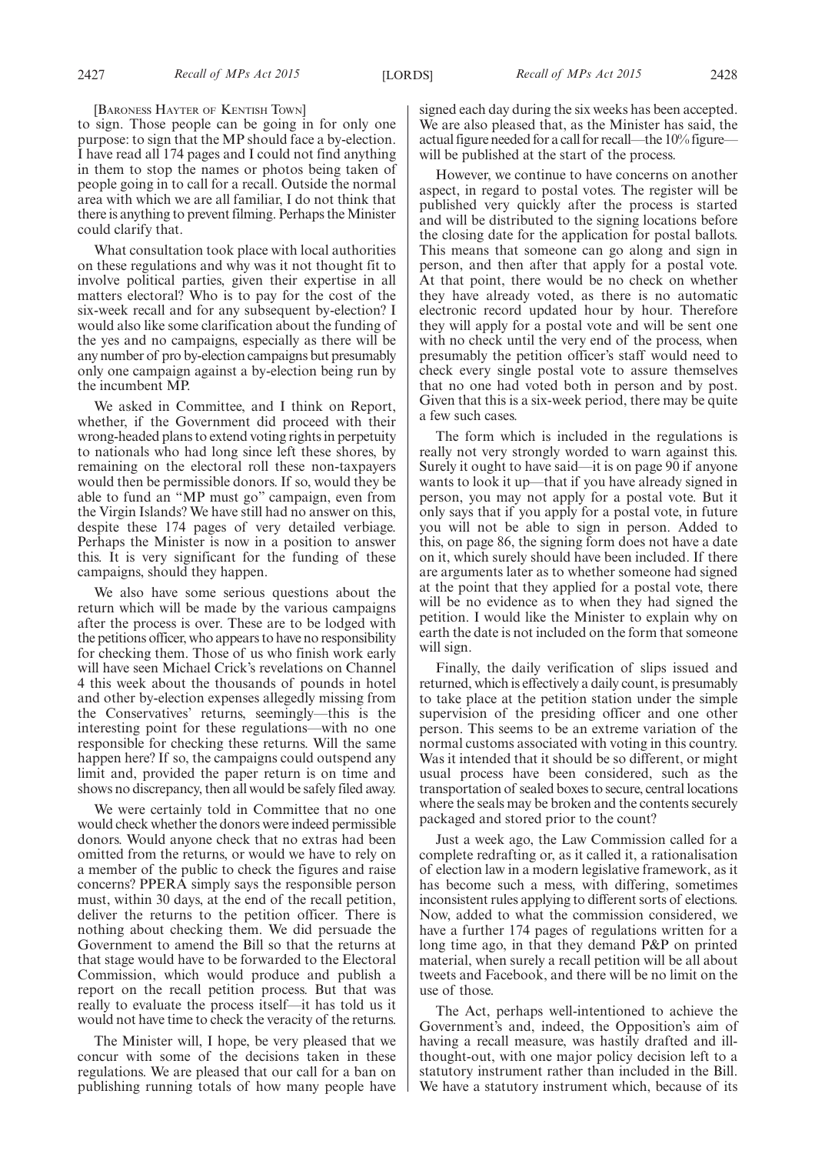[BARONESS HAYTER OF KENTISH TOWN]

to sign. Those people can be going in for only one purpose: to sign that the MP should face a by-election. I have read all 174 pages and I could not find anything in them to stop the names or photos being taken of people going in to call for a recall. Outside the normal area with which we are all familiar, I do not think that there is anything to prevent filming. Perhaps the Minister could clarify that.

What consultation took place with local authorities on these regulations and why was it not thought fit to involve political parties, given their expertise in all matters electoral? Who is to pay for the cost of the six-week recall and for any subsequent by-election? I would also like some clarification about the funding of the yes and no campaigns, especially as there will be any number of pro by-election campaigns but presumably only one campaign against a by-election being run by the incumbent MP.

We asked in Committee, and I think on Report, whether, if the Government did proceed with their wrong-headed plans to extend voting rights in perpetuity to nationals who had long since left these shores, by remaining on the electoral roll these non-taxpayers would then be permissible donors. If so, would they be able to fund an "MP must go" campaign, even from the Virgin Islands? We have still had no answer on this, despite these 174 pages of very detailed verbiage. Perhaps the Minister is now in a position to answer this. It is very significant for the funding of these campaigns, should they happen.

We also have some serious questions about the return which will be made by the various campaigns after the process is over. These are to be lodged with the petitions officer, who appears to have no responsibility for checking them. Those of us who finish work early will have seen Michael Crick's revelations on Channel 4 this week about the thousands of pounds in hotel and other by-election expenses allegedly missing from the Conservatives' returns, seemingly—this is the interesting point for these regulations—with no one responsible for checking these returns. Will the same happen here? If so, the campaigns could outspend any limit and, provided the paper return is on time and shows no discrepancy, then all would be safely filed away.

We were certainly told in Committee that no one would check whether the donors were indeed permissible donors. Would anyone check that no extras had been omitted from the returns, or would we have to rely on a member of the public to check the figures and raise concerns? PPERA simply says the responsible person must, within 30 days, at the end of the recall petition, deliver the returns to the petition officer. There is nothing about checking them. We did persuade the Government to amend the Bill so that the returns at that stage would have to be forwarded to the Electoral Commission, which would produce and publish a report on the recall petition process. But that was really to evaluate the process itself—it has told us it would not have time to check the veracity of the returns.

The Minister will, I hope, be very pleased that we concur with some of the decisions taken in these regulations. We are pleased that our call for a ban on publishing running totals of how many people have signed each day during the six weeks has been accepted. We are also pleased that, as the Minister has said, the actual figure needed for a call for recall—the 10% figure will be published at the start of the process.

However, we continue to have concerns on another aspect, in regard to postal votes. The register will be published very quickly after the process is started and will be distributed to the signing locations before the closing date for the application for postal ballots. This means that someone can go along and sign in person, and then after that apply for a postal vote. At that point, there would be no check on whether they have already voted, as there is no automatic electronic record updated hour by hour. Therefore they will apply for a postal vote and will be sent one with no check until the very end of the process, when presumably the petition officer's staff would need to check every single postal vote to assure themselves that no one had voted both in person and by post. Given that this is a six-week period, there may be quite a few such cases.

The form which is included in the regulations is really not very strongly worded to warn against this. Surely it ought to have said—it is on page 90 if anyone wants to look it up—that if you have already signed in person, you may not apply for a postal vote. But it only says that if you apply for a postal vote, in future you will not be able to sign in person. Added to this, on page 86, the signing form does not have a date on it, which surely should have been included. If there are arguments later as to whether someone had signed at the point that they applied for a postal vote, there will be no evidence as to when they had signed the petition. I would like the Minister to explain why on earth the date is not included on the form that someone will sign.

Finally, the daily verification of slips issued and returned, which is effectively a daily count, is presumably to take place at the petition station under the simple supervision of the presiding officer and one other person. This seems to be an extreme variation of the normal customs associated with voting in this country. Was it intended that it should be so different, or might usual process have been considered, such as the transportation of sealed boxes to secure, central locations where the seals may be broken and the contents securely packaged and stored prior to the count?

Just a week ago, the Law Commission called for a complete redrafting or, as it called it, a rationalisation of election law in a modern legislative framework, as it has become such a mess, with differing, sometimes inconsistent rules applying to different sorts of elections. Now, added to what the commission considered, we have a further 174 pages of regulations written for a long time ago, in that they demand P&P on printed material, when surely a recall petition will be all about tweets and Facebook, and there will be no limit on the use of those.

The Act, perhaps well-intentioned to achieve the Government's and, indeed, the Opposition's aim of having a recall measure, was hastily drafted and illthought-out, with one major policy decision left to a statutory instrument rather than included in the Bill. We have a statutory instrument which, because of its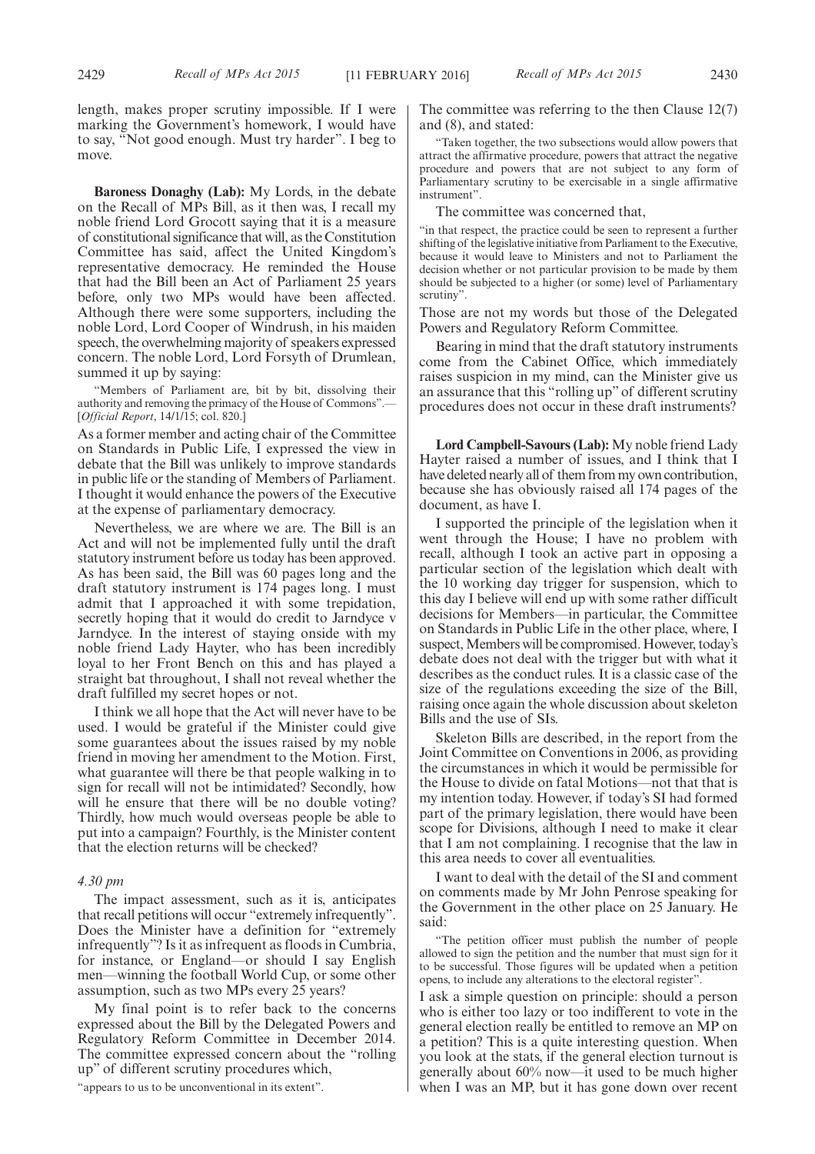length, makes proper scrutiny impossible. If I were marking the Government's homework, I would have to say, "Not good enough. Must try harder". I beg to move.

**Baroness Donaghy (Lab):** My Lords, in the debate on the Recall of MPs Bill, as it then was, I recall my noble friend Lord Grocott saying that it is a measure of constitutional significance that will, as the Constitution Committee has said, affect the United Kingdom's representative democracy. He reminded the House that had the Bill been an Act of Parliament 25 years before, only two MPs would have been affected. Although there were some supporters, including the noble Lord, Lord Cooper of Windrush, in his maiden speech, the overwhelming majority of speakers expressed concern. The noble Lord, Lord Forsyth of Drumlean, summed it up by saying:

"Members of Parliament are, bit by bit, dissolving their authority and removing the primacy of the House of Commons".— [*Official Report*, 14/1/15; col. 820.]

As a former member and acting chair of the Committee on Standards in Public Life, I expressed the view in debate that the Bill was unlikely to improve standards in public life or the standing of Members of Parliament. I thought it would enhance the powers of the Executive at the expense of parliamentary democracy.

Nevertheless, we are where we are. The Bill is an Act and will not be implemented fully until the draft statutory instrument before us today has been approved. As has been said, the Bill was 60 pages long and the draft statutory instrument is 174 pages long. I must admit that I approached it with some trepidation, secretly hoping that it would do credit to Jarndyce v Jarndyce. In the interest of staying onside with my noble friend Lady Hayter, who has been incredibly loyal to her Front Bench on this and has played a straight bat throughout, I shall not reveal whether the draft fulfilled my secret hopes or not.

I think we all hope that the Act will never have to be used. I would be grateful if the Minister could give some guarantees about the issues raised by my noble friend in moving her amendment to the Motion. First, what guarantee will there be that people walking in to sign for recall will not be intimidated? Secondly, how will he ensure that there will be no double voting? Thirdly, how much would overseas people be able to put into a campaign? Fourthly, is the Minister content that the election returns will be checked?

#### *4.30 pm*

The impact assessment, such as it is, anticipates that recall petitions will occur "extremely infrequently". Does the Minister have a definition for "extremely infrequently"? Is it as infrequent as floods in Cumbria, for instance, or England—or should I say English men—winning the football World Cup, or some other assumption, such as two MPs every 25 years?

My final point is to refer back to the concerns expressed about the Bill by the Delegated Powers and Regulatory Reform Committee in December 2014. The committee expressed concern about the "rolling up" of different scrutiny procedures which,

"appears to us to be unconventional in its extent".

The committee was referring to the then Clause 12(7) and (8), and stated:

"Taken together, the two subsections would allow powers that attract the affirmative procedure, powers that attract the negative procedure and powers that are not subject to any form of Parliamentary scrutiny to be exercisable in a single affirmative instrument".

The committee was concerned that,

"in that respect, the practice could be seen to represent a further shifting of the legislative initiative from Parliament to the Executive, because it would leave to Ministers and not to Parliament the decision whether or not particular provision to be made by them should be subjected to a higher (or some) level of Parliamentary scrutiny".

Those are not my words but those of the Delegated Powers and Regulatory Reform Committee.

Bearing in mind that the draft statutory instruments come from the Cabinet Office, which immediately raises suspicion in my mind, can the Minister give us an assurance that this "rolling up" of different scrutiny procedures does not occur in these draft instruments?

**Lord Campbell-Savours (Lab):** My noble friend Lady Hayter raised a number of issues, and I think that I have deleted nearly all of them from my own contribution, because she has obviously raised all 174 pages of the document, as have I.

I supported the principle of the legislation when it went through the House; I have no problem with recall, although I took an active part in opposing a particular section of the legislation which dealt with the 10 working day trigger for suspension, which to this day I believe will end up with some rather difficult decisions for Members—in particular, the Committee on Standards in Public Life in the other place, where, I suspect, Members will be compromised. However, today's debate does not deal with the trigger but with what it describes as the conduct rules. It is a classic case of the size of the regulations exceeding the size of the Bill, raising once again the whole discussion about skeleton Bills and the use of SIs.

Skeleton Bills are described, in the report from the Joint Committee on Conventions in 2006, as providing the circumstances in which it would be permissible for the House to divide on fatal Motions—not that that is my intention today. However, if today's SI had formed part of the primary legislation, there would have been scope for Divisions, although I need to make it clear that I am not complaining. I recognise that the law in this area needs to cover all eventualities.

I want to deal with the detail of the SI and comment on comments made by Mr John Penrose speaking for the Government in the other place on 25 January. He said:

"The petition officer must publish the number of people allowed to sign the petition and the number that must sign for it to be successful. Those figures will be updated when a petition opens, to include any alterations to the electoral register".

I ask a simple question on principle: should a person who is either too lazy or too indifferent to vote in the general election really be entitled to remove an MP on a petition? This is a quite interesting question. When you look at the stats, if the general election turnout is generally about 60% now—it used to be much higher when I was an MP, but it has gone down over recent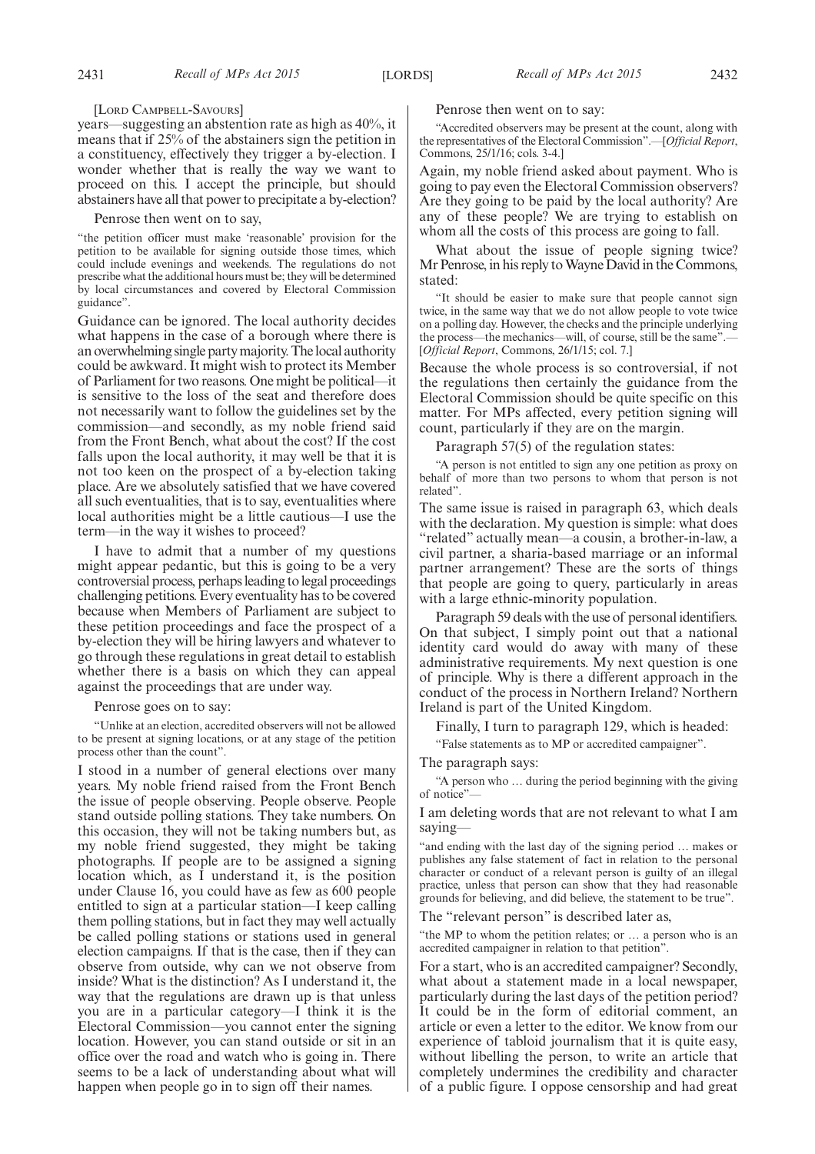#### [LORD CAMPBELL-SAVOURS]

years—suggesting an abstention rate as high as 40%, it means that if 25% of the abstainers sign the petition in a constituency, effectively they trigger a by-election. I wonder whether that is really the way we want to proceed on this. I accept the principle, but should abstainers have all that power to precipitate a by-election?

#### Penrose then went on to say,

"the petition officer must make 'reasonable' provision for the petition to be available for signing outside those times, which could include evenings and weekends. The regulations do not prescribe what the additional hours must be; they will be determined by local circumstances and covered by Electoral Commission guidance".

Guidance can be ignored. The local authority decides what happens in the case of a borough where there is an overwhelming single partymajority. The local authority could be awkward. It might wish to protect its Member of Parliament for two reasons. One might be political—it is sensitive to the loss of the seat and therefore does not necessarily want to follow the guidelines set by the commission—and secondly, as my noble friend said from the Front Bench, what about the cost? If the cost falls upon the local authority, it may well be that it is not too keen on the prospect of a by-election taking place. Are we absolutely satisfied that we have covered all such eventualities, that is to say, eventualities where local authorities might be a little cautious—I use the term—in the way it wishes to proceed?

I have to admit that a number of my questions might appear pedantic, but this is going to be a very controversial process, perhaps leading to legal proceedings challenging petitions. Every eventuality has to be covered because when Members of Parliament are subject to these petition proceedings and face the prospect of a by-election they will be hiring lawyers and whatever to go through these regulations in great detail to establish whether there is a basis on which they can appeal against the proceedings that are under way.

#### Penrose goes on to say:

"Unlike at an election, accredited observers will not be allowed to be present at signing locations, or at any stage of the petition process other than the count".

I stood in a number of general elections over many years. My noble friend raised from the Front Bench the issue of people observing. People observe. People stand outside polling stations. They take numbers. On this occasion, they will not be taking numbers but, as my noble friend suggested, they might be taking photographs. If people are to be assigned a signing location which, as I understand it, is the position under Clause 16, you could have as few as 600 people entitled to sign at a particular station—I keep calling them polling stations, but in fact they may well actually be called polling stations or stations used in general election campaigns. If that is the case, then if they can observe from outside, why can we not observe from inside? What is the distinction? As I understand it, the way that the regulations are drawn up is that unless you are in a particular category—I think it is the Electoral Commission—you cannot enter the signing location. However, you can stand outside or sit in an office over the road and watch who is going in. There seems to be a lack of understanding about what will happen when people go in to sign off their names.

#### Penrose then went on to say:

"Accredited observers may be present at the count, along with the representatives of the Electoral Commission".—[*Official Report*, Commons, 25/1/16; cols. 3-4.]

Again, my noble friend asked about payment. Who is going to pay even the Electoral Commission observers? Are they going to be paid by the local authority? Are any of these people? We are trying to establish on whom all the costs of this process are going to fall.

What about the issue of people signing twice? Mr Penrose, in his reply to Wayne David in the Commons, stated:

"It should be easier to make sure that people cannot sign twice, in the same way that we do not allow people to vote twice on a polling day. However, the checks and the principle underlying the process—the mechanics—will, of course, still be the same". [*Official Report*, Commons, 26/1/15; col. 7.]

Because the whole process is so controversial, if not the regulations then certainly the guidance from the Electoral Commission should be quite specific on this matter. For MPs affected, every petition signing will count, particularly if they are on the margin.

Paragraph 57(5) of the regulation states:

"A person is not entitled to sign any one petition as proxy on behalf of more than two persons to whom that person is not related".

The same issue is raised in paragraph 63, which deals with the declaration. My question is simple: what does "related" actually mean—a cousin, a brother-in-law, a civil partner, a sharia-based marriage or an informal partner arrangement? These are the sorts of things that people are going to query, particularly in areas with a large ethnic-minority population.

Paragraph 59 deals with the use of personal identifiers. On that subject, I simply point out that a national identity card would do away with many of these administrative requirements. My next question is one of principle. Why is there a different approach in the conduct of the process in Northern Ireland? Northern Ireland is part of the United Kingdom.

Finally, I turn to paragraph 129, which is headed:

"False statements as to MP or accredited campaigner".

The paragraph says:

"A person who … during the period beginning with the giving of notice"—

I am deleting words that are not relevant to what I am saying—

"and ending with the last day of the signing period … makes or publishes any false statement of fact in relation to the personal character or conduct of a relevant person is guilty of an illegal practice, unless that person can show that they had reasonable grounds for believing, and did believe, the statement to be true".

The "relevant person" is described later as,

"the MP to whom the petition relates; or … a person who is an accredited campaigner in relation to that petition".

For a start, who is an accredited campaigner? Secondly, what about a statement made in a local newspaper, particularly during the last days of the petition period? It could be in the form of editorial comment, an article or even a letter to the editor. We know from our experience of tabloid journalism that it is quite easy, without libelling the person, to write an article that completely undermines the credibility and character of a public figure. I oppose censorship and had great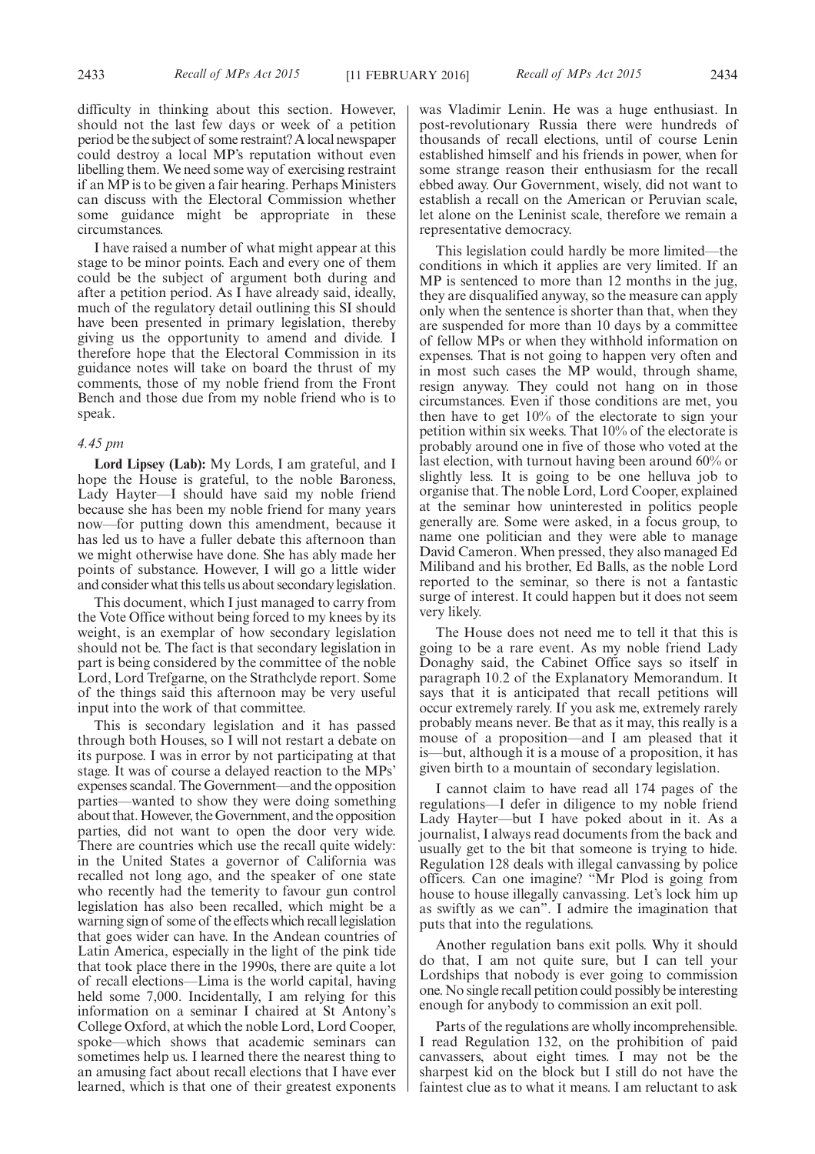difficulty in thinking about this section. However, should not the last few days or week of a petition period be the subject of some restraint? A local newspaper could destroy a local MP's reputation without even libelling them. We need some way of exercising restraint if an MP is to be given a fair hearing. Perhaps Ministers can discuss with the Electoral Commission whether some guidance might be appropriate in these circumstances.

I have raised a number of what might appear at this stage to be minor points. Each and every one of them could be the subject of argument both during and after a petition period. As I have already said, ideally, much of the regulatory detail outlining this SI should have been presented in primary legislation, thereby giving us the opportunity to amend and divide. I therefore hope that the Electoral Commission in its guidance notes will take on board the thrust of my comments, those of my noble friend from the Front Bench and those due from my noble friend who is to speak.

#### *4.45 pm*

**Lord Lipsey (Lab):** My Lords, I am grateful, and I hope the House is grateful, to the noble Baroness, Lady Hayter—I should have said my noble friend because she has been my noble friend for many years now—for putting down this amendment, because it has led us to have a fuller debate this afternoon than we might otherwise have done. She has ably made her points of substance. However, I will go a little wider and consider what this tells us about secondary legislation.

This document, which I just managed to carry from the Vote Office without being forced to my knees by its weight, is an exemplar of how secondary legislation should not be. The fact is that secondary legislation in part is being considered by the committee of the noble Lord, Lord Trefgarne, on the Strathclyde report. Some of the things said this afternoon may be very useful input into the work of that committee.

This is secondary legislation and it has passed through both Houses, so I will not restart a debate on its purpose. I was in error by not participating at that stage. It was of course a delayed reaction to the MPs' expenses scandal. The Government—and the opposition parties—wanted to show they were doing something about that. However, the Government, and the opposition parties, did not want to open the door very wide. There are countries which use the recall quite widely: in the United States a governor of California was recalled not long ago, and the speaker of one state who recently had the temerity to favour gun control legislation has also been recalled, which might be a warning sign of some of the effects which recall legislation that goes wider can have. In the Andean countries of Latin America, especially in the light of the pink tide that took place there in the 1990s, there are quite a lot of recall elections—Lima is the world capital, having held some 7,000. Incidentally, I am relying for this information on a seminar I chaired at St Antony's College Oxford, at which the noble Lord, Lord Cooper, spoke—which shows that academic seminars can sometimes help us. I learned there the nearest thing to an amusing fact about recall elections that I have ever learned, which is that one of their greatest exponents was Vladimir Lenin. He was a huge enthusiast. In post-revolutionary Russia there were hundreds of thousands of recall elections, until of course Lenin established himself and his friends in power, when for some strange reason their enthusiasm for the recall ebbed away. Our Government, wisely, did not want to establish a recall on the American or Peruvian scale, let alone on the Leninist scale, therefore we remain a representative democracy.

This legislation could hardly be more limited—the conditions in which it applies are very limited. If an MP is sentenced to more than 12 months in the jug, they are disqualified anyway, so the measure can apply only when the sentence is shorter than that, when they are suspended for more than 10 days by a committee of fellow MPs or when they withhold information on expenses. That is not going to happen very often and in most such cases the MP would, through shame, resign anyway. They could not hang on in those circumstances. Even if those conditions are met, you then have to get 10% of the electorate to sign your petition within six weeks. That 10% of the electorate is probably around one in five of those who voted at the last election, with turnout having been around 60% or slightly less. It is going to be one helluva job to organise that. The noble Lord, Lord Cooper, explained at the seminar how uninterested in politics people generally are. Some were asked, in a focus group, to name one politician and they were able to manage David Cameron. When pressed, they also managed Ed Miliband and his brother, Ed Balls, as the noble Lord reported to the seminar, so there is not a fantastic surge of interest. It could happen but it does not seem very likely.

The House does not need me to tell it that this is going to be a rare event. As my noble friend Lady Donaghy said, the Cabinet Office says so itself in paragraph 10.2 of the Explanatory Memorandum. It says that it is anticipated that recall petitions will occur extremely rarely. If you ask me, extremely rarely probably means never. Be that as it may, this really is a mouse of a proposition—and I am pleased that it is—but, although it is a mouse of a proposition, it has given birth to a mountain of secondary legislation.

I cannot claim to have read all 174 pages of the regulations—I defer in diligence to my noble friend Lady Hayter—but I have poked about in it. As a journalist, I always read documents from the back and usually get to the bit that someone is trying to hide. Regulation 128 deals with illegal canvassing by police officers. Can one imagine? "Mr Plod is going from house to house illegally canvassing. Let's lock him up as swiftly as we can". I admire the imagination that puts that into the regulations.

Another regulation bans exit polls. Why it should do that, I am not quite sure, but I can tell your Lordships that nobody is ever going to commission one. No single recall petition could possibly be interesting enough for anybody to commission an exit poll.

Parts of the regulations are wholly incomprehensible. I read Regulation 132, on the prohibition of paid canvassers, about eight times. I may not be the sharpest kid on the block but I still do not have the faintest clue as to what it means. I am reluctant to ask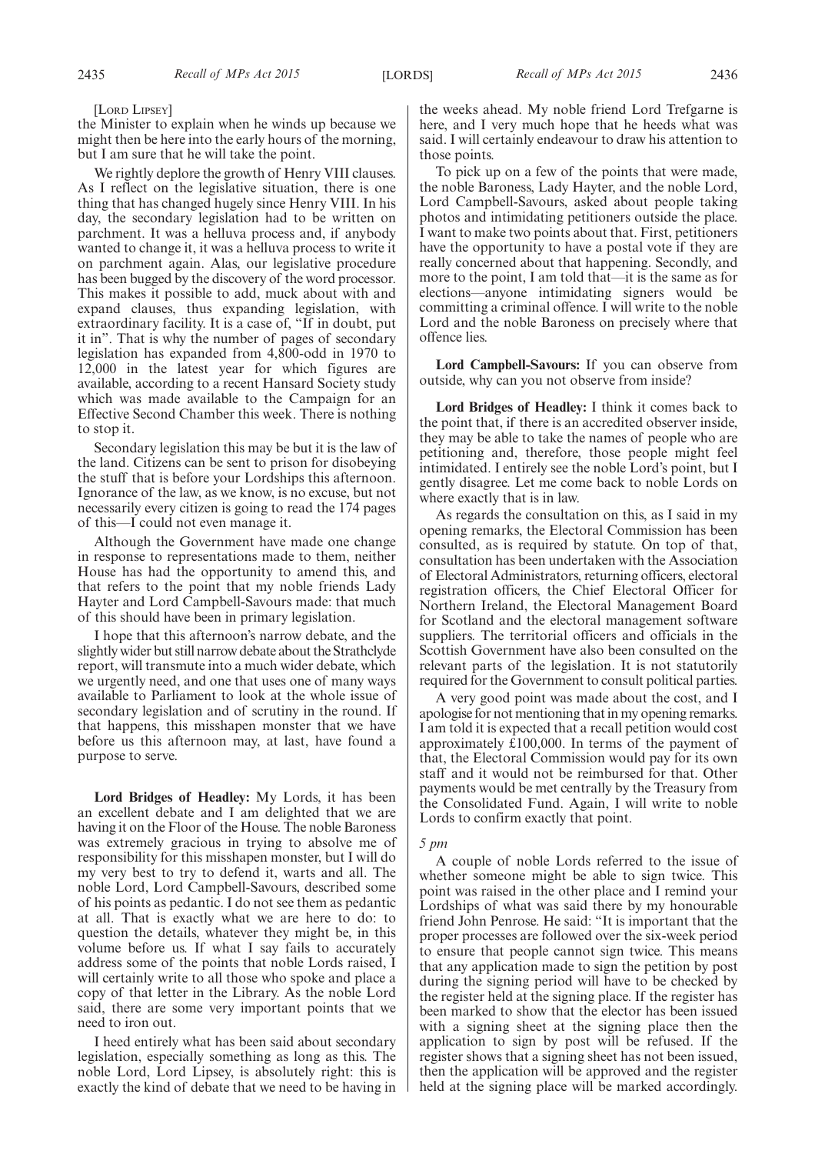[LORD LIPSEY]

the Minister to explain when he winds up because we might then be here into the early hours of the morning, but I am sure that he will take the point.

We rightly deplore the growth of Henry VIII clauses. As I reflect on the legislative situation, there is one thing that has changed hugely since Henry VIII. In his day, the secondary legislation had to be written on parchment. It was a helluva process and, if anybody wanted to change it, it was a helluva process to write it on parchment again. Alas, our legislative procedure has been bugged by the discovery of the word processor. This makes it possible to add, muck about with and expand clauses, thus expanding legislation, with extraordinary facility. It is a case of, "If in doubt, put it in". That is why the number of pages of secondary legislation has expanded from 4,800-odd in 1970 to 12,000 in the latest year for which figures are available, according to a recent Hansard Society study which was made available to the Campaign for an Effective Second Chamber this week. There is nothing to stop it.

Secondary legislation this may be but it is the law of the land. Citizens can be sent to prison for disobeying the stuff that is before your Lordships this afternoon. Ignorance of the law, as we know, is no excuse, but not necessarily every citizen is going to read the 174 pages of this—I could not even manage it.

Although the Government have made one change in response to representations made to them, neither House has had the opportunity to amend this, and that refers to the point that my noble friends Lady Hayter and Lord Campbell-Savours made: that much of this should have been in primary legislation.

I hope that this afternoon's narrow debate, and the slightly wider but still narrow debate about the Strathclyde report, will transmute into a much wider debate, which we urgently need, and one that uses one of many ways available to Parliament to look at the whole issue of secondary legislation and of scrutiny in the round. If that happens, this misshapen monster that we have before us this afternoon may, at last, have found a purpose to serve.

**Lord Bridges of Headley:** My Lords, it has been an excellent debate and I am delighted that we are having it on the Floor of the House. The noble Baroness was extremely gracious in trying to absolve me of responsibility for this misshapen monster, but I will do my very best to try to defend it, warts and all. The noble Lord, Lord Campbell-Savours, described some of his points as pedantic. I do not see them as pedantic at all. That is exactly what we are here to do: to question the details, whatever they might be, in this volume before us. If what I say fails to accurately address some of the points that noble Lords raised, I will certainly write to all those who spoke and place a copy of that letter in the Library. As the noble Lord said, there are some very important points that we need to iron out.

I heed entirely what has been said about secondary legislation, especially something as long as this. The noble Lord, Lord Lipsey, is absolutely right: this is exactly the kind of debate that we need to be having in the weeks ahead. My noble friend Lord Trefgarne is here, and I very much hope that he heeds what was said. I will certainly endeavour to draw his attention to those points.

To pick up on a few of the points that were made, the noble Baroness, Lady Hayter, and the noble Lord, Lord Campbell-Savours, asked about people taking photos and intimidating petitioners outside the place. I want to make two points about that. First, petitioners have the opportunity to have a postal vote if they are really concerned about that happening. Secondly, and more to the point, I am told that—it is the same as for elections—anyone intimidating signers would be committing a criminal offence. I will write to the noble Lord and the noble Baroness on precisely where that offence lies.

**Lord Campbell-Savours:** If you can observe from outside, why can you not observe from inside?

**Lord Bridges of Headley:** I think it comes back to the point that, if there is an accredited observer inside, they may be able to take the names of people who are petitioning and, therefore, those people might feel intimidated. I entirely see the noble Lord's point, but I gently disagree. Let me come back to noble Lords on where exactly that is in law.

As regards the consultation on this, as I said in my opening remarks, the Electoral Commission has been consulted, as is required by statute. On top of that, consultation has been undertaken with the Association of Electoral Administrators, returning officers, electoral registration officers, the Chief Electoral Officer for Northern Ireland, the Electoral Management Board for Scotland and the electoral management software suppliers. The territorial officers and officials in the Scottish Government have also been consulted on the relevant parts of the legislation. It is not statutorily required for the Government to consult political parties.

A very good point was made about the cost, and I apologise for not mentioning that in my opening remarks. I am told it is expected that a recall petition would cost approximately £100,000. In terms of the payment of that, the Electoral Commission would pay for its own staff and it would not be reimbursed for that. Other payments would be met centrally by the Treasury from the Consolidated Fund. Again, I will write to noble Lords to confirm exactly that point.

#### *5 pm*

A couple of noble Lords referred to the issue of whether someone might be able to sign twice. This point was raised in the other place and I remind your Lordships of what was said there by my honourable friend John Penrose. He said: "It is important that the proper processes are followed over the six-week period to ensure that people cannot sign twice. This means that any application made to sign the petition by post during the signing period will have to be checked by the register held at the signing place. If the register has been marked to show that the elector has been issued with a signing sheet at the signing place then the application to sign by post will be refused. If the register shows that a signing sheet has not been issued, then the application will be approved and the register held at the signing place will be marked accordingly.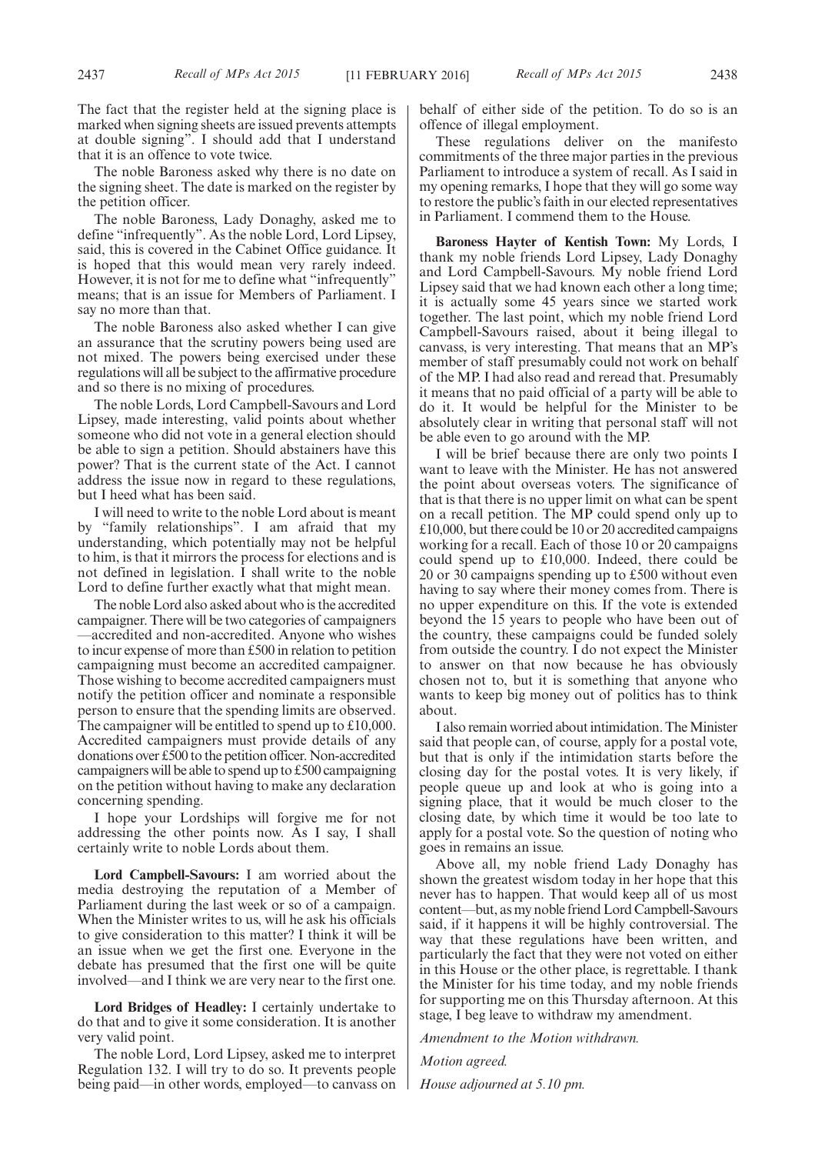The fact that the register held at the signing place is marked when signing sheets are issued prevents attempts at double signing". I should add that I understand that it is an offence to vote twice.

The noble Baroness asked why there is no date on the signing sheet. The date is marked on the register by the petition officer.

The noble Baroness, Lady Donaghy, asked me to define "infrequently". As the noble Lord, Lord Lipsey, said, this is covered in the Cabinet Office guidance. It is hoped that this would mean very rarely indeed. However, it is not for me to define what "infrequently" means; that is an issue for Members of Parliament. I say no more than that.

The noble Baroness also asked whether I can give an assurance that the scrutiny powers being used are not mixed. The powers being exercised under these regulations will all be subject to the affirmative procedure and so there is no mixing of procedures.

The noble Lords, Lord Campbell-Savours and Lord Lipsey, made interesting, valid points about whether someone who did not vote in a general election should be able to sign a petition. Should abstainers have this power? That is the current state of the Act. I cannot address the issue now in regard to these regulations, but I heed what has been said.

I will need to write to the noble Lord about is meant by "family relationships". I am afraid that my understanding, which potentially may not be helpful to him, is that it mirrors the process for elections and is not defined in legislation. I shall write to the noble Lord to define further exactly what that might mean.

The noble Lord also asked about who is the accredited campaigner. There will be two categories of campaigners —accredited and non-accredited. Anyone who wishes to incur expense of more than £500 in relation to petition campaigning must become an accredited campaigner. Those wishing to become accredited campaigners must notify the petition officer and nominate a responsible person to ensure that the spending limits are observed. The campaigner will be entitled to spend up to £10,000. Accredited campaigners must provide details of any donations over £500 to the petition officer. Non-accredited campaigners will be able to spend up to £500 campaigning on the petition without having to make any declaration concerning spending.

I hope your Lordships will forgive me for not addressing the other points now. As I say, I shall certainly write to noble Lords about them.

**Lord Campbell-Savours:** I am worried about the media destroying the reputation of a Member of Parliament during the last week or so of a campaign. When the Minister writes to us, will he ask his officials to give consideration to this matter? I think it will be an issue when we get the first one. Everyone in the debate has presumed that the first one will be quite involved—and I think we are very near to the first one.

**Lord Bridges of Headley:** I certainly undertake to do that and to give it some consideration. It is another very valid point.

The noble Lord, Lord Lipsey, asked me to interpret Regulation 132. I will try to do so. It prevents people being paid—in other words, employed—to canvass on behalf of either side of the petition. To do so is an offence of illegal employment.

These regulations deliver on the manifesto commitments of the three major parties in the previous Parliament to introduce a system of recall. As I said in my opening remarks, I hope that they will go some way to restore the public's faith in our elected representatives in Parliament. I commend them to the House.

**Baroness Hayter of Kentish Town:** My Lords, I thank my noble friends Lord Lipsey, Lady Donaghy and Lord Campbell-Savours. My noble friend Lord Lipsey said that we had known each other a long time; it is actually some 45 years since we started work together. The last point, which my noble friend Lord Campbell-Savours raised, about it being illegal to canvass, is very interesting. That means that an MP's member of staff presumably could not work on behalf of the MP. I had also read and reread that. Presumably it means that no paid official of a party will be able to do it. It would be helpful for the Minister to be absolutely clear in writing that personal staff will not be able even to go around with the MP.

I will be brief because there are only two points I want to leave with the Minister. He has not answered the point about overseas voters. The significance of that is that there is no upper limit on what can be spent on a recall petition. The MP could spend only up to £10,000, but there could be 10 or 20 accredited campaigns working for a recall. Each of those 10 or 20 campaigns could spend up to £10,000. Indeed, there could be 20 or 30 campaigns spending up to £500 without even having to say where their money comes from. There is no upper expenditure on this. If the vote is extended beyond the 15 years to people who have been out of the country, these campaigns could be funded solely from outside the country. I do not expect the Minister to answer on that now because he has obviously chosen not to, but it is something that anyone who wants to keep big money out of politics has to think about.

I also remain worried about intimidation. The Minister said that people can, of course, apply for a postal vote, but that is only if the intimidation starts before the closing day for the postal votes. It is very likely, if people queue up and look at who is going into a signing place, that it would be much closer to the closing date, by which time it would be too late to apply for a postal vote. So the question of noting who goes in remains an issue.

Above all, my noble friend Lady Donaghy has shown the greatest wisdom today in her hope that this never has to happen. That would keep all of us most content—but, as my noble friend Lord Campbell-Savours said, if it happens it will be highly controversial. The way that these regulations have been written, and particularly the fact that they were not voted on either in this House or the other place, is regrettable. I thank the Minister for his time today, and my noble friends for supporting me on this Thursday afternoon. At this stage, I beg leave to withdraw my amendment.

*Amendment to the Motion withdrawn.*

*Motion agreed.*

*House adjourned at 5.10 pm.*